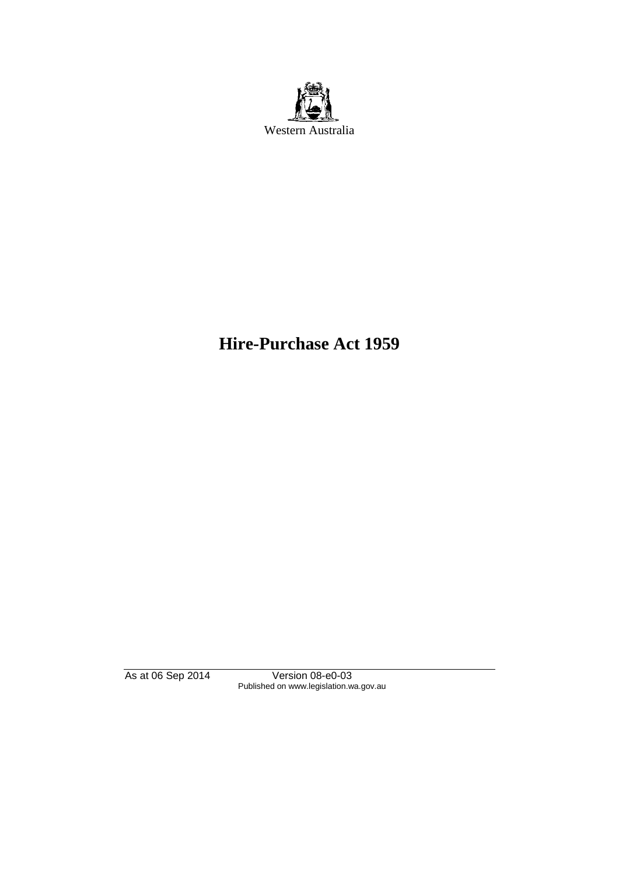

# **Hire-Purchase Act 1959**

As at 06 Sep 2014 Version 08-e0-03 Published on www.legislation.wa.gov.au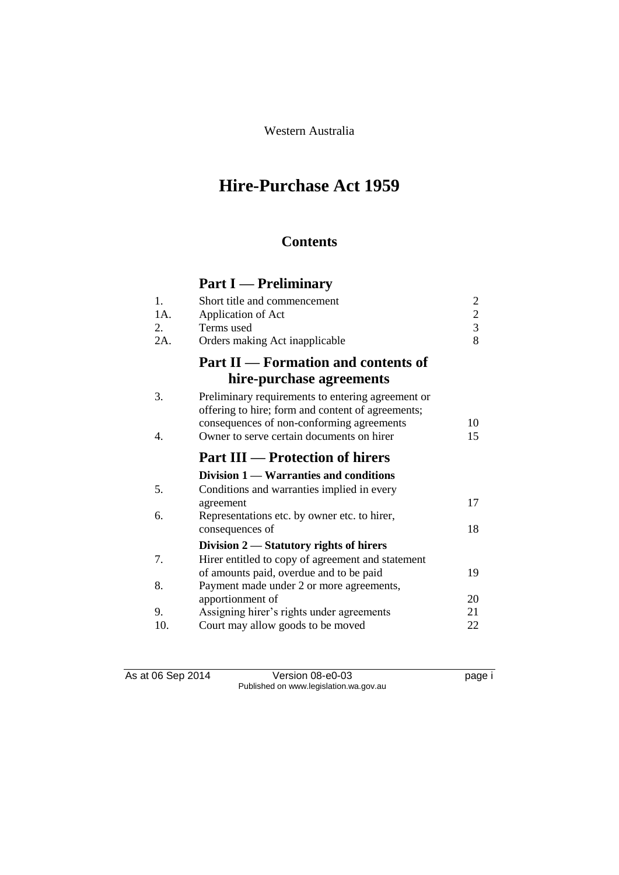Western Australia

# **Hire-Purchase Act 1959**

## **Contents**

# **Part I — Preliminary**

| 1.                   | Short title and commencement                                                                                                                                                                     | 2              |
|----------------------|--------------------------------------------------------------------------------------------------------------------------------------------------------------------------------------------------|----------------|
| $1A$ .               | Application of Act                                                                                                                                                                               | $\overline{c}$ |
| 2.                   | Terms used                                                                                                                                                                                       | $\overline{3}$ |
| $2A$ .               | Orders making Act inapplicable                                                                                                                                                                   | 8              |
|                      | <b>Part II — Formation and contents of</b>                                                                                                                                                       |                |
|                      | hire-purchase agreements                                                                                                                                                                         |                |
| 3.<br>$\mathbf{4}$ . | Preliminary requirements to entering agreement or<br>offering to hire; form and content of agreements;<br>consequences of non-conforming agreements<br>Owner to serve certain documents on hirer | 10<br>15       |
|                      | <b>Part III — Protection of hirers</b>                                                                                                                                                           |                |
|                      | Division 1 — Warranties and conditions                                                                                                                                                           |                |
| 5.                   | Conditions and warranties implied in every                                                                                                                                                       |                |
|                      | agreement                                                                                                                                                                                        | 17             |
| 6.                   | Representations etc. by owner etc. to hirer,                                                                                                                                                     |                |
|                      | consequences of                                                                                                                                                                                  | 18             |
|                      | Division $2$ — Statutory rights of hirers                                                                                                                                                        |                |
| 7.                   | Hirer entitled to copy of agreement and statement                                                                                                                                                |                |
|                      | of amounts paid, overdue and to be paid                                                                                                                                                          | 19             |
| 8.                   | Payment made under 2 or more agreements,                                                                                                                                                         |                |
|                      | apportionment of                                                                                                                                                                                 | 20             |
| 9.                   | Assigning hirer's rights under agreements                                                                                                                                                        | 21             |
| 10.                  | Court may allow goods to be moved                                                                                                                                                                | 22             |
|                      |                                                                                                                                                                                                  |                |

As at 06 Sep 2014 Version 08-e0-03 page i Published on www.legislation.wa.gov.au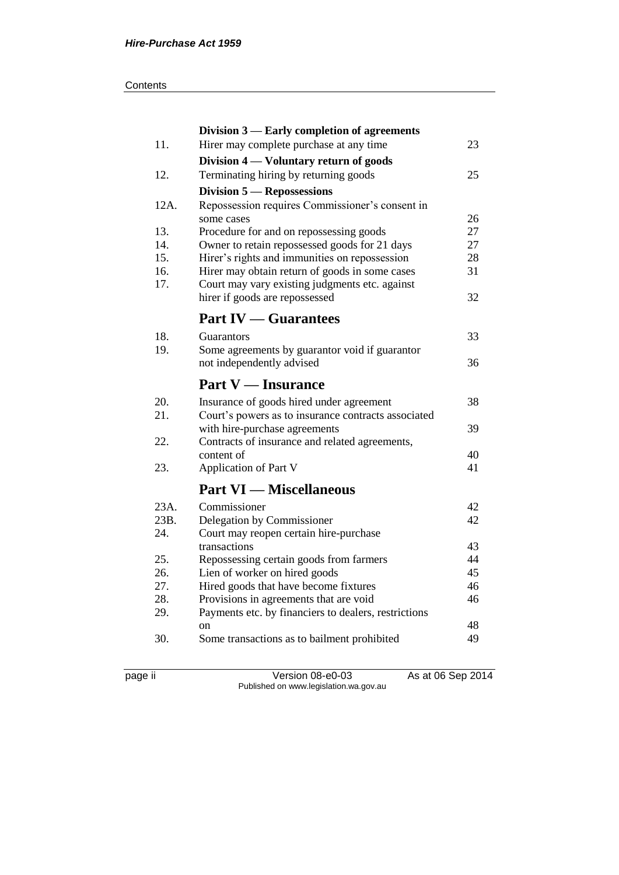#### **Contents**

|            | Division 3 — Early completion of agreements                                                    |          |
|------------|------------------------------------------------------------------------------------------------|----------|
| 11.        | Hirer may complete purchase at any time                                                        | 23       |
|            | Division 4 — Voluntary return of goods                                                         |          |
| 12.        | Terminating hiring by returning goods                                                          | 25       |
|            | Division 5 – Repossessions                                                                     |          |
| 12A.       | Repossession requires Commissioner's consent in                                                |          |
|            | some cases                                                                                     | 26       |
| 13.        | Procedure for and on repossessing goods                                                        | 27       |
| 14.        | Owner to retain repossessed goods for 21 days                                                  | 27       |
| 15.        | Hirer's rights and immunities on repossession                                                  | 28       |
| 16.        | Hirer may obtain return of goods in some cases                                                 | 31       |
| 17.        | Court may vary existing judgments etc. against                                                 | 32       |
|            | hirer if goods are repossessed                                                                 |          |
|            | <b>Part IV — Guarantees</b>                                                                    |          |
| 18.        | Guarantors                                                                                     | 33       |
| 19.        | Some agreements by guarantor void if guarantor                                                 |          |
|            | not independently advised                                                                      | 36       |
|            | <b>Part V</b> — Insurance                                                                      |          |
| 20.        | Insurance of goods hired under agreement                                                       | 38       |
| 21.        | Court's powers as to insurance contracts associated                                            |          |
|            | with hire-purchase agreements                                                                  | 39       |
| 22.        | Contracts of insurance and related agreements,                                                 |          |
|            | content of                                                                                     | 40       |
| 23.        | <b>Application of Part V</b>                                                                   | 41       |
|            | <b>Part VI — Miscellaneous</b>                                                                 |          |
| 23A.       | Commissioner                                                                                   | 42       |
| 23B.       | Delegation by Commissioner                                                                     | 42       |
| 24.        | Court may reopen certain hire-purchase                                                         |          |
|            | transactions                                                                                   | 43       |
| 25.        | Repossessing certain goods from farmers                                                        | 44       |
| 26.        | Lien of worker on hired goods                                                                  | 45       |
| 27.<br>28. | Hired goods that have become fixtures                                                          | 46<br>46 |
| 29.        | Provisions in agreements that are void<br>Payments etc. by financiers to dealers, restrictions |          |
|            | <sub>on</sub>                                                                                  | 48       |
| 30.        | Some transactions as to bailment prohibited                                                    | 49       |
|            |                                                                                                |          |

page ii Version 08-e0-03 As at 06 Sep 2014 Published on www.legislation.wa.gov.au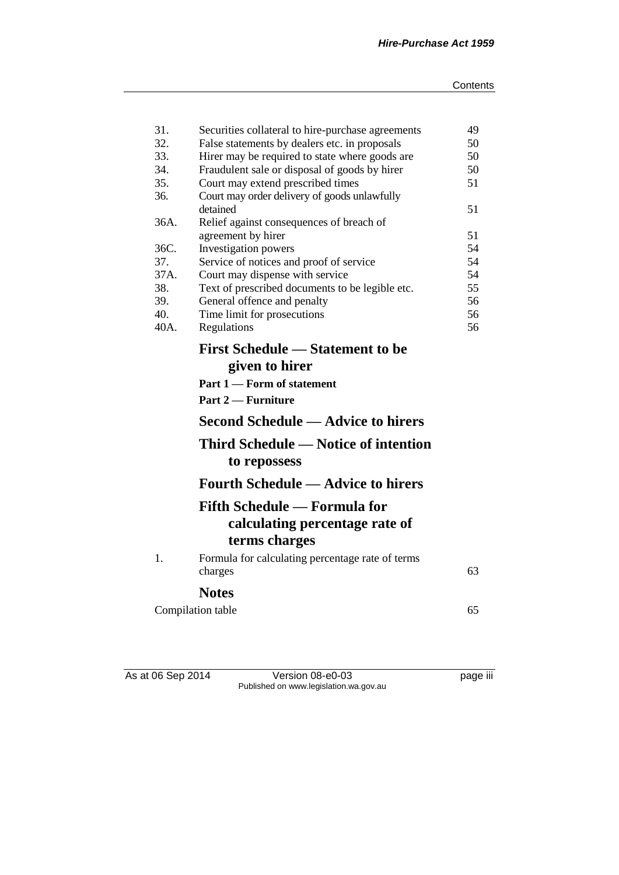|      | Securities collateral to hire-purchase agreements              | 49 |
|------|----------------------------------------------------------------|----|
| 32.  | False statements by dealers etc. in proposals                  | 50 |
| 33.  | Hirer may be required to state where goods are                 | 50 |
| 34.  | Fraudulent sale or disposal of goods by hirer                  | 50 |
| 35.  | Court may extend prescribed times                              | 51 |
| 36.  | Court may order delivery of goods unlawfully                   |    |
|      | detained                                                       | 51 |
| 36A. | Relief against consequences of breach of                       |    |
|      | agreement by hirer                                             | 51 |
| 36C. | Investigation powers                                           | 54 |
| 37.  | Service of notices and proof of service                        | 54 |
| 37A. | Court may dispense with service                                | 54 |
| 38.  | Text of prescribed documents to be legible etc.                | 55 |
| 39.  | General offence and penalty                                    | 56 |
| 40.  | Time limit for prosecutions                                    | 56 |
| 40A. | Regulations                                                    | 56 |
|      | <b>First Schedule — Statement to be</b><br>given to hirer      |    |
|      | Part 1 – Form of statement                                     |    |
|      |                                                                |    |
|      | Part 2 — Furniture                                             |    |
|      |                                                                |    |
|      | <b>Second Schedule — Advice to hirers</b>                      |    |
|      | <b>Third Schedule — Notice of intention</b>                    |    |
|      | to repossess                                                   |    |
|      | <b>Fourth Schedule — Advice to hirers</b>                      |    |
|      | Fifth Schedule — Formula for<br>calculating percentage rate of |    |
|      | terms charges                                                  |    |
| 1.   | Formula for calculating percentage rate of terms<br>charges    | 63 |
|      | <b>Notes</b>                                                   |    |
|      | Compilation table                                              | 65 |

As at 06 Sep 2014 Version 08-e0-03 page iii Published on www.legislation.wa.gov.au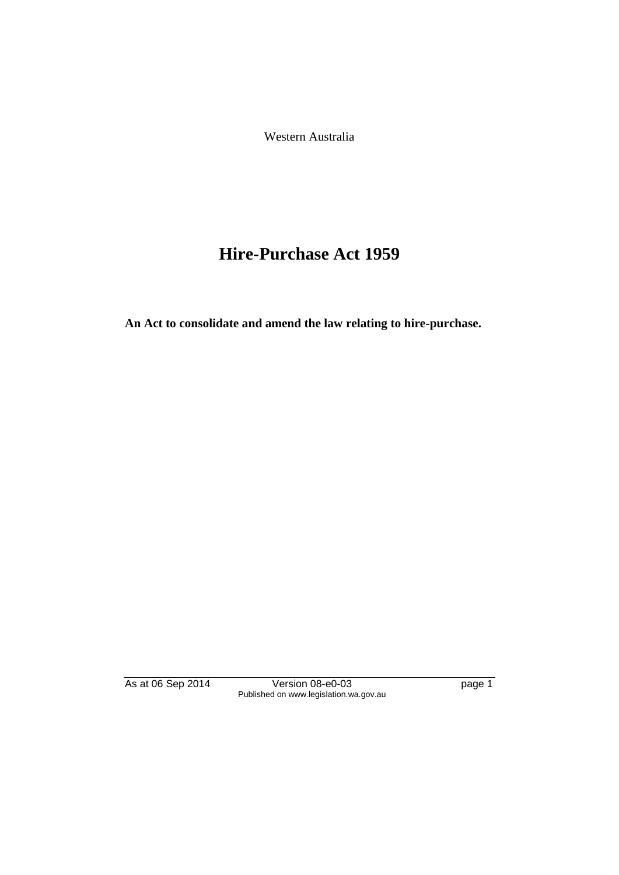Western Australia

# **Hire-Purchase Act 1959**

**An Act to consolidate and amend the law relating to hire-purchase.**

As at 06 Sep 2014 Version 08-e0-03 page 1 Published on www.legislation.wa.gov.au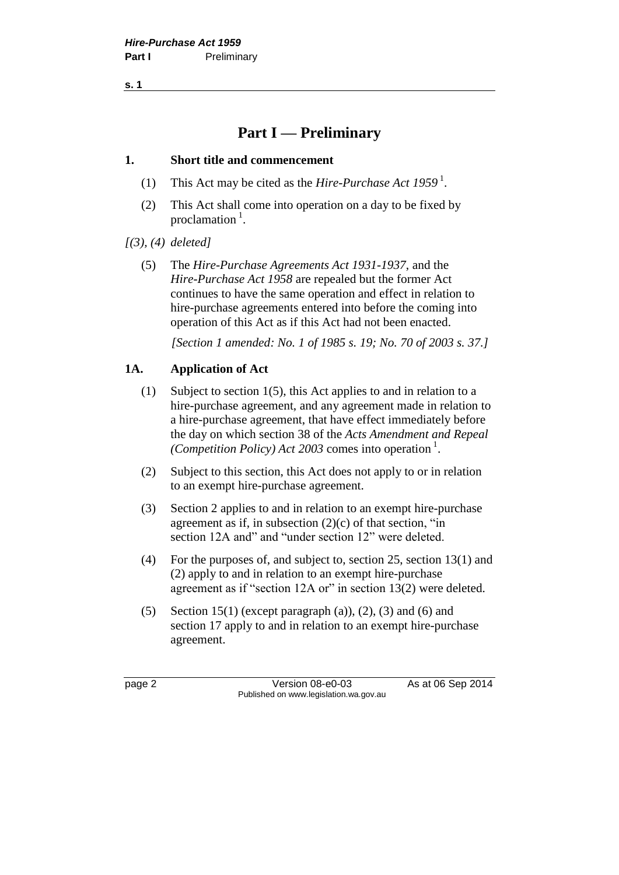**s. 1**

## **Part I — Preliminary**

#### **1. Short title and commencement**

- (1) This Act may be cited as the *Hire-Purchase Act 1959* <sup>1</sup> .
- (2) This Act shall come into operation on a day to be fixed by proclamation<sup>1</sup>.

*[(3), (4) deleted]*

(5) The *Hire-Purchase Agreements Act 1931-1937*, and the *Hire-Purchase Act 1958* are repealed but the former Act continues to have the same operation and effect in relation to hire-purchase agreements entered into before the coming into operation of this Act as if this Act had not been enacted.

*[Section 1 amended: No. 1 of 1985 s. 19; No. 70 of 2003 s. 37.]*

#### **1A. Application of Act**

- (1) Subject to section 1(5), this Act applies to and in relation to a hire-purchase agreement, and any agreement made in relation to a hire-purchase agreement, that have effect immediately before the day on which section 38 of the *Acts Amendment and Repeal*  (Competition Policy) Act 2003 comes into operation<sup>1</sup>.
- (2) Subject to this section, this Act does not apply to or in relation to an exempt hire-purchase agreement.
- (3) Section 2 applies to and in relation to an exempt hire-purchase agreement as if, in subsection  $(2)(c)$  of that section, "in section 12A and" and "under section 12" were deleted.
- (4) For the purposes of, and subject to, section 25, section 13(1) and (2) apply to and in relation to an exempt hire-purchase agreement as if "section 12A or" in section 13(2) were deleted.
- (5) Section 15(1) (except paragraph (a)), (2), (3) and (6) and section 17 apply to and in relation to an exempt hire-purchase agreement.

page 2 Version 08-e0-03 As at 06 Sep 2014 Published on www.legislation.wa.gov.au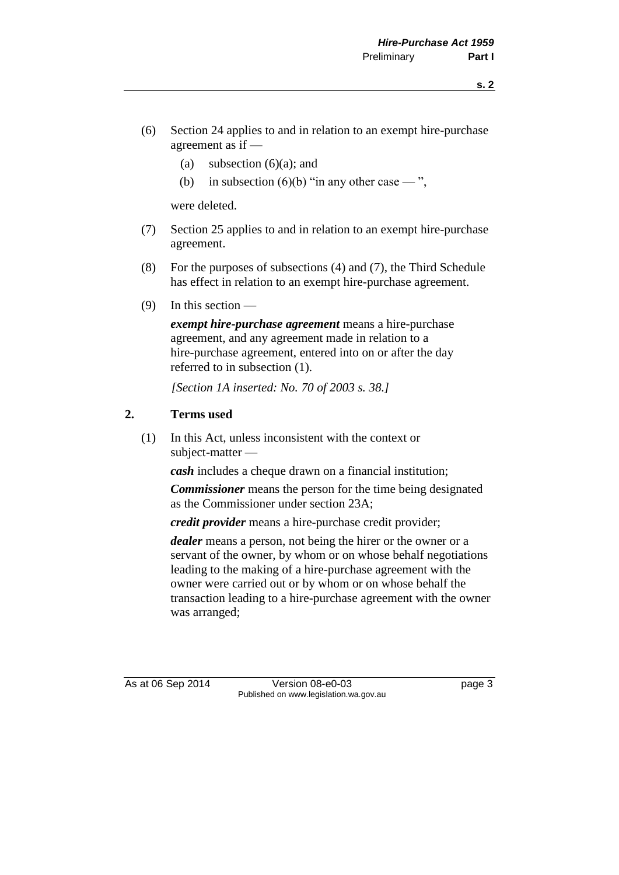- (6) Section 24 applies to and in relation to an exempt hire-purchase agreement as if —
	- (a) subsection  $(6)(a)$ ; and
	- (b) in subsection (6)(b) "in any other case  $-$ ",

were deleted.

- (7) Section 25 applies to and in relation to an exempt hire-purchase agreement.
- (8) For the purposes of subsections (4) and (7), the Third Schedule has effect in relation to an exempt hire-purchase agreement.
- (9) In this section —

*exempt hire-purchase agreement* means a hire-purchase agreement, and any agreement made in relation to a hire-purchase agreement, entered into on or after the day referred to in subsection (1).

*[Section 1A inserted: No. 70 of 2003 s. 38.]*

#### **2. Terms used**

(1) In this Act, unless inconsistent with the context or subject-matter —

*cash* includes a cheque drawn on a financial institution;

*Commissioner* means the person for the time being designated as the Commissioner under section 23A;

*credit provider* means a hire-purchase credit provider;

*dealer* means a person, not being the hirer or the owner or a servant of the owner, by whom or on whose behalf negotiations leading to the making of a hire-purchase agreement with the owner were carried out or by whom or on whose behalf the transaction leading to a hire-purchase agreement with the owner was arranged;

As at 06 Sep 2014 Version 08-e0-03 page 3 Published on www.legislation.wa.gov.au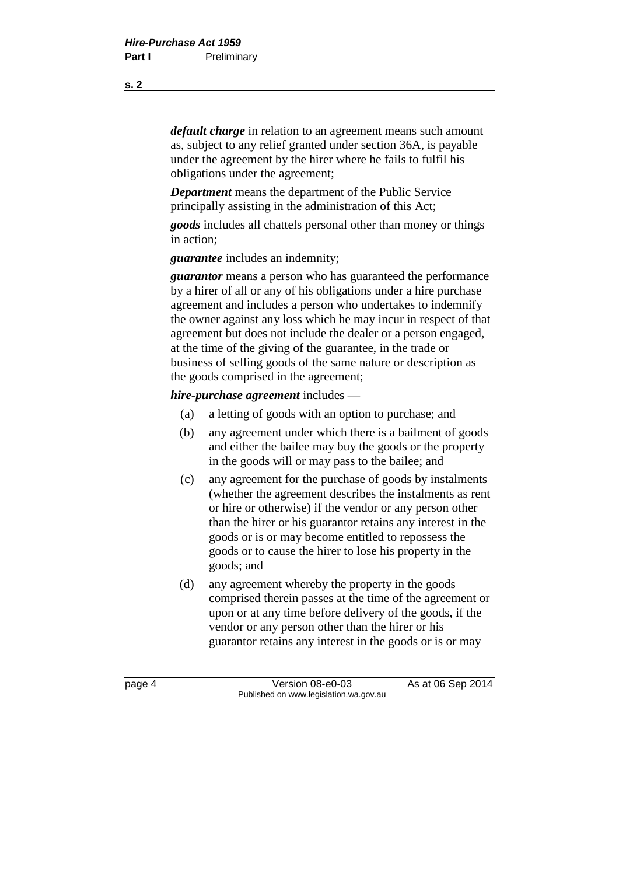*default charge* in relation to an agreement means such amount as, subject to any relief granted under section 36A, is payable under the agreement by the hirer where he fails to fulfil his obligations under the agreement;

*Department* means the department of the Public Service principally assisting in the administration of this Act;

*goods* includes all chattels personal other than money or things in action;

*guarantee* includes an indemnity;

*guarantor* means a person who has guaranteed the performance by a hirer of all or any of his obligations under a hire purchase agreement and includes a person who undertakes to indemnify the owner against any loss which he may incur in respect of that agreement but does not include the dealer or a person engaged, at the time of the giving of the guarantee, in the trade or business of selling goods of the same nature or description as the goods comprised in the agreement;

#### *hire-purchase agreement* includes —

- (a) a letting of goods with an option to purchase; and
- (b) any agreement under which there is a bailment of goods and either the bailee may buy the goods or the property in the goods will or may pass to the bailee; and
- (c) any agreement for the purchase of goods by instalments (whether the agreement describes the instalments as rent or hire or otherwise) if the vendor or any person other than the hirer or his guarantor retains any interest in the goods or is or may become entitled to repossess the goods or to cause the hirer to lose his property in the goods; and
- (d) any agreement whereby the property in the goods comprised therein passes at the time of the agreement or upon or at any time before delivery of the goods, if the vendor or any person other than the hirer or his guarantor retains any interest in the goods or is or may

page 4 Version 08-e0-03 As at 06 Sep 2014 Published on www.legislation.wa.gov.au

**s. 2**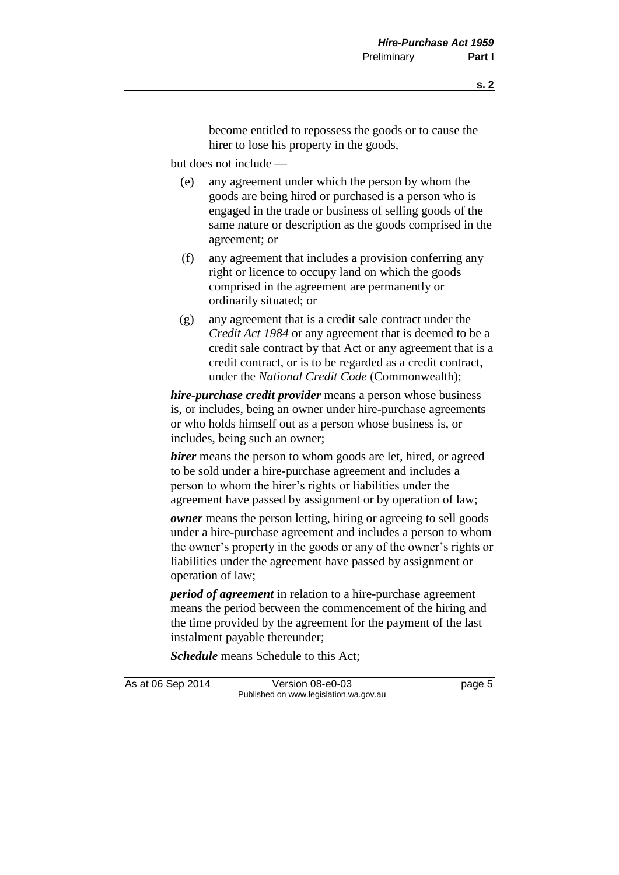become entitled to repossess the goods or to cause the hirer to lose his property in the goods,

but does not include —

- (e) any agreement under which the person by whom the goods are being hired or purchased is a person who is engaged in the trade or business of selling goods of the same nature or description as the goods comprised in the agreement; or
- (f) any agreement that includes a provision conferring any right or licence to occupy land on which the goods comprised in the agreement are permanently or ordinarily situated; or
- (g) any agreement that is a credit sale contract under the *Credit Act 1984* or any agreement that is deemed to be a credit sale contract by that Act or any agreement that is a credit contract, or is to be regarded as a credit contract, under the *National Credit Code* (Commonwealth);

*hire-purchase credit provider* means a person whose business is, or includes, being an owner under hire-purchase agreements or who holds himself out as a person whose business is, or includes, being such an owner;

*hirer* means the person to whom goods are let, hired, or agreed to be sold under a hire-purchase agreement and includes a person to whom the hirer's rights or liabilities under the agreement have passed by assignment or by operation of law;

*owner* means the person letting, hiring or agreeing to sell goods under a hire-purchase agreement and includes a person to whom the owner's property in the goods or any of the owner's rights or liabilities under the agreement have passed by assignment or operation of law;

*period of agreement* in relation to a hire-purchase agreement means the period between the commencement of the hiring and the time provided by the agreement for the payment of the last instalment payable thereunder;

*Schedule* means Schedule to this Act;

As at 06 Sep 2014 Version 08-e0-03 page 5 Published on www.legislation.wa.gov.au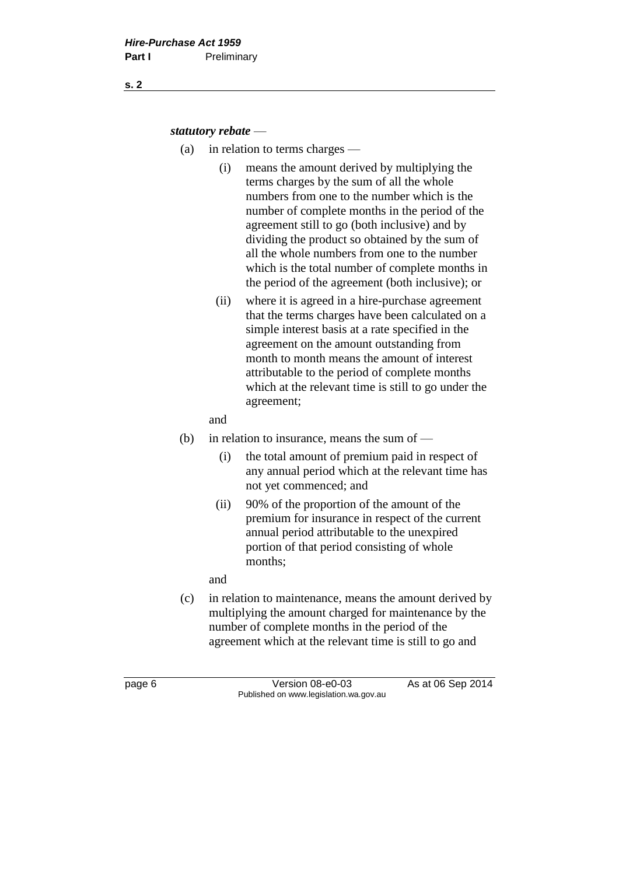#### *statutory rebate* —

- (a) in relation to terms charges
	- (i) means the amount derived by multiplying the terms charges by the sum of all the whole numbers from one to the number which is the number of complete months in the period of the agreement still to go (both inclusive) and by dividing the product so obtained by the sum of all the whole numbers from one to the number which is the total number of complete months in the period of the agreement (both inclusive); or
	- (ii) where it is agreed in a hire-purchase agreement that the terms charges have been calculated on a simple interest basis at a rate specified in the agreement on the amount outstanding from month to month means the amount of interest attributable to the period of complete months which at the relevant time is still to go under the agreement;

#### and

- (b) in relation to insurance, means the sum of
	- (i) the total amount of premium paid in respect of any annual period which at the relevant time has not yet commenced; and
	- (ii) 90% of the proportion of the amount of the premium for insurance in respect of the current annual period attributable to the unexpired portion of that period consisting of whole months;

and

(c) in relation to maintenance, means the amount derived by multiplying the amount charged for maintenance by the number of complete months in the period of the agreement which at the relevant time is still to go and

page 6 Version 08-e0-03 As at 06 Sep 2014 Published on www.legislation.wa.gov.au

**s. 2**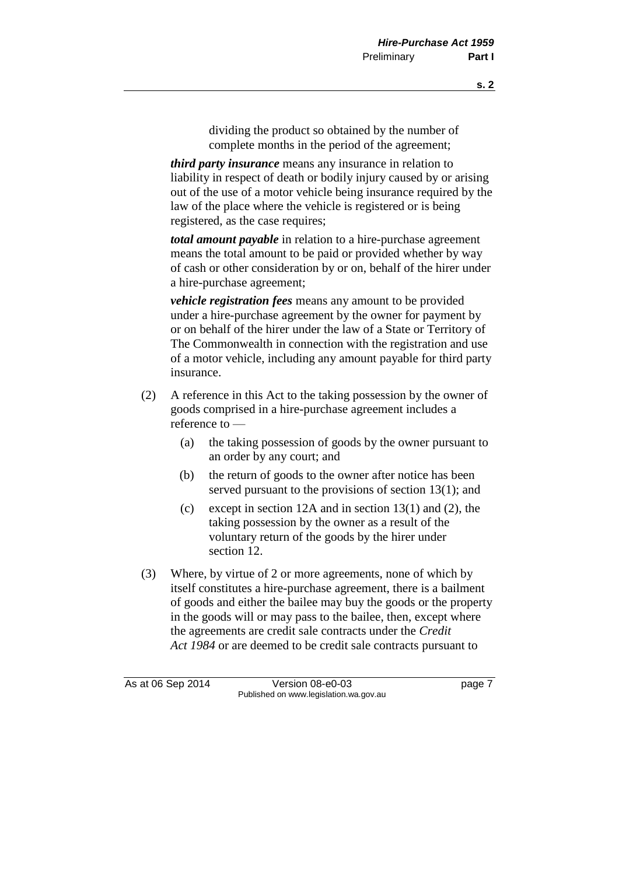dividing the product so obtained by the number of complete months in the period of the agreement;

*third party insurance* means any insurance in relation to liability in respect of death or bodily injury caused by or arising out of the use of a motor vehicle being insurance required by the law of the place where the vehicle is registered or is being registered, as the case requires;

*total amount payable* in relation to a hire-purchase agreement means the total amount to be paid or provided whether by way of cash or other consideration by or on, behalf of the hirer under a hire-purchase agreement;

*vehicle registration fees* means any amount to be provided under a hire-purchase agreement by the owner for payment by or on behalf of the hirer under the law of a State or Territory of The Commonwealth in connection with the registration and use of a motor vehicle, including any amount payable for third party insurance.

- (2) A reference in this Act to the taking possession by the owner of goods comprised in a hire-purchase agreement includes a reference to —
	- (a) the taking possession of goods by the owner pursuant to an order by any court; and
	- (b) the return of goods to the owner after notice has been served pursuant to the provisions of section 13(1); and
	- (c) except in section 12A and in section 13(1) and (2), the taking possession by the owner as a result of the voluntary return of the goods by the hirer under section 12.
- (3) Where, by virtue of 2 or more agreements, none of which by itself constitutes a hire-purchase agreement, there is a bailment of goods and either the bailee may buy the goods or the property in the goods will or may pass to the bailee, then, except where the agreements are credit sale contracts under the *Credit Act 1984* or are deemed to be credit sale contracts pursuant to

As at 06 Sep 2014 Version 08-e0-03 page 7 Published on www.legislation.wa.gov.au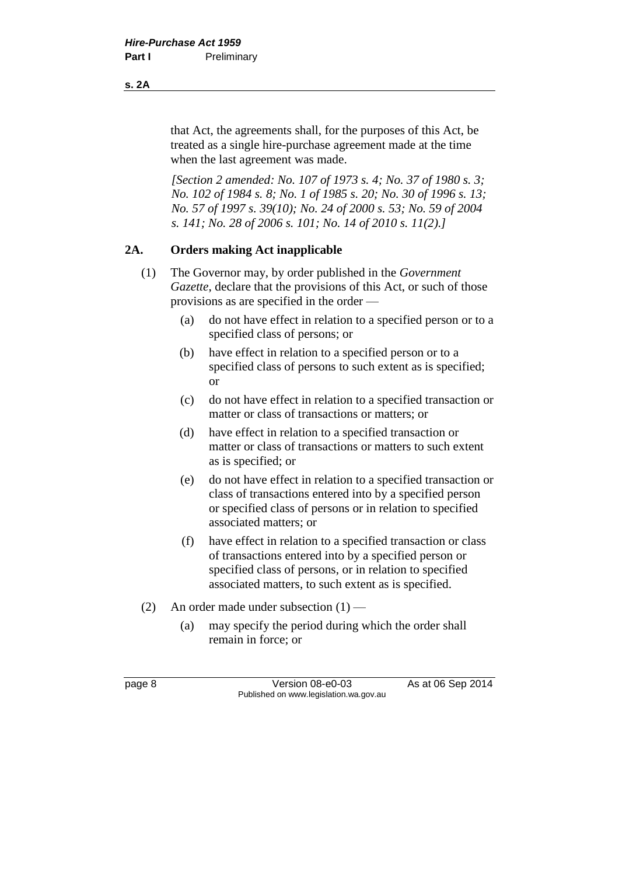that Act, the agreements shall, for the purposes of this Act, be treated as a single hire-purchase agreement made at the time when the last agreement was made.

*[Section 2 amended: No. 107 of 1973 s. 4; No. 37 of 1980 s. 3; No. 102 of 1984 s. 8; No. 1 of 1985 s. 20; No. 30 of 1996 s. 13; No. 57 of 1997 s. 39(10); No. 24 of 2000 s. 53; No. 59 of 2004 s. 141; No. 28 of 2006 s. 101; No. 14 of 2010 s. 11(2).]*

#### **2A. Orders making Act inapplicable**

- (1) The Governor may, by order published in the *Government Gazette*, declare that the provisions of this Act, or such of those provisions as are specified in the order —
	- (a) do not have effect in relation to a specified person or to a specified class of persons; or
	- (b) have effect in relation to a specified person or to a specified class of persons to such extent as is specified; or
	- (c) do not have effect in relation to a specified transaction or matter or class of transactions or matters; or
	- (d) have effect in relation to a specified transaction or matter or class of transactions or matters to such extent as is specified; or
	- (e) do not have effect in relation to a specified transaction or class of transactions entered into by a specified person or specified class of persons or in relation to specified associated matters; or
	- (f) have effect in relation to a specified transaction or class of transactions entered into by a specified person or specified class of persons, or in relation to specified associated matters, to such extent as is specified.
- (2) An order made under subsection  $(1)$ 
	- (a) may specify the period during which the order shall remain in force; or

page 8 Version 08-e0-03 As at 06 Sep 2014 Published on www.legislation.wa.gov.au

**s. 2A**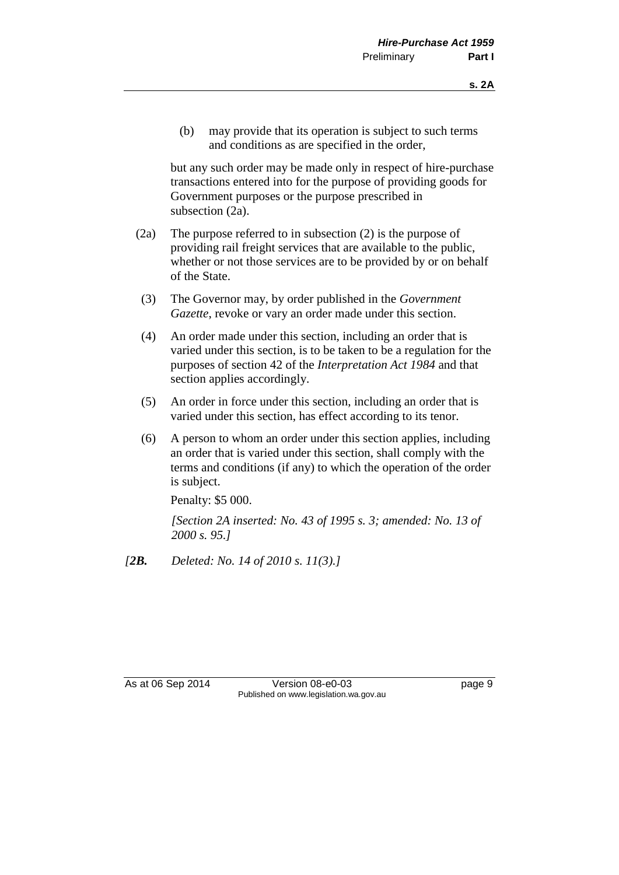(b) may provide that its operation is subject to such terms and conditions as are specified in the order,

but any such order may be made only in respect of hire-purchase transactions entered into for the purpose of providing goods for Government purposes or the purpose prescribed in subsection (2a).

- (2a) The purpose referred to in subsection (2) is the purpose of providing rail freight services that are available to the public, whether or not those services are to be provided by or on behalf of the State.
- (3) The Governor may, by order published in the *Government Gazette*, revoke or vary an order made under this section.
- (4) An order made under this section, including an order that is varied under this section, is to be taken to be a regulation for the purposes of section 42 of the *Interpretation Act 1984* and that section applies accordingly.
- (5) An order in force under this section, including an order that is varied under this section, has effect according to its tenor.
- (6) A person to whom an order under this section applies, including an order that is varied under this section, shall comply with the terms and conditions (if any) to which the operation of the order is subject.

Penalty: \$5 000.

*[Section 2A inserted: No. 43 of 1995 s. 3; amended: No. 13 of 2000 s. 95.]*

*[2B. Deleted: No. 14 of 2010 s. 11(3).]*

As at 06 Sep 2014 Version 08-e0-03 page 9 Published on www.legislation.wa.gov.au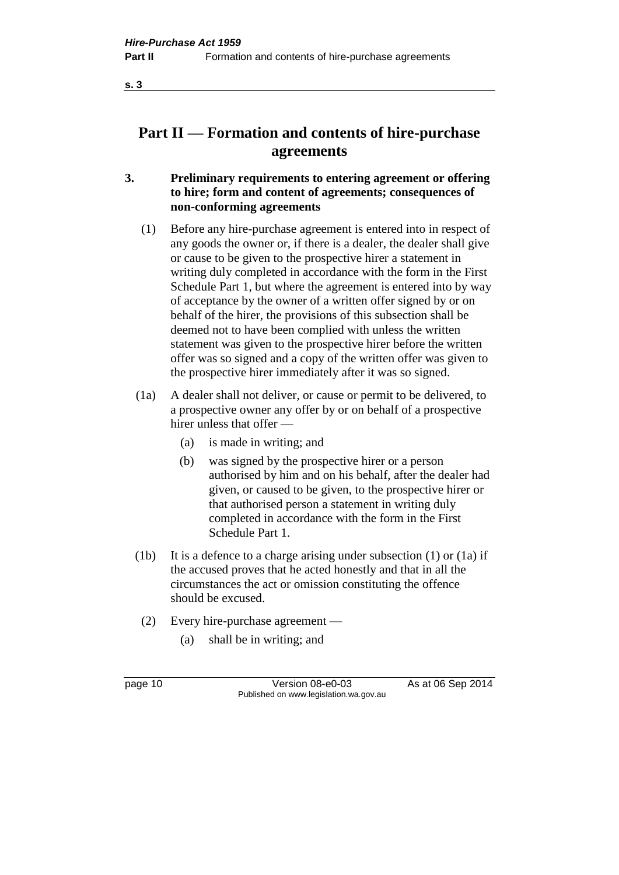**s. 3**

## **Part II — Formation and contents of hire-purchase agreements**

- **3. Preliminary requirements to entering agreement or offering to hire; form and content of agreements; consequences of non-conforming agreements**
	- (1) Before any hire-purchase agreement is entered into in respect of any goods the owner or, if there is a dealer, the dealer shall give or cause to be given to the prospective hirer a statement in writing duly completed in accordance with the form in the First Schedule Part 1, but where the agreement is entered into by way of acceptance by the owner of a written offer signed by or on behalf of the hirer, the provisions of this subsection shall be deemed not to have been complied with unless the written statement was given to the prospective hirer before the written offer was so signed and a copy of the written offer was given to the prospective hirer immediately after it was so signed.
	- (1a) A dealer shall not deliver, or cause or permit to be delivered, to a prospective owner any offer by or on behalf of a prospective hirer unless that offer —
		- (a) is made in writing; and
		- (b) was signed by the prospective hirer or a person authorised by him and on his behalf, after the dealer had given, or caused to be given, to the prospective hirer or that authorised person a statement in writing duly completed in accordance with the form in the First Schedule Part 1.
	- (1b) It is a defence to a charge arising under subsection (1) or (1a) if the accused proves that he acted honestly and that in all the circumstances the act or omission constituting the offence should be excused.
		- (2) Every hire-purchase agreement
			- (a) shall be in writing; and

page 10 Version 08-e0-03 As at 06 Sep 2014 Published on www.legislation.wa.gov.au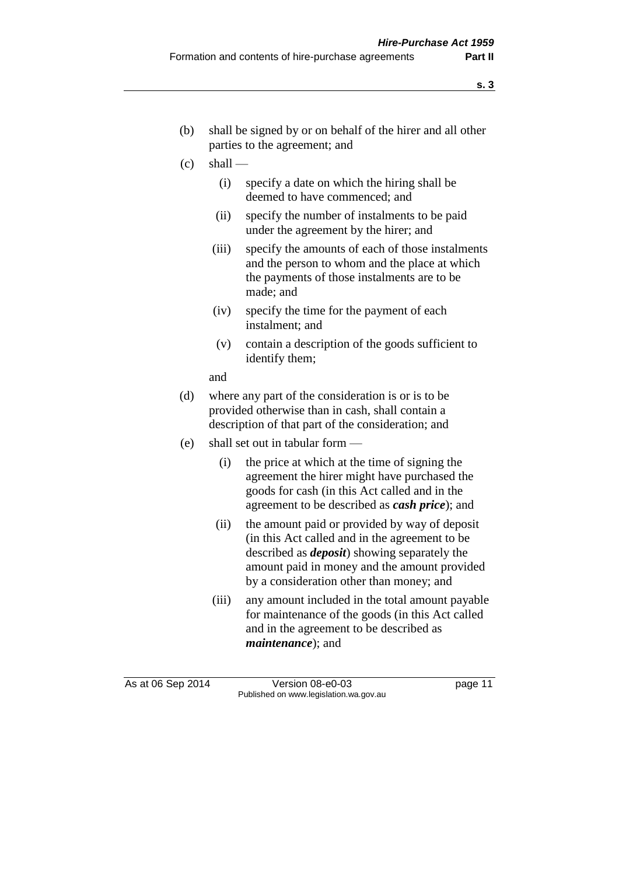- (b) shall be signed by or on behalf of the hirer and all other parties to the agreement; and
- $\left( c \right)$  shall
	- (i) specify a date on which the hiring shall be deemed to have commenced; and
	- (ii) specify the number of instalments to be paid under the agreement by the hirer; and
	- (iii) specify the amounts of each of those instalments and the person to whom and the place at which the payments of those instalments are to be made; and
	- (iv) specify the time for the payment of each instalment; and
	- (v) contain a description of the goods sufficient to identify them;

and

- (d) where any part of the consideration is or is to be provided otherwise than in cash, shall contain a description of that part of the consideration; and
- (e) shall set out in tabular form
	- (i) the price at which at the time of signing the agreement the hirer might have purchased the goods for cash (in this Act called and in the agreement to be described as *cash price*); and
	- (ii) the amount paid or provided by way of deposit (in this Act called and in the agreement to be described as *deposit*) showing separately the amount paid in money and the amount provided by a consideration other than money; and
	- (iii) any amount included in the total amount payable for maintenance of the goods (in this Act called and in the agreement to be described as *maintenance*); and

As at 06 Sep 2014 Version 08-e0-03 page 11 Published on www.legislation.wa.gov.au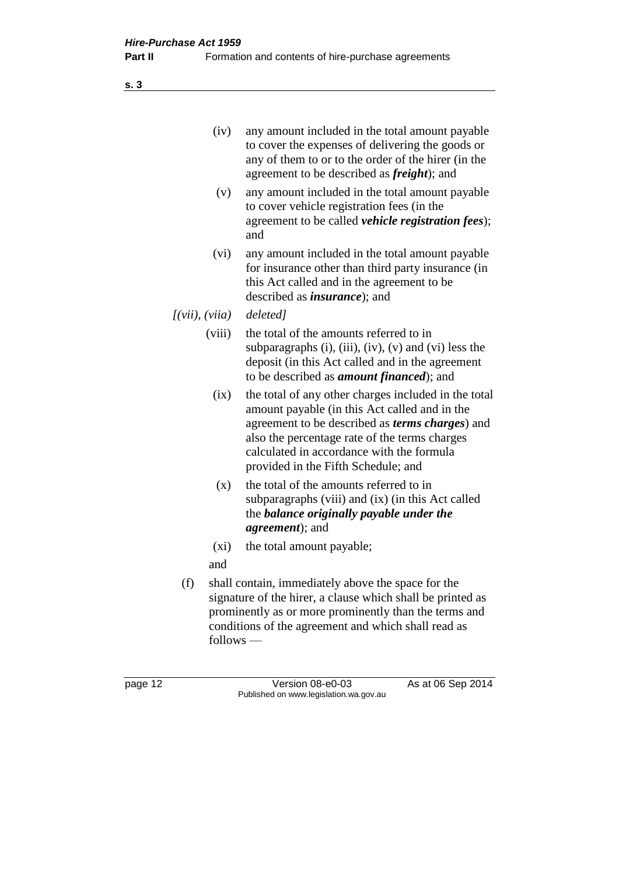(iv) any amount included in the total amount payable to cover the expenses of delivering the goods or any of them to or to the order of the hirer (in the agreement to be described as *freight*); and

- (v) any amount included in the total amount payable to cover vehicle registration fees (in the agreement to be called *vehicle registration fees*); and
- (vi) any amount included in the total amount payable for insurance other than third party insurance (in this Act called and in the agreement to be described as *insurance*); and
- *[(vii), (viia) deleted]*
	- (viii) the total of the amounts referred to in subparagraphs (i), (iii), (iv), (v) and (vi) less the deposit (in this Act called and in the agreement to be described as *amount financed*); and
		- (ix) the total of any other charges included in the total amount payable (in this Act called and in the agreement to be described as *terms charges*) and also the percentage rate of the terms charges calculated in accordance with the formula provided in the Fifth Schedule; and
		- (x) the total of the amounts referred to in subparagraphs (viii) and (ix) (in this Act called the *balance originally payable under the agreement*); and
		- (xi) the total amount payable;
	- and
	- (f) shall contain, immediately above the space for the signature of the hirer, a clause which shall be printed as prominently as or more prominently than the terms and conditions of the agreement and which shall read as follows —

**s. 3**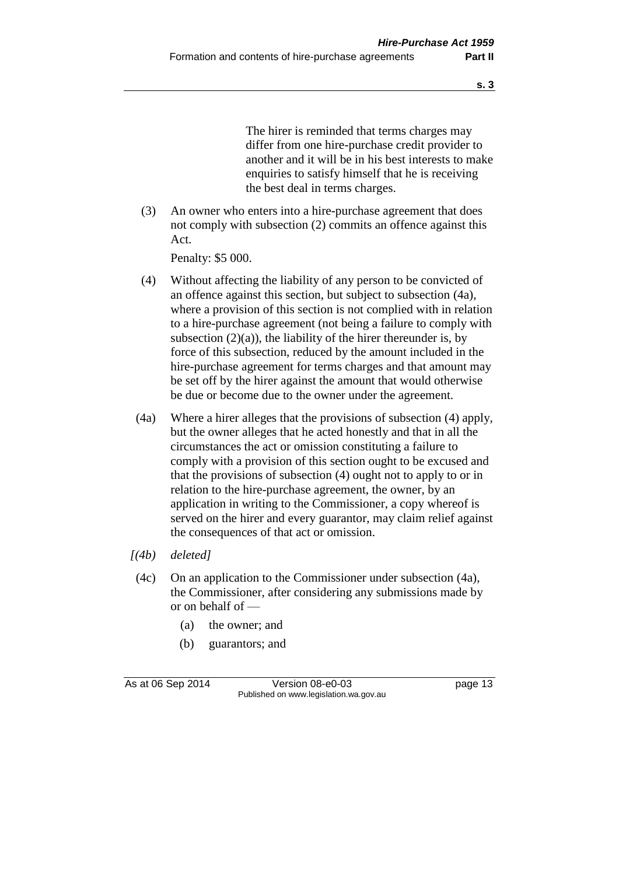The hirer is reminded that terms charges may differ from one hire-purchase credit provider to another and it will be in his best interests to make enquiries to satisfy himself that he is receiving the best deal in terms charges.

(3) An owner who enters into a hire-purchase agreement that does not comply with subsection (2) commits an offence against this Act.

Penalty: \$5 000.

- (4) Without affecting the liability of any person to be convicted of an offence against this section, but subject to subsection (4a), where a provision of this section is not complied with in relation to a hire-purchase agreement (not being a failure to comply with subsection  $(2)(a)$ , the liability of the hirer thereunder is, by force of this subsection, reduced by the amount included in the hire-purchase agreement for terms charges and that amount may be set off by the hirer against the amount that would otherwise be due or become due to the owner under the agreement.
- (4a) Where a hirer alleges that the provisions of subsection (4) apply, but the owner alleges that he acted honestly and that in all the circumstances the act or omission constituting a failure to comply with a provision of this section ought to be excused and that the provisions of subsection (4) ought not to apply to or in relation to the hire-purchase agreement, the owner, by an application in writing to the Commissioner, a copy whereof is served on the hirer and every guarantor, may claim relief against the consequences of that act or omission.
- *[(4b) deleted]*
- (4c) On an application to the Commissioner under subsection (4a), the Commissioner, after considering any submissions made by or on behalf of —
	- (a) the owner; and
	- (b) guarantors; and

As at 06 Sep 2014 Version 08-e0-03 page 13 Published on www.legislation.wa.gov.au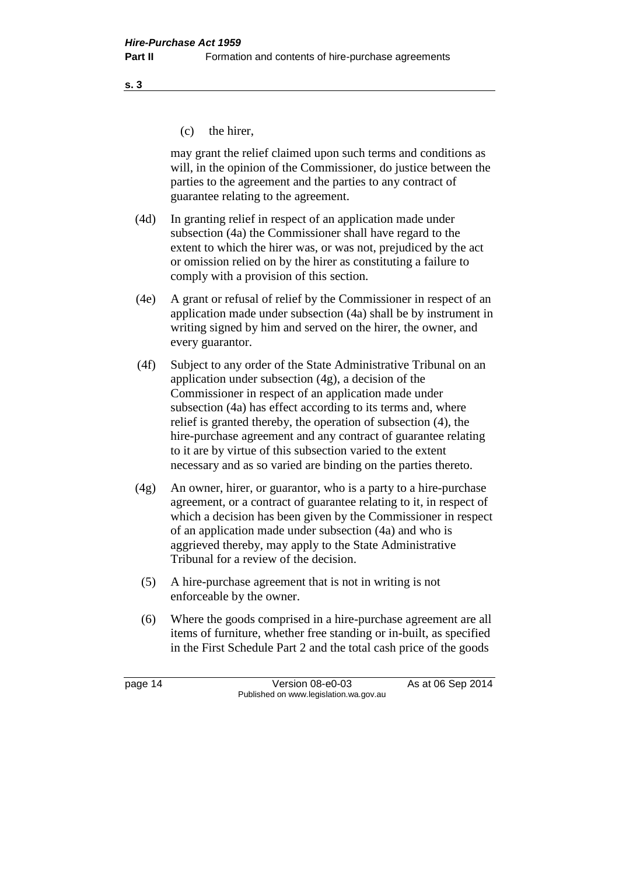**s. 3**

(c) the hirer,

may grant the relief claimed upon such terms and conditions as will, in the opinion of the Commissioner, do justice between the parties to the agreement and the parties to any contract of guarantee relating to the agreement.

- (4d) In granting relief in respect of an application made under subsection (4a) the Commissioner shall have regard to the extent to which the hirer was, or was not, prejudiced by the act or omission relied on by the hirer as constituting a failure to comply with a provision of this section.
- (4e) A grant or refusal of relief by the Commissioner in respect of an application made under subsection (4a) shall be by instrument in writing signed by him and served on the hirer, the owner, and every guarantor.
- (4f) Subject to any order of the State Administrative Tribunal on an application under subsection (4g), a decision of the Commissioner in respect of an application made under subsection (4a) has effect according to its terms and, where relief is granted thereby, the operation of subsection (4), the hire-purchase agreement and any contract of guarantee relating to it are by virtue of this subsection varied to the extent necessary and as so varied are binding on the parties thereto.
- (4g) An owner, hirer, or guarantor, who is a party to a hire-purchase agreement, or a contract of guarantee relating to it, in respect of which a decision has been given by the Commissioner in respect of an application made under subsection (4a) and who is aggrieved thereby, may apply to the State Administrative Tribunal for a review of the decision.
	- (5) A hire-purchase agreement that is not in writing is not enforceable by the owner.
	- (6) Where the goods comprised in a hire-purchase agreement are all items of furniture, whether free standing or in-built, as specified in the First Schedule Part 2 and the total cash price of the goods

page 14 Version 08-e0-03 As at 06 Sep 2014 Published on www.legislation.wa.gov.au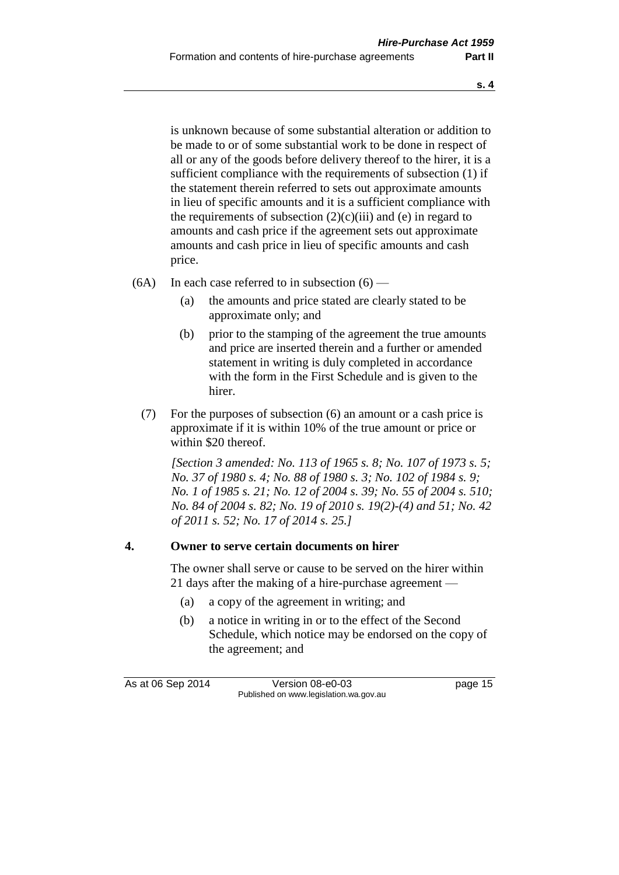is unknown because of some substantial alteration or addition to be made to or of some substantial work to be done in respect of all or any of the goods before delivery thereof to the hirer, it is a sufficient compliance with the requirements of subsection (1) if the statement therein referred to sets out approximate amounts in lieu of specific amounts and it is a sufficient compliance with the requirements of subsection  $(2)(c)(iii)$  and (e) in regard to amounts and cash price if the agreement sets out approximate amounts and cash price in lieu of specific amounts and cash price.

- $(6A)$  In each case referred to in subsection  $(6)$ 
	- (a) the amounts and price stated are clearly stated to be approximate only; and
	- (b) prior to the stamping of the agreement the true amounts and price are inserted therein and a further or amended statement in writing is duly completed in accordance with the form in the First Schedule and is given to the hirer.
	- (7) For the purposes of subsection (6) an amount or a cash price is approximate if it is within 10% of the true amount or price or within \$20 thereof.

*[Section 3 amended: No. 113 of 1965 s. 8; No. 107 of 1973 s. 5; No. 37 of 1980 s. 4; No. 88 of 1980 s. 3; No. 102 of 1984 s. 9; No. 1 of 1985 s. 21; No. 12 of 2004 s. 39; No. 55 of 2004 s. 510; No. 84 of 2004 s. 82; No. 19 of 2010 s. 19(2)-(4) and 51; No. 42 of 2011 s. 52; No. 17 of 2014 s. 25.]*

#### **4. Owner to serve certain documents on hirer**

The owner shall serve or cause to be served on the hirer within 21 days after the making of a hire-purchase agreement —

- (a) a copy of the agreement in writing; and
- (b) a notice in writing in or to the effect of the Second Schedule, which notice may be endorsed on the copy of the agreement; and

As at 06 Sep 2014 Version 08-e0-03 page 15 Published on www.legislation.wa.gov.au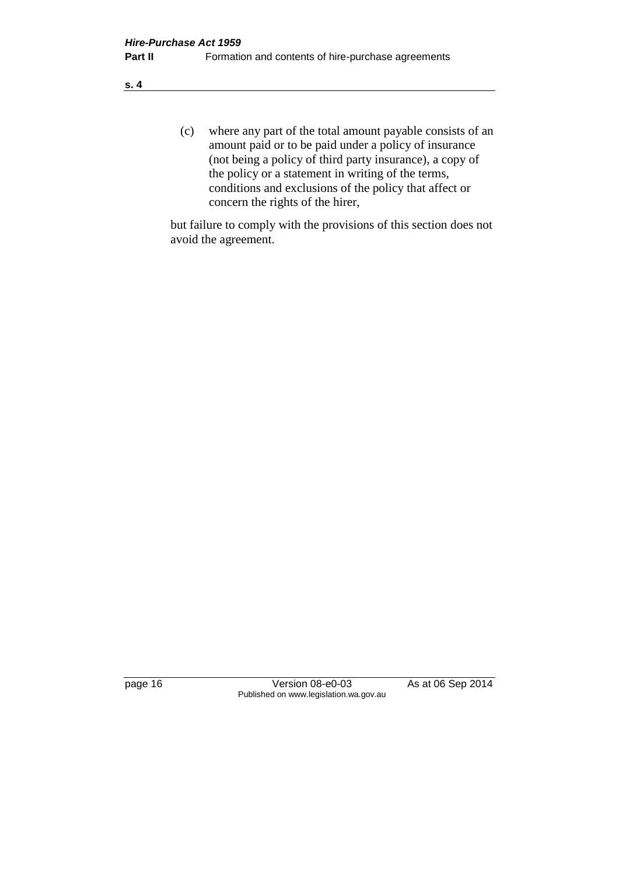**s. 4**

(c) where any part of the total amount payable consists of an amount paid or to be paid under a policy of insurance (not being a policy of third party insurance), a copy of the policy or a statement in writing of the terms, conditions and exclusions of the policy that affect or concern the rights of the hirer,

but failure to comply with the provisions of this section does not avoid the agreement.

page 16 Version 08-e0-03 As at 06 Sep 2014 Published on www.legislation.wa.gov.au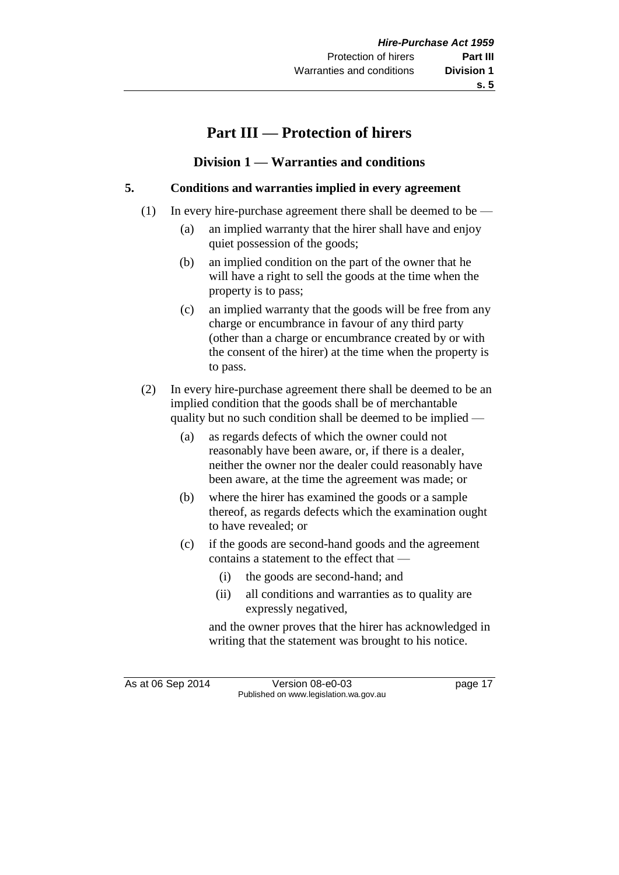## **Part III — Protection of hirers**

#### **Division 1 — Warranties and conditions**

#### **5. Conditions and warranties implied in every agreement**

- (1) In every hire-purchase agreement there shall be deemed to be
	- (a) an implied warranty that the hirer shall have and enjoy quiet possession of the goods;
	- (b) an implied condition on the part of the owner that he will have a right to sell the goods at the time when the property is to pass;
	- (c) an implied warranty that the goods will be free from any charge or encumbrance in favour of any third party (other than a charge or encumbrance created by or with the consent of the hirer) at the time when the property is to pass.
- (2) In every hire-purchase agreement there shall be deemed to be an implied condition that the goods shall be of merchantable quality but no such condition shall be deemed to be implied —
	- (a) as regards defects of which the owner could not reasonably have been aware, or, if there is a dealer, neither the owner nor the dealer could reasonably have been aware, at the time the agreement was made; or
	- (b) where the hirer has examined the goods or a sample thereof, as regards defects which the examination ought to have revealed; or
	- (c) if the goods are second-hand goods and the agreement contains a statement to the effect that —
		- (i) the goods are second-hand; and
		- (ii) all conditions and warranties as to quality are expressly negatived,

and the owner proves that the hirer has acknowledged in writing that the statement was brought to his notice.

As at 06 Sep 2014 Version 08-e0-03 page 17 Published on www.legislation.wa.gov.au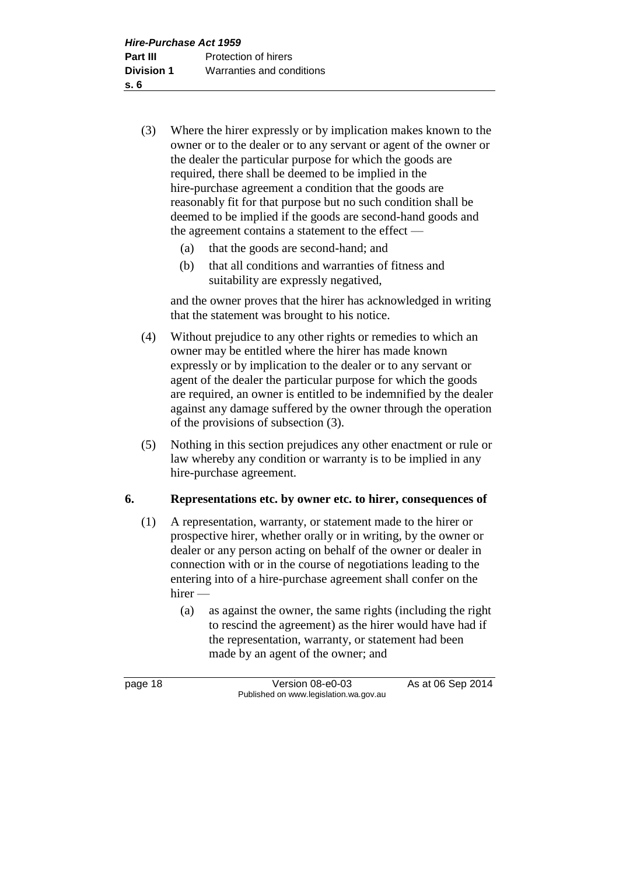- (3) Where the hirer expressly or by implication makes known to the owner or to the dealer or to any servant or agent of the owner or the dealer the particular purpose for which the goods are required, there shall be deemed to be implied in the hire-purchase agreement a condition that the goods are reasonably fit for that purpose but no such condition shall be deemed to be implied if the goods are second-hand goods and the agreement contains a statement to the effect —
	- (a) that the goods are second-hand; and
	- (b) that all conditions and warranties of fitness and suitability are expressly negatived,

and the owner proves that the hirer has acknowledged in writing that the statement was brought to his notice.

- (4) Without prejudice to any other rights or remedies to which an owner may be entitled where the hirer has made known expressly or by implication to the dealer or to any servant or agent of the dealer the particular purpose for which the goods are required, an owner is entitled to be indemnified by the dealer against any damage suffered by the owner through the operation of the provisions of subsection (3).
- (5) Nothing in this section prejudices any other enactment or rule or law whereby any condition or warranty is to be implied in any hire-purchase agreement.

#### **6. Representations etc. by owner etc. to hirer, consequences of**

- (1) A representation, warranty, or statement made to the hirer or prospective hirer, whether orally or in writing, by the owner or dealer or any person acting on behalf of the owner or dealer in connection with or in the course of negotiations leading to the entering into of a hire-purchase agreement shall confer on the hirer —
	- (a) as against the owner, the same rights (including the right to rescind the agreement) as the hirer would have had if the representation, warranty, or statement had been made by an agent of the owner; and

page 18 Version 08-e0-03 As at 06 Sep 2014 Published on www.legislation.wa.gov.au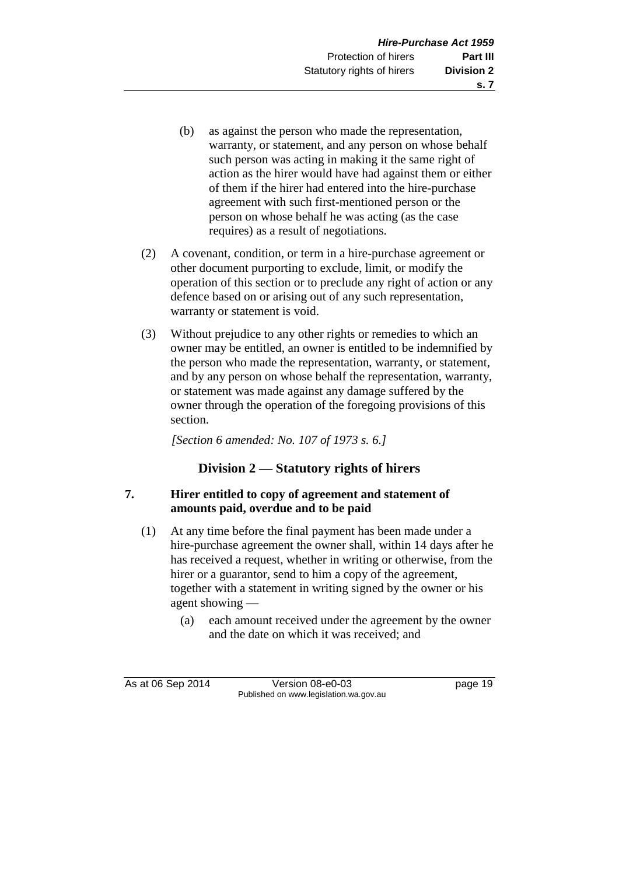- (b) as against the person who made the representation, warranty, or statement, and any person on whose behalf such person was acting in making it the same right of action as the hirer would have had against them or either of them if the hirer had entered into the hire-purchase agreement with such first-mentioned person or the person on whose behalf he was acting (as the case requires) as a result of negotiations.
- (2) A covenant, condition, or term in a hire-purchase agreement or other document purporting to exclude, limit, or modify the operation of this section or to preclude any right of action or any defence based on or arising out of any such representation, warranty or statement is void.
- (3) Without prejudice to any other rights or remedies to which an owner may be entitled, an owner is entitled to be indemnified by the person who made the representation, warranty, or statement, and by any person on whose behalf the representation, warranty, or statement was made against any damage suffered by the owner through the operation of the foregoing provisions of this section.

*[Section 6 amended: No. 107 of 1973 s. 6.]*

#### **Division 2 — Statutory rights of hirers**

#### **7. Hirer entitled to copy of agreement and statement of amounts paid, overdue and to be paid**

- (1) At any time before the final payment has been made under a hire-purchase agreement the owner shall, within 14 days after he has received a request, whether in writing or otherwise, from the hirer or a guarantor, send to him a copy of the agreement, together with a statement in writing signed by the owner or his agent showing —
	- (a) each amount received under the agreement by the owner and the date on which it was received; and

As at 06 Sep 2014 Version 08-e0-03 page 19 Published on www.legislation.wa.gov.au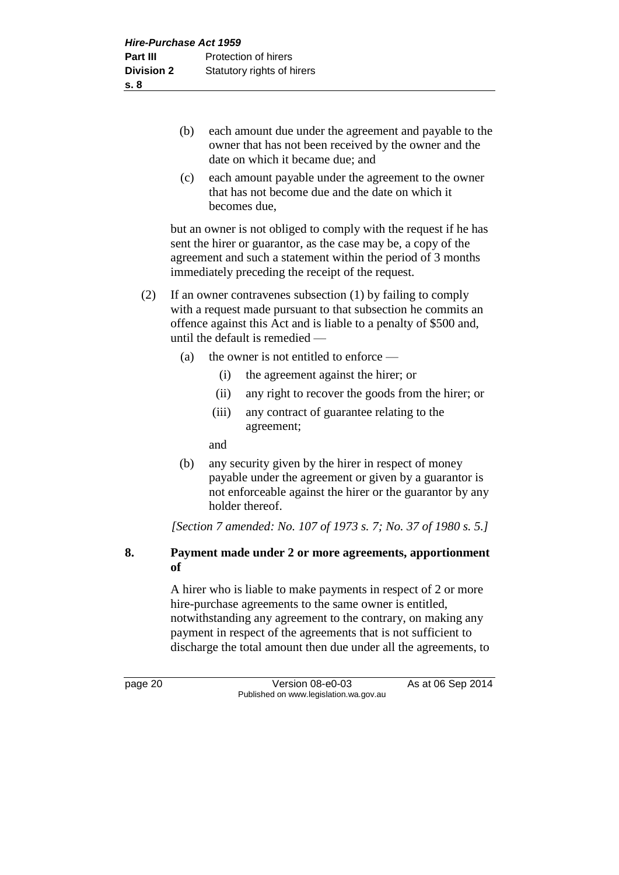- (b) each amount due under the agreement and payable to the owner that has not been received by the owner and the date on which it became due; and
- (c) each amount payable under the agreement to the owner that has not become due and the date on which it becomes due,

but an owner is not obliged to comply with the request if he has sent the hirer or guarantor, as the case may be, a copy of the agreement and such a statement within the period of 3 months immediately preceding the receipt of the request.

- (2) If an owner contravenes subsection (1) by failing to comply with a request made pursuant to that subsection he commits an offence against this Act and is liable to a penalty of \$500 and, until the default is remedied —
	- (a) the owner is not entitled to enforce
		- (i) the agreement against the hirer; or
		- (ii) any right to recover the goods from the hirer; or
		- (iii) any contract of guarantee relating to the agreement;

and

(b) any security given by the hirer in respect of money payable under the agreement or given by a guarantor is not enforceable against the hirer or the guarantor by any holder thereof.

*[Section 7 amended: No. 107 of 1973 s. 7; No. 37 of 1980 s. 5.]*

#### **8. Payment made under 2 or more agreements, apportionment of**

A hirer who is liable to make payments in respect of 2 or more hire-purchase agreements to the same owner is entitled, notwithstanding any agreement to the contrary, on making any payment in respect of the agreements that is not sufficient to discharge the total amount then due under all the agreements, to

page 20 Version 08-e0-03 As at 06 Sep 2014 Published on www.legislation.wa.gov.au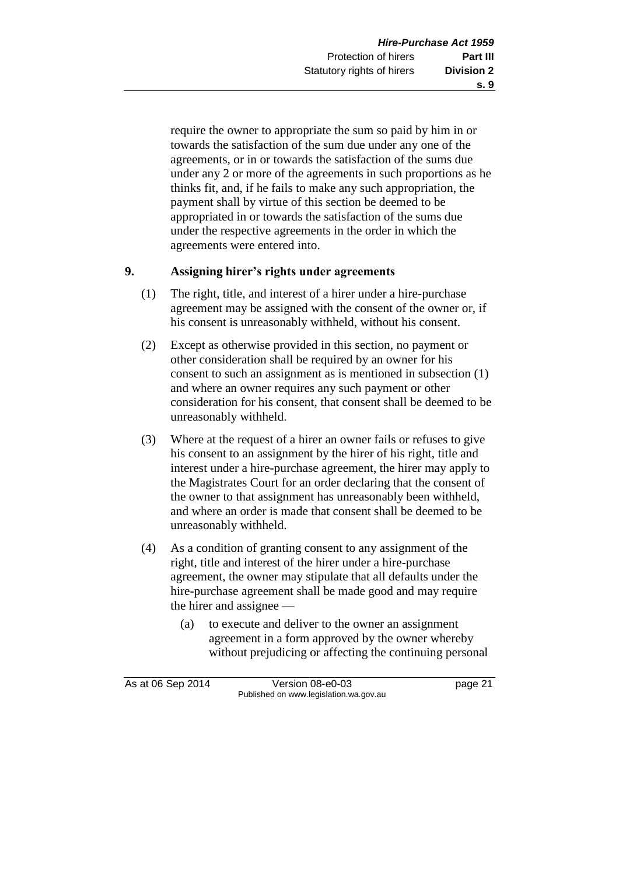require the owner to appropriate the sum so paid by him in or towards the satisfaction of the sum due under any one of the agreements, or in or towards the satisfaction of the sums due under any 2 or more of the agreements in such proportions as he thinks fit, and, if he fails to make any such appropriation, the payment shall by virtue of this section be deemed to be appropriated in or towards the satisfaction of the sums due under the respective agreements in the order in which the agreements were entered into.

#### **9. Assigning hirer's rights under agreements**

- (1) The right, title, and interest of a hirer under a hire-purchase agreement may be assigned with the consent of the owner or, if his consent is unreasonably withheld, without his consent.
- (2) Except as otherwise provided in this section, no payment or other consideration shall be required by an owner for his consent to such an assignment as is mentioned in subsection (1) and where an owner requires any such payment or other consideration for his consent, that consent shall be deemed to be unreasonably withheld.
- (3) Where at the request of a hirer an owner fails or refuses to give his consent to an assignment by the hirer of his right, title and interest under a hire-purchase agreement, the hirer may apply to the Magistrates Court for an order declaring that the consent of the owner to that assignment has unreasonably been withheld, and where an order is made that consent shall be deemed to be unreasonably withheld.
- (4) As a condition of granting consent to any assignment of the right, title and interest of the hirer under a hire-purchase agreement, the owner may stipulate that all defaults under the hire-purchase agreement shall be made good and may require the hirer and assignee —
	- (a) to execute and deliver to the owner an assignment agreement in a form approved by the owner whereby without prejudicing or affecting the continuing personal

As at 06 Sep 2014 Version 08-e0-03 page 21 Published on www.legislation.wa.gov.au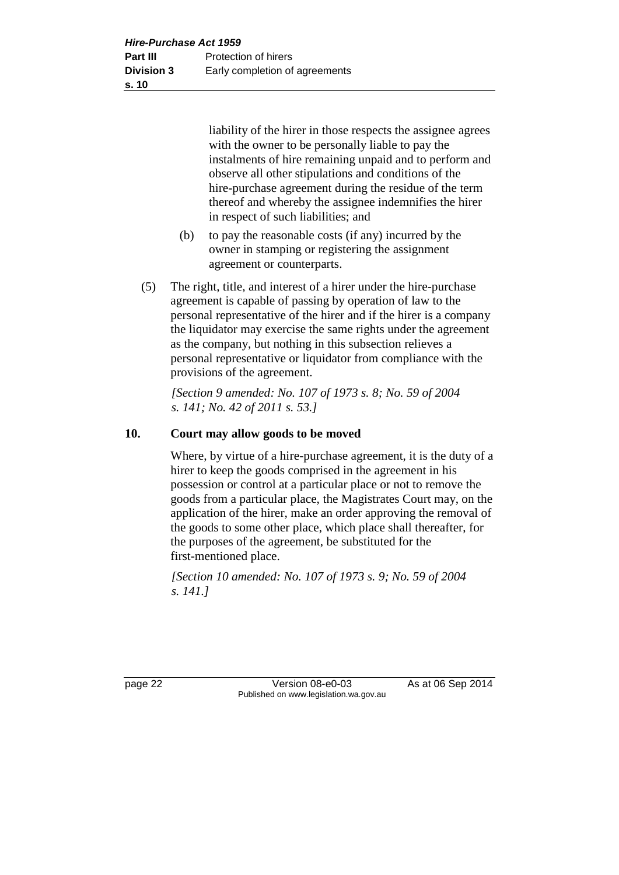liability of the hirer in those respects the assignee agrees with the owner to be personally liable to pay the instalments of hire remaining unpaid and to perform and observe all other stipulations and conditions of the hire-purchase agreement during the residue of the term thereof and whereby the assignee indemnifies the hirer in respect of such liabilities; and

- (b) to pay the reasonable costs (if any) incurred by the owner in stamping or registering the assignment agreement or counterparts.
- (5) The right, title, and interest of a hirer under the hire-purchase agreement is capable of passing by operation of law to the personal representative of the hirer and if the hirer is a company the liquidator may exercise the same rights under the agreement as the company, but nothing in this subsection relieves a personal representative or liquidator from compliance with the provisions of the agreement.

*[Section 9 amended: No. 107 of 1973 s. 8; No. 59 of 2004 s. 141; No. 42 of 2011 s. 53.]*

#### **10. Court may allow goods to be moved**

Where, by virtue of a hire-purchase agreement, it is the duty of a hirer to keep the goods comprised in the agreement in his possession or control at a particular place or not to remove the goods from a particular place, the Magistrates Court may, on the application of the hirer, make an order approving the removal of the goods to some other place, which place shall thereafter, for the purposes of the agreement, be substituted for the first-mentioned place.

*[Section 10 amended: No. 107 of 1973 s. 9; No. 59 of 2004 s. 141.]*

page 22 Version 08-e0-03 As at 06 Sep 2014 Published on www.legislation.wa.gov.au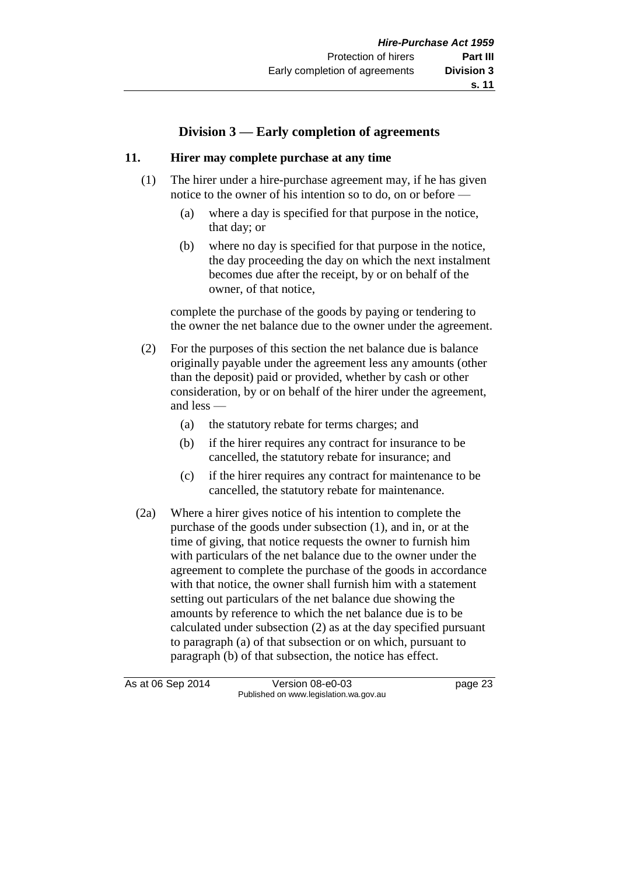### **Division 3 — Early completion of agreements**

#### **11. Hirer may complete purchase at any time**

- (1) The hirer under a hire-purchase agreement may, if he has given notice to the owner of his intention so to do, on or before —
	- (a) where a day is specified for that purpose in the notice, that day; or
	- (b) where no day is specified for that purpose in the notice, the day proceeding the day on which the next instalment becomes due after the receipt, by or on behalf of the owner, of that notice,

complete the purchase of the goods by paying or tendering to the owner the net balance due to the owner under the agreement.

- (2) For the purposes of this section the net balance due is balance originally payable under the agreement less any amounts (other than the deposit) paid or provided, whether by cash or other consideration, by or on behalf of the hirer under the agreement, and less —
	- (a) the statutory rebate for terms charges; and
	- (b) if the hirer requires any contract for insurance to be cancelled, the statutory rebate for insurance; and
	- (c) if the hirer requires any contract for maintenance to be cancelled, the statutory rebate for maintenance.
- (2a) Where a hirer gives notice of his intention to complete the purchase of the goods under subsection (1), and in, or at the time of giving, that notice requests the owner to furnish him with particulars of the net balance due to the owner under the agreement to complete the purchase of the goods in accordance with that notice, the owner shall furnish him with a statement setting out particulars of the net balance due showing the amounts by reference to which the net balance due is to be calculated under subsection (2) as at the day specified pursuant to paragraph (a) of that subsection or on which, pursuant to paragraph (b) of that subsection, the notice has effect.

As at 06 Sep 2014 Version 08-e0-03 page 23 Published on www.legislation.wa.gov.au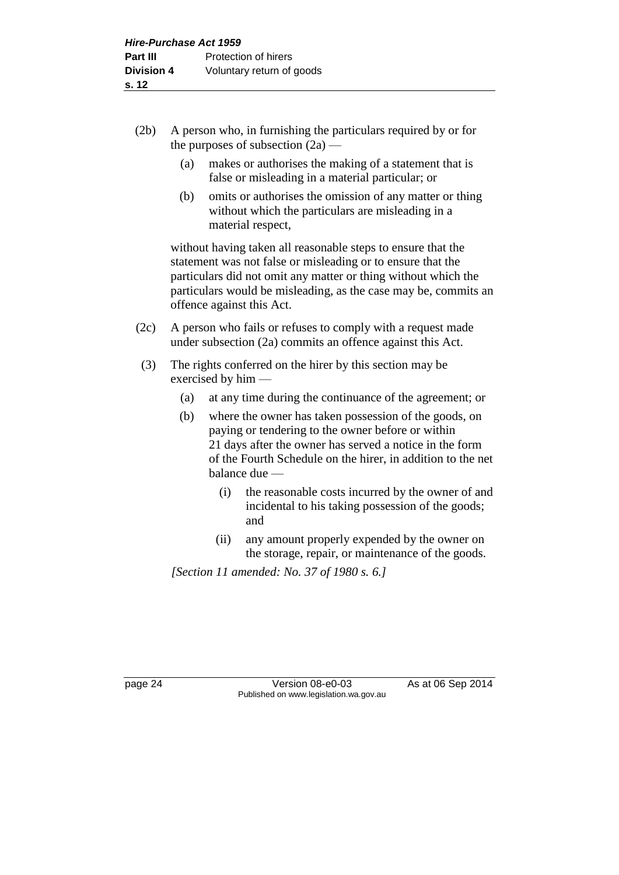- (2b) A person who, in furnishing the particulars required by or for the purposes of subsection  $(2a)$  —
	- (a) makes or authorises the making of a statement that is false or misleading in a material particular; or
	- (b) omits or authorises the omission of any matter or thing without which the particulars are misleading in a material respect,

without having taken all reasonable steps to ensure that the statement was not false or misleading or to ensure that the particulars did not omit any matter or thing without which the particulars would be misleading, as the case may be, commits an offence against this Act.

- (2c) A person who fails or refuses to comply with a request made under subsection (2a) commits an offence against this Act.
- (3) The rights conferred on the hirer by this section may be exercised by him —
	- (a) at any time during the continuance of the agreement; or
	- (b) where the owner has taken possession of the goods, on paying or tendering to the owner before or within 21 days after the owner has served a notice in the form of the Fourth Schedule on the hirer, in addition to the net balance due —
		- (i) the reasonable costs incurred by the owner of and incidental to his taking possession of the goods; and
		- (ii) any amount properly expended by the owner on the storage, repair, or maintenance of the goods.

*[Section 11 amended: No. 37 of 1980 s. 6.]*

page 24 Version 08-e0-03 As at 06 Sep 2014 Published on www.legislation.wa.gov.au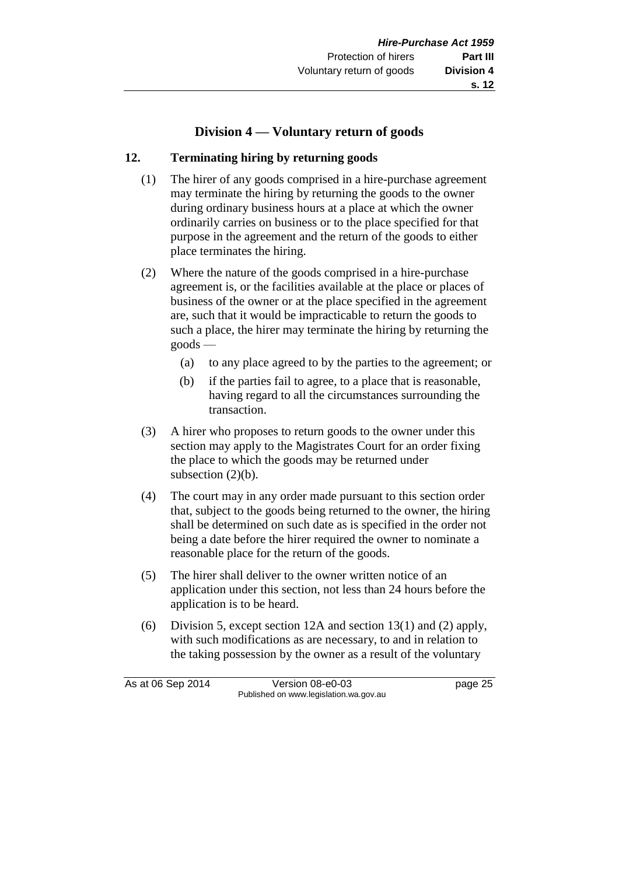#### **Division 4 — Voluntary return of goods**

#### **12. Terminating hiring by returning goods**

- (1) The hirer of any goods comprised in a hire-purchase agreement may terminate the hiring by returning the goods to the owner during ordinary business hours at a place at which the owner ordinarily carries on business or to the place specified for that purpose in the agreement and the return of the goods to either place terminates the hiring.
- (2) Where the nature of the goods comprised in a hire-purchase agreement is, or the facilities available at the place or places of business of the owner or at the place specified in the agreement are, such that it would be impracticable to return the goods to such a place, the hirer may terminate the hiring by returning the goods —
	- (a) to any place agreed to by the parties to the agreement; or
	- (b) if the parties fail to agree, to a place that is reasonable, having regard to all the circumstances surrounding the transaction.
- (3) A hirer who proposes to return goods to the owner under this section may apply to the Magistrates Court for an order fixing the place to which the goods may be returned under subsection  $(2)(b)$ .
- (4) The court may in any order made pursuant to this section order that, subject to the goods being returned to the owner, the hiring shall be determined on such date as is specified in the order not being a date before the hirer required the owner to nominate a reasonable place for the return of the goods.
- (5) The hirer shall deliver to the owner written notice of an application under this section, not less than 24 hours before the application is to be heard.
- (6) Division 5, except section 12A and section 13(1) and (2) apply, with such modifications as are necessary, to and in relation to the taking possession by the owner as a result of the voluntary

As at 06 Sep 2014 Version 08-e0-03 page 25 Published on www.legislation.wa.gov.au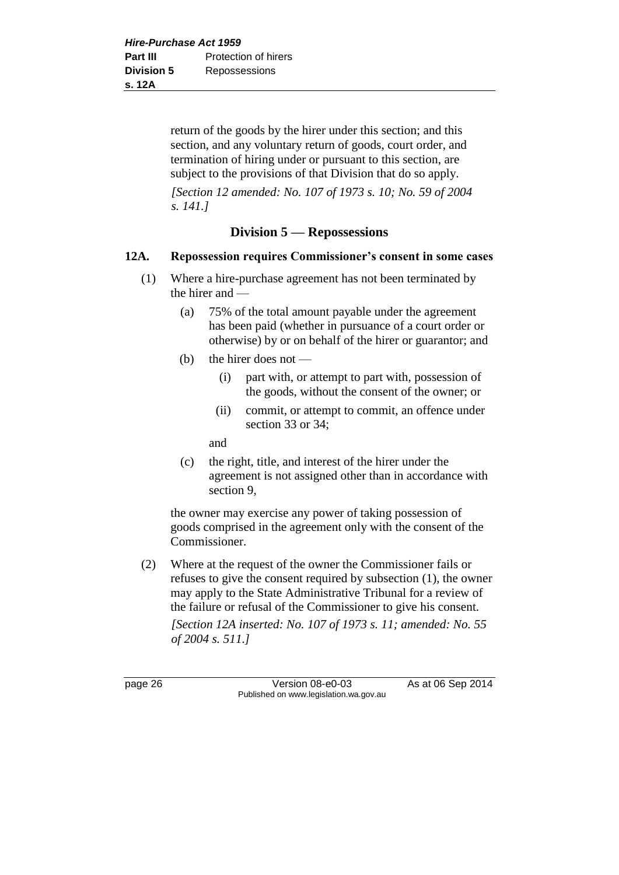return of the goods by the hirer under this section; and this section, and any voluntary return of goods, court order, and termination of hiring under or pursuant to this section, are subject to the provisions of that Division that do so apply.

*[Section 12 amended: No. 107 of 1973 s. 10; No. 59 of 2004 s. 141.]*

#### **Division 5 — Repossessions**

#### **12A. Repossession requires Commissioner's consent in some cases**

- (1) Where a hire-purchase agreement has not been terminated by the hirer and —
	- (a) 75% of the total amount payable under the agreement has been paid (whether in pursuance of a court order or otherwise) by or on behalf of the hirer or guarantor; and
	- (b) the hirer does not  $\equiv$ 
		- (i) part with, or attempt to part with, possession of the goods, without the consent of the owner; or
		- (ii) commit, or attempt to commit, an offence under section 33 or 34;

and

(c) the right, title, and interest of the hirer under the agreement is not assigned other than in accordance with section 9,

the owner may exercise any power of taking possession of goods comprised in the agreement only with the consent of the Commissioner.

(2) Where at the request of the owner the Commissioner fails or refuses to give the consent required by subsection (1), the owner may apply to the State Administrative Tribunal for a review of the failure or refusal of the Commissioner to give his consent.

*[Section 12A inserted: No. 107 of 1973 s. 11; amended: No. 55 of 2004 s. 511.]*

page 26 Version 08-e0-03 As at 06 Sep 2014 Published on www.legislation.wa.gov.au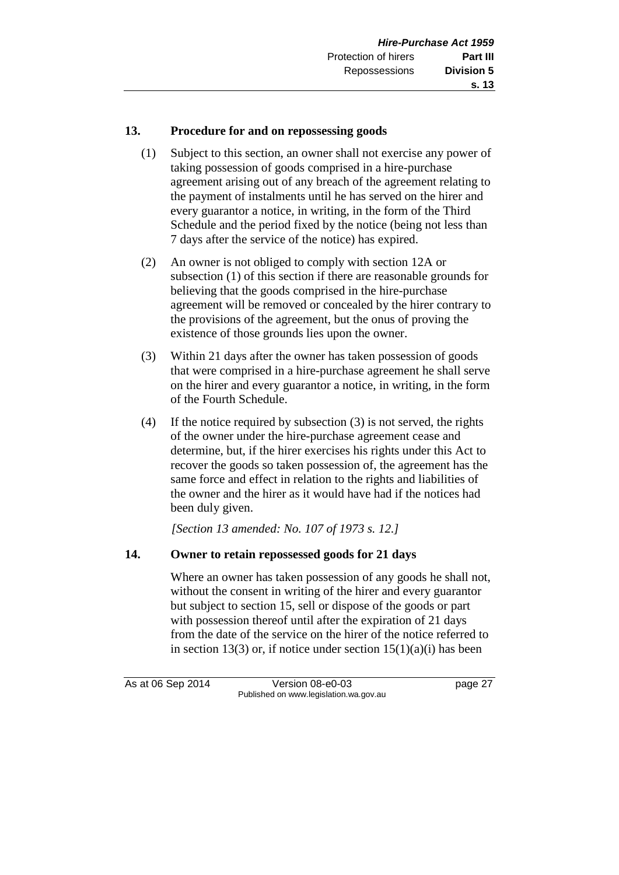#### **13. Procedure for and on repossessing goods**

- (1) Subject to this section, an owner shall not exercise any power of taking possession of goods comprised in a hire-purchase agreement arising out of any breach of the agreement relating to the payment of instalments until he has served on the hirer and every guarantor a notice, in writing, in the form of the Third Schedule and the period fixed by the notice (being not less than 7 days after the service of the notice) has expired.
- (2) An owner is not obliged to comply with section 12A or subsection (1) of this section if there are reasonable grounds for believing that the goods comprised in the hire-purchase agreement will be removed or concealed by the hirer contrary to the provisions of the agreement, but the onus of proving the existence of those grounds lies upon the owner.
- (3) Within 21 days after the owner has taken possession of goods that were comprised in a hire-purchase agreement he shall serve on the hirer and every guarantor a notice, in writing, in the form of the Fourth Schedule.
- (4) If the notice required by subsection (3) is not served, the rights of the owner under the hire-purchase agreement cease and determine, but, if the hirer exercises his rights under this Act to recover the goods so taken possession of, the agreement has the same force and effect in relation to the rights and liabilities of the owner and the hirer as it would have had if the notices had been duly given.

*[Section 13 amended: No. 107 of 1973 s. 12.]*

#### **14. Owner to retain repossessed goods for 21 days**

Where an owner has taken possession of any goods he shall not, without the consent in writing of the hirer and every guarantor but subject to section 15, sell or dispose of the goods or part with possession thereof until after the expiration of 21 days from the date of the service on the hirer of the notice referred to in section 13(3) or, if notice under section  $15(1)(a)(i)$  has been

As at 06 Sep 2014 Version 08-e0-03 page 27 Published on www.legislation.wa.gov.au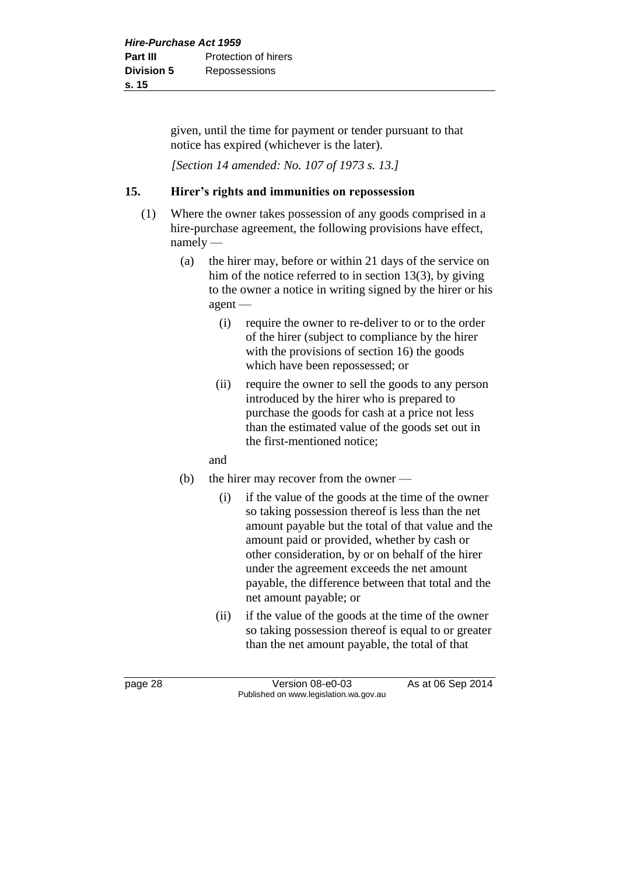given, until the time for payment or tender pursuant to that notice has expired (whichever is the later).

*[Section 14 amended: No. 107 of 1973 s. 13.]*

#### **15. Hirer's rights and immunities on repossession**

- (1) Where the owner takes possession of any goods comprised in a hire-purchase agreement, the following provisions have effect, namely —
	- (a) the hirer may, before or within 21 days of the service on him of the notice referred to in section 13(3), by giving to the owner a notice in writing signed by the hirer or his agent —
		- (i) require the owner to re-deliver to or to the order of the hirer (subject to compliance by the hirer with the provisions of section 16) the goods which have been repossessed; or
		- (ii) require the owner to sell the goods to any person introduced by the hirer who is prepared to purchase the goods for cash at a price not less than the estimated value of the goods set out in the first-mentioned notice;
		- and
	- (b) the hirer may recover from the owner
		- (i) if the value of the goods at the time of the owner so taking possession thereof is less than the net amount payable but the total of that value and the amount paid or provided, whether by cash or other consideration, by or on behalf of the hirer under the agreement exceeds the net amount payable, the difference between that total and the net amount payable; or
		- (ii) if the value of the goods at the time of the owner so taking possession thereof is equal to or greater than the net amount payable, the total of that

page 28 Version 08-e0-03 As at 06 Sep 2014 Published on www.legislation.wa.gov.au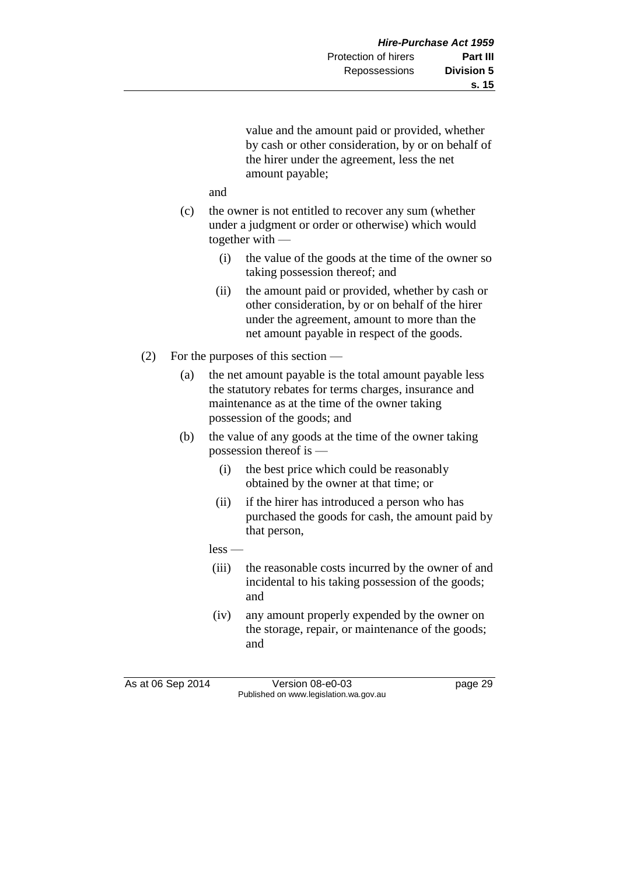value and the amount paid or provided, whether by cash or other consideration, by or on behalf of the hirer under the agreement, less the net amount payable;

and

- (c) the owner is not entitled to recover any sum (whether under a judgment or order or otherwise) which would together with —
	- (i) the value of the goods at the time of the owner so taking possession thereof; and
	- (ii) the amount paid or provided, whether by cash or other consideration, by or on behalf of the hirer under the agreement, amount to more than the net amount payable in respect of the goods.
- (2) For the purposes of this section
	- (a) the net amount payable is the total amount payable less the statutory rebates for terms charges, insurance and maintenance as at the time of the owner taking possession of the goods; and
	- (b) the value of any goods at the time of the owner taking possession thereof is —
		- (i) the best price which could be reasonably obtained by the owner at that time; or
		- (ii) if the hirer has introduced a person who has purchased the goods for cash, the amount paid by that person,

less —

- (iii) the reasonable costs incurred by the owner of and incidental to his taking possession of the goods; and
- (iv) any amount properly expended by the owner on the storage, repair, or maintenance of the goods; and

As at 06 Sep 2014 Version 08-e0-03 page 29 Published on www.legislation.wa.gov.au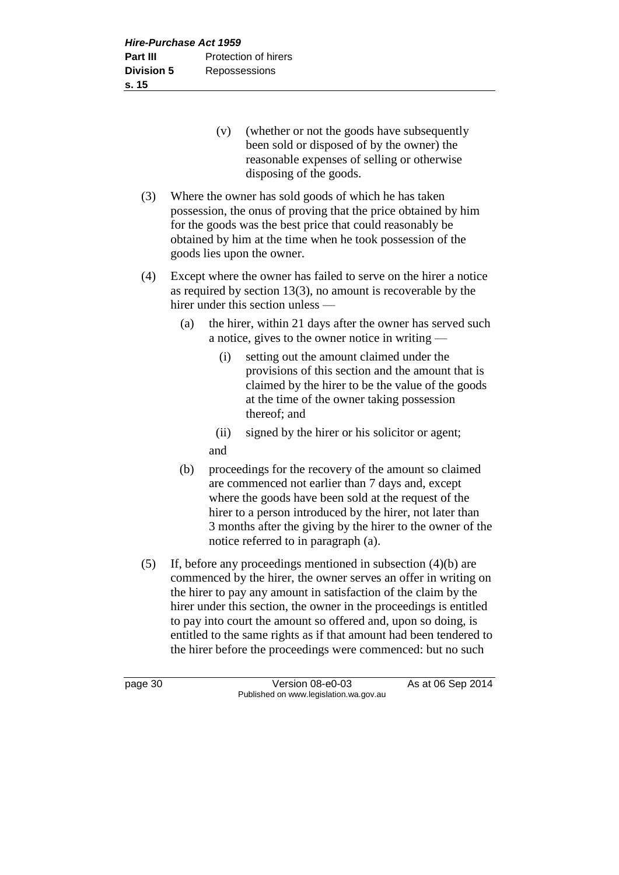- (v) (whether or not the goods have subsequently been sold or disposed of by the owner) the reasonable expenses of selling or otherwise disposing of the goods.
- (3) Where the owner has sold goods of which he has taken possession, the onus of proving that the price obtained by him for the goods was the best price that could reasonably be obtained by him at the time when he took possession of the goods lies upon the owner.
- (4) Except where the owner has failed to serve on the hirer a notice as required by section 13(3), no amount is recoverable by the hirer under this section unless —
	- (a) the hirer, within 21 days after the owner has served such a notice, gives to the owner notice in writing —
		- (i) setting out the amount claimed under the provisions of this section and the amount that is claimed by the hirer to be the value of the goods at the time of the owner taking possession thereof; and
		- (ii) signed by the hirer or his solicitor or agent; and
	- (b) proceedings for the recovery of the amount so claimed are commenced not earlier than 7 days and, except where the goods have been sold at the request of the hirer to a person introduced by the hirer, not later than 3 months after the giving by the hirer to the owner of the notice referred to in paragraph (a).
- (5) If, before any proceedings mentioned in subsection (4)(b) are commenced by the hirer, the owner serves an offer in writing on the hirer to pay any amount in satisfaction of the claim by the hirer under this section, the owner in the proceedings is entitled to pay into court the amount so offered and, upon so doing, is entitled to the same rights as if that amount had been tendered to the hirer before the proceedings were commenced: but no such

page 30 Version 08-e0-03 As at 06 Sep 2014 Published on www.legislation.wa.gov.au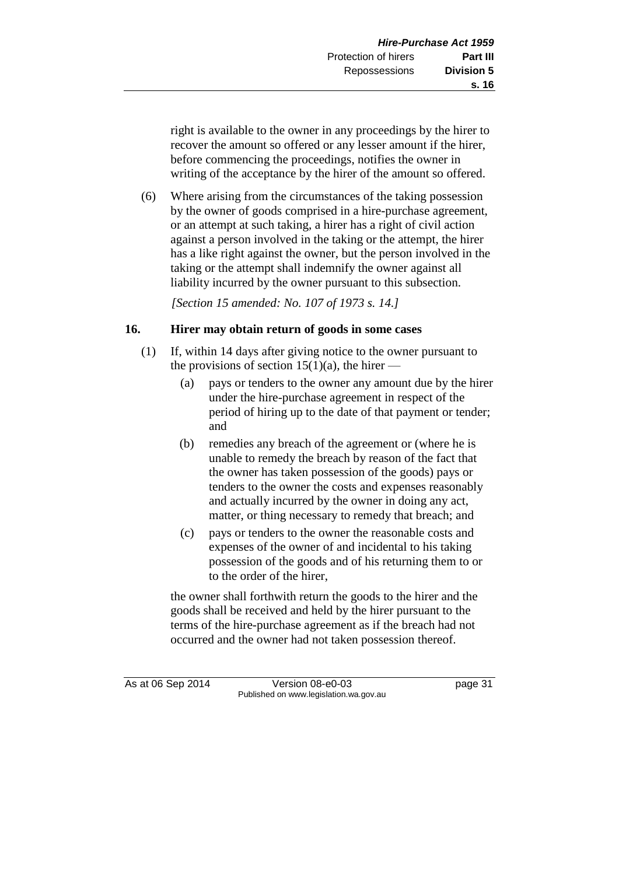right is available to the owner in any proceedings by the hirer to recover the amount so offered or any lesser amount if the hirer, before commencing the proceedings, notifies the owner in writing of the acceptance by the hirer of the amount so offered.

(6) Where arising from the circumstances of the taking possession by the owner of goods comprised in a hire-purchase agreement, or an attempt at such taking, a hirer has a right of civil action against a person involved in the taking or the attempt, the hirer has a like right against the owner, but the person involved in the taking or the attempt shall indemnify the owner against all liability incurred by the owner pursuant to this subsection.

*[Section 15 amended: No. 107 of 1973 s. 14.]*

# **16. Hirer may obtain return of goods in some cases**

- (1) If, within 14 days after giving notice to the owner pursuant to the provisions of section 15(1)(a), the hirer —
	- (a) pays or tenders to the owner any amount due by the hirer under the hire-purchase agreement in respect of the period of hiring up to the date of that payment or tender; and
	- (b) remedies any breach of the agreement or (where he is unable to remedy the breach by reason of the fact that the owner has taken possession of the goods) pays or tenders to the owner the costs and expenses reasonably and actually incurred by the owner in doing any act, matter, or thing necessary to remedy that breach; and
	- (c) pays or tenders to the owner the reasonable costs and expenses of the owner of and incidental to his taking possession of the goods and of his returning them to or to the order of the hirer,

the owner shall forthwith return the goods to the hirer and the goods shall be received and held by the hirer pursuant to the terms of the hire-purchase agreement as if the breach had not occurred and the owner had not taken possession thereof.

As at 06 Sep 2014 Version 08-e0-03 page 31 Published on www.legislation.wa.gov.au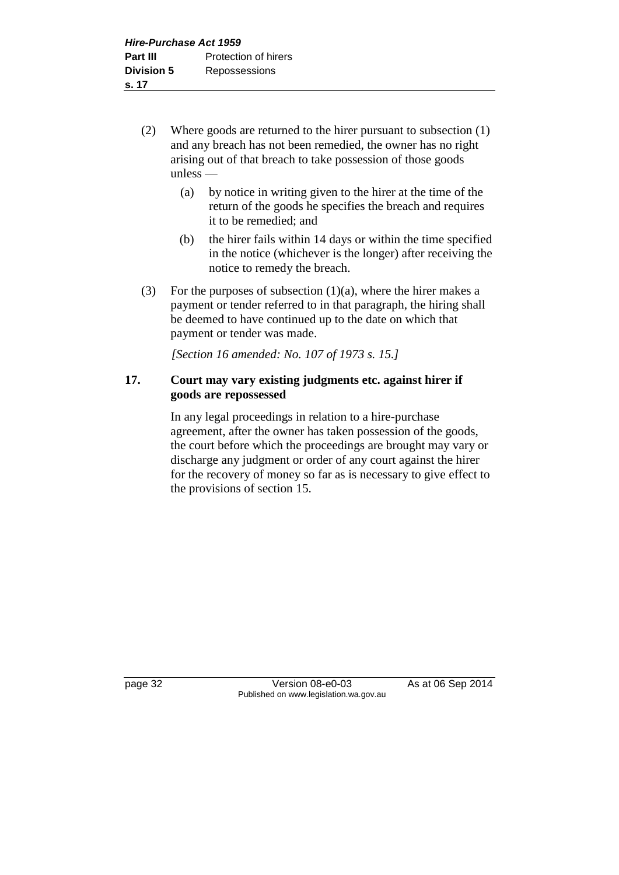- (2) Where goods are returned to the hirer pursuant to subsection (1) and any breach has not been remedied, the owner has no right arising out of that breach to take possession of those goods unless —
	- (a) by notice in writing given to the hirer at the time of the return of the goods he specifies the breach and requires it to be remedied; and
	- (b) the hirer fails within 14 days or within the time specified in the notice (whichever is the longer) after receiving the notice to remedy the breach.
- (3) For the purposes of subsection  $(1)(a)$ , where the hirer makes a payment or tender referred to in that paragraph, the hiring shall be deemed to have continued up to the date on which that payment or tender was made.

*[Section 16 amended: No. 107 of 1973 s. 15.]*

# **17. Court may vary existing judgments etc. against hirer if goods are repossessed**

In any legal proceedings in relation to a hire-purchase agreement, after the owner has taken possession of the goods, the court before which the proceedings are brought may vary or discharge any judgment or order of any court against the hirer for the recovery of money so far as is necessary to give effect to the provisions of section 15.

page 32 Version 08-e0-03 As at 06 Sep 2014 Published on www.legislation.wa.gov.au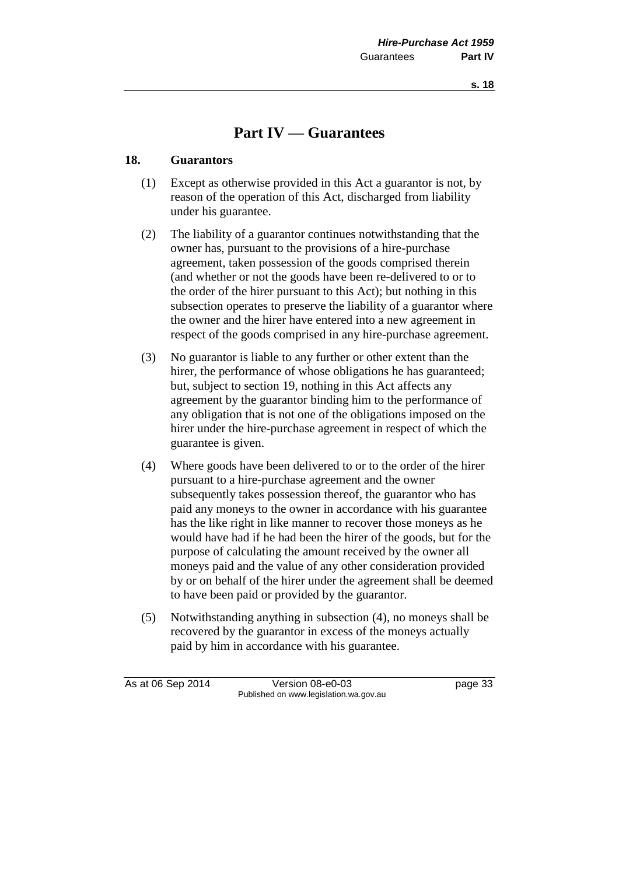**s. 18**

# **Part IV — Guarantees**

### **18. Guarantors**

- (1) Except as otherwise provided in this Act a guarantor is not, by reason of the operation of this Act, discharged from liability under his guarantee.
- (2) The liability of a guarantor continues notwithstanding that the owner has, pursuant to the provisions of a hire-purchase agreement, taken possession of the goods comprised therein (and whether or not the goods have been re-delivered to or to the order of the hirer pursuant to this Act); but nothing in this subsection operates to preserve the liability of a guarantor where the owner and the hirer have entered into a new agreement in respect of the goods comprised in any hire-purchase agreement.
- (3) No guarantor is liable to any further or other extent than the hirer, the performance of whose obligations he has guaranteed; but, subject to section 19, nothing in this Act affects any agreement by the guarantor binding him to the performance of any obligation that is not one of the obligations imposed on the hirer under the hire-purchase agreement in respect of which the guarantee is given.
- (4) Where goods have been delivered to or to the order of the hirer pursuant to a hire-purchase agreement and the owner subsequently takes possession thereof, the guarantor who has paid any moneys to the owner in accordance with his guarantee has the like right in like manner to recover those moneys as he would have had if he had been the hirer of the goods, but for the purpose of calculating the amount received by the owner all moneys paid and the value of any other consideration provided by or on behalf of the hirer under the agreement shall be deemed to have been paid or provided by the guarantor.
- (5) Notwithstanding anything in subsection (4), no moneys shall be recovered by the guarantor in excess of the moneys actually paid by him in accordance with his guarantee.

As at 06 Sep 2014 Version 08-e0-03 page 33 Published on www.legislation.wa.gov.au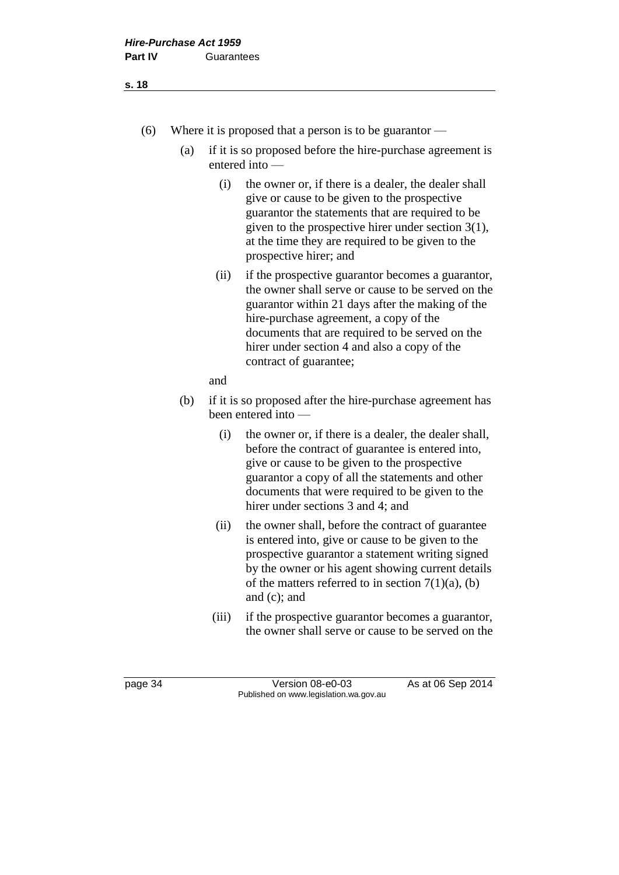#### **s. 18**

- (6) Where it is proposed that a person is to be guarantor
	- (a) if it is so proposed before the hire-purchase agreement is entered into —
		- (i) the owner or, if there is a dealer, the dealer shall give or cause to be given to the prospective guarantor the statements that are required to be given to the prospective hirer under section 3(1), at the time they are required to be given to the prospective hirer; and
		- (ii) if the prospective guarantor becomes a guarantor, the owner shall serve or cause to be served on the guarantor within 21 days after the making of the hire-purchase agreement, a copy of the documents that are required to be served on the hirer under section 4 and also a copy of the contract of guarantee;

#### and

- (b) if it is so proposed after the hire-purchase agreement has been entered into —
	- (i) the owner or, if there is a dealer, the dealer shall, before the contract of guarantee is entered into, give or cause to be given to the prospective guarantor a copy of all the statements and other documents that were required to be given to the hirer under sections 3 and 4; and
	- (ii) the owner shall, before the contract of guarantee is entered into, give or cause to be given to the prospective guarantor a statement writing signed by the owner or his agent showing current details of the matters referred to in section  $7(1)(a)$ , (b) and (c); and
	- (iii) if the prospective guarantor becomes a guarantor, the owner shall serve or cause to be served on the

page 34 Version 08-e0-03 As at 06 Sep 2014 Published on www.legislation.wa.gov.au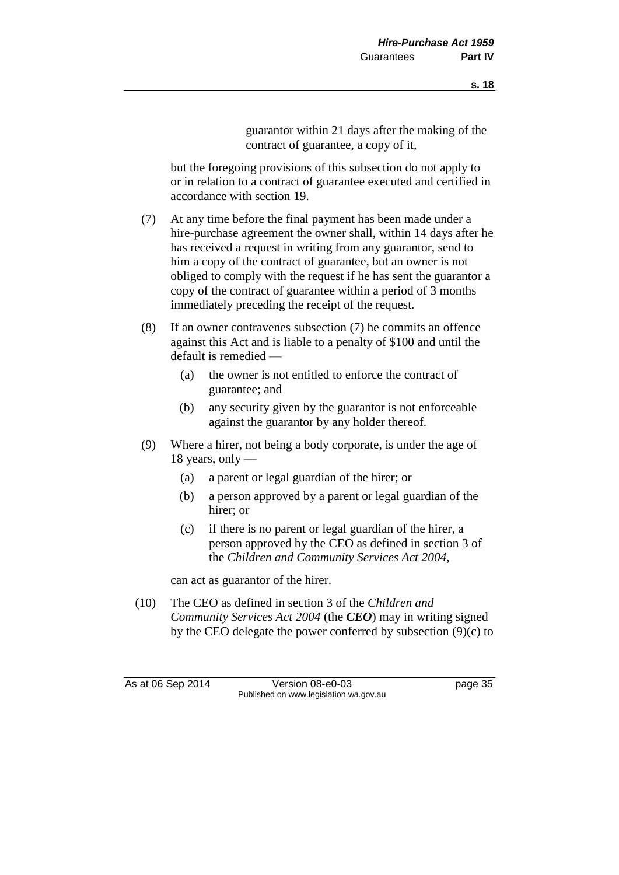guarantor within 21 days after the making of the contract of guarantee, a copy of it,

but the foregoing provisions of this subsection do not apply to or in relation to a contract of guarantee executed and certified in accordance with section 19.

- (7) At any time before the final payment has been made under a hire-purchase agreement the owner shall, within 14 days after he has received a request in writing from any guarantor, send to him a copy of the contract of guarantee, but an owner is not obliged to comply with the request if he has sent the guarantor a copy of the contract of guarantee within a period of 3 months immediately preceding the receipt of the request.
- (8) If an owner contravenes subsection (7) he commits an offence against this Act and is liable to a penalty of \$100 and until the default is remedied —
	- (a) the owner is not entitled to enforce the contract of guarantee; and
	- (b) any security given by the guarantor is not enforceable against the guarantor by any holder thereof.
- (9) Where a hirer, not being a body corporate, is under the age of 18 years, only  $-$ 
	- (a) a parent or legal guardian of the hirer; or
	- (b) a person approved by a parent or legal guardian of the hirer; or
	- (c) if there is no parent or legal guardian of the hirer, a person approved by the CEO as defined in section 3 of the *Children and Community Services Act 2004*,

can act as guarantor of the hirer.

(10) The CEO as defined in section 3 of the *Children and Community Services Act 2004* (the *CEO*) may in writing signed by the CEO delegate the power conferred by subsection (9)(c) to

As at 06 Sep 2014 Version 08-e0-03 page 35 Published on www.legislation.wa.gov.au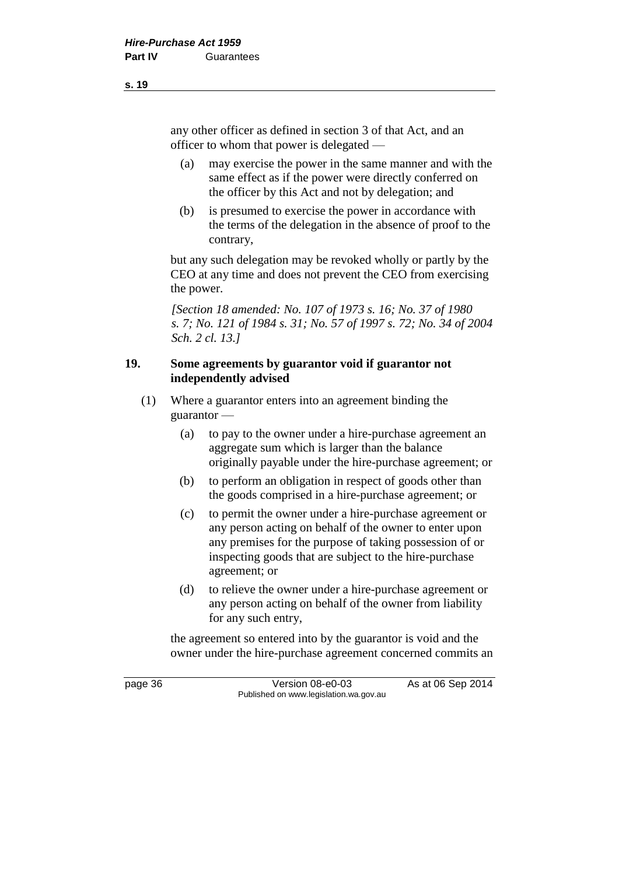any other officer as defined in section 3 of that Act, and an officer to whom that power is delegated —

- (a) may exercise the power in the same manner and with the same effect as if the power were directly conferred on the officer by this Act and not by delegation; and
- (b) is presumed to exercise the power in accordance with the terms of the delegation in the absence of proof to the contrary,

but any such delegation may be revoked wholly or partly by the CEO at any time and does not prevent the CEO from exercising the power.

*[Section 18 amended: No. 107 of 1973 s. 16; No. 37 of 1980 s. 7; No. 121 of 1984 s. 31; No. 57 of 1997 s. 72; No. 34 of 2004 Sch. 2 cl. 13.]*

### **19. Some agreements by guarantor void if guarantor not independently advised**

- (1) Where a guarantor enters into an agreement binding the guarantor —
	- (a) to pay to the owner under a hire-purchase agreement an aggregate sum which is larger than the balance originally payable under the hire-purchase agreement; or
	- (b) to perform an obligation in respect of goods other than the goods comprised in a hire-purchase agreement; or
	- (c) to permit the owner under a hire-purchase agreement or any person acting on behalf of the owner to enter upon any premises for the purpose of taking possession of or inspecting goods that are subject to the hire-purchase agreement; or
	- (d) to relieve the owner under a hire-purchase agreement or any person acting on behalf of the owner from liability for any such entry,

the agreement so entered into by the guarantor is void and the owner under the hire-purchase agreement concerned commits an

page 36 Version 08-e0-03 As at 06 Sep 2014 Published on www.legislation.wa.gov.au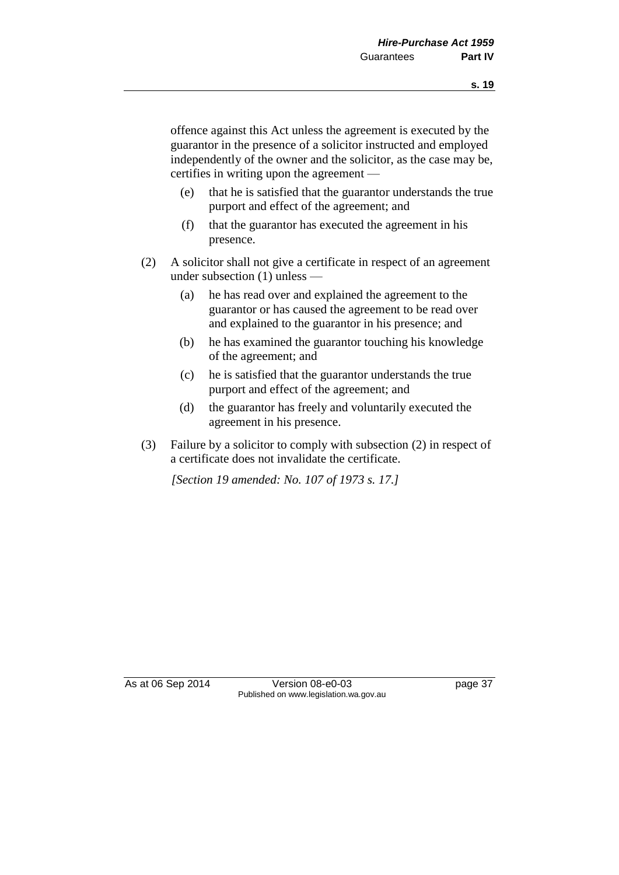offence against this Act unless the agreement is executed by the guarantor in the presence of a solicitor instructed and employed independently of the owner and the solicitor, as the case may be, certifies in writing upon the agreement —

- (e) that he is satisfied that the guarantor understands the true purport and effect of the agreement; and
- (f) that the guarantor has executed the agreement in his presence.
- (2) A solicitor shall not give a certificate in respect of an agreement under subsection (1) unless —
	- (a) he has read over and explained the agreement to the guarantor or has caused the agreement to be read over and explained to the guarantor in his presence; and
	- (b) he has examined the guarantor touching his knowledge of the agreement; and
	- (c) he is satisfied that the guarantor understands the true purport and effect of the agreement; and
	- (d) the guarantor has freely and voluntarily executed the agreement in his presence.
- (3) Failure by a solicitor to comply with subsection (2) in respect of a certificate does not invalidate the certificate.

*[Section 19 amended: No. 107 of 1973 s. 17.]*

As at 06 Sep 2014 Version 08-e0-03 page 37 Published on www.legislation.wa.gov.au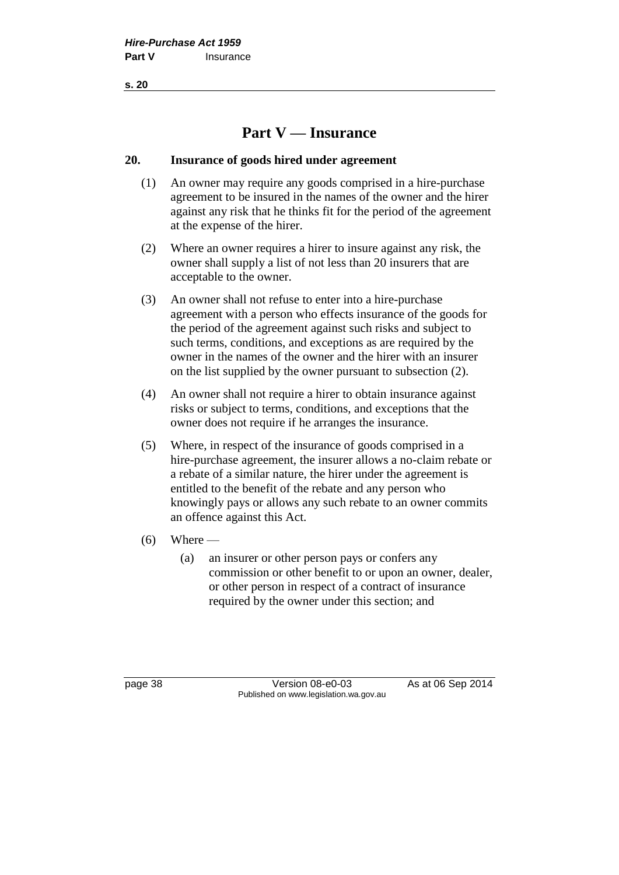**s. 20**

# **Part V — Insurance**

### **20. Insurance of goods hired under agreement**

- (1) An owner may require any goods comprised in a hire-purchase agreement to be insured in the names of the owner and the hirer against any risk that he thinks fit for the period of the agreement at the expense of the hirer.
- (2) Where an owner requires a hirer to insure against any risk, the owner shall supply a list of not less than 20 insurers that are acceptable to the owner.
- (3) An owner shall not refuse to enter into a hire-purchase agreement with a person who effects insurance of the goods for the period of the agreement against such risks and subject to such terms, conditions, and exceptions as are required by the owner in the names of the owner and the hirer with an insurer on the list supplied by the owner pursuant to subsection (2).
- (4) An owner shall not require a hirer to obtain insurance against risks or subject to terms, conditions, and exceptions that the owner does not require if he arranges the insurance.
- (5) Where, in respect of the insurance of goods comprised in a hire-purchase agreement, the insurer allows a no-claim rebate or a rebate of a similar nature, the hirer under the agreement is entitled to the benefit of the rebate and any person who knowingly pays or allows any such rebate to an owner commits an offence against this Act.
- $(6)$  Where
	- (a) an insurer or other person pays or confers any commission or other benefit to or upon an owner, dealer, or other person in respect of a contract of insurance required by the owner under this section; and

page 38 Version 08-e0-03 As at 06 Sep 2014 Published on www.legislation.wa.gov.au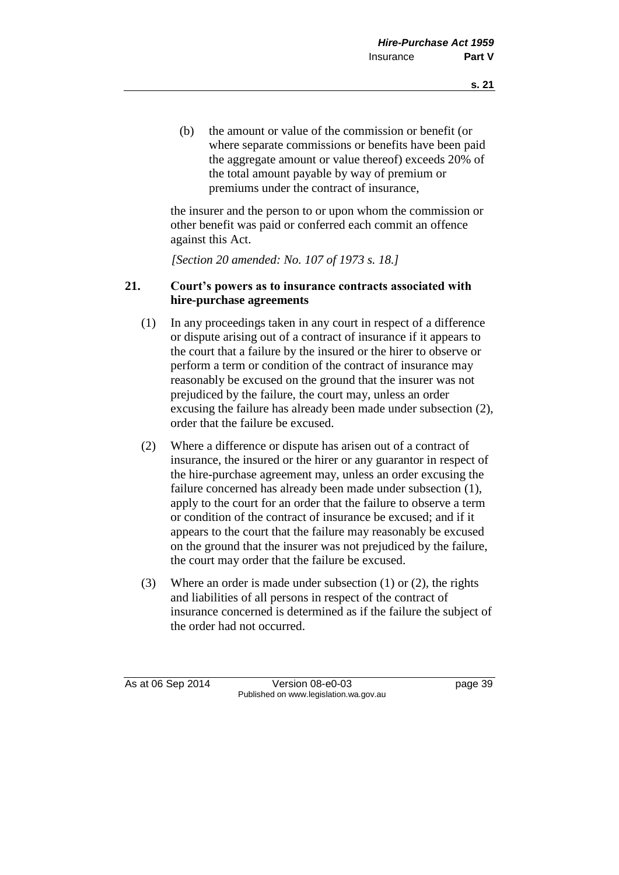(b) the amount or value of the commission or benefit (or where separate commissions or benefits have been paid the aggregate amount or value thereof) exceeds 20% of the total amount payable by way of premium or premiums under the contract of insurance,

the insurer and the person to or upon whom the commission or other benefit was paid or conferred each commit an offence against this Act.

*[Section 20 amended: No. 107 of 1973 s. 18.]*

## **21. Court's powers as to insurance contracts associated with hire-purchase agreements**

- (1) In any proceedings taken in any court in respect of a difference or dispute arising out of a contract of insurance if it appears to the court that a failure by the insured or the hirer to observe or perform a term or condition of the contract of insurance may reasonably be excused on the ground that the insurer was not prejudiced by the failure, the court may, unless an order excusing the failure has already been made under subsection (2), order that the failure be excused.
- (2) Where a difference or dispute has arisen out of a contract of insurance, the insured or the hirer or any guarantor in respect of the hire-purchase agreement may, unless an order excusing the failure concerned has already been made under subsection (1), apply to the court for an order that the failure to observe a term or condition of the contract of insurance be excused; and if it appears to the court that the failure may reasonably be excused on the ground that the insurer was not prejudiced by the failure, the court may order that the failure be excused.
- (3) Where an order is made under subsection (1) or (2), the rights and liabilities of all persons in respect of the contract of insurance concerned is determined as if the failure the subject of the order had not occurred.

As at 06 Sep 2014 Version 08-e0-03 page 39 Published on www.legislation.wa.gov.au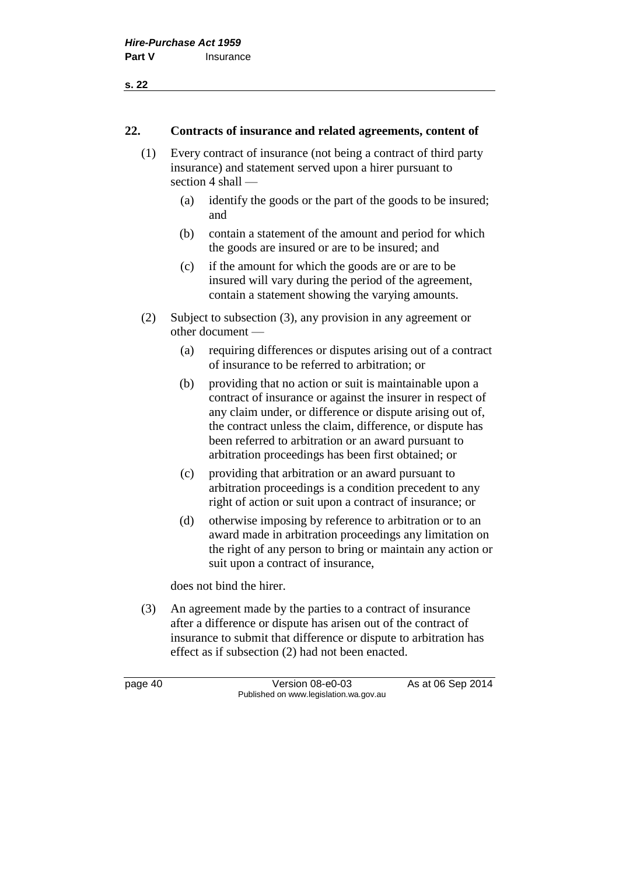#### **22. Contracts of insurance and related agreements, content of**

- (1) Every contract of insurance (not being a contract of third party insurance) and statement served upon a hirer pursuant to section 4 shall —
	- (a) identify the goods or the part of the goods to be insured; and
	- (b) contain a statement of the amount and period for which the goods are insured or are to be insured; and
	- (c) if the amount for which the goods are or are to be insured will vary during the period of the agreement, contain a statement showing the varying amounts.
- (2) Subject to subsection (3), any provision in any agreement or other document —
	- (a) requiring differences or disputes arising out of a contract of insurance to be referred to arbitration; or
	- (b) providing that no action or suit is maintainable upon a contract of insurance or against the insurer in respect of any claim under, or difference or dispute arising out of, the contract unless the claim, difference, or dispute has been referred to arbitration or an award pursuant to arbitration proceedings has been first obtained; or
	- (c) providing that arbitration or an award pursuant to arbitration proceedings is a condition precedent to any right of action or suit upon a contract of insurance; or
	- (d) otherwise imposing by reference to arbitration or to an award made in arbitration proceedings any limitation on the right of any person to bring or maintain any action or suit upon a contract of insurance,

does not bind the hirer.

(3) An agreement made by the parties to a contract of insurance after a difference or dispute has arisen out of the contract of insurance to submit that difference or dispute to arbitration has effect as if subsection (2) had not been enacted.

page 40 Version 08-e0-03 As at 06 Sep 2014 Published on www.legislation.wa.gov.au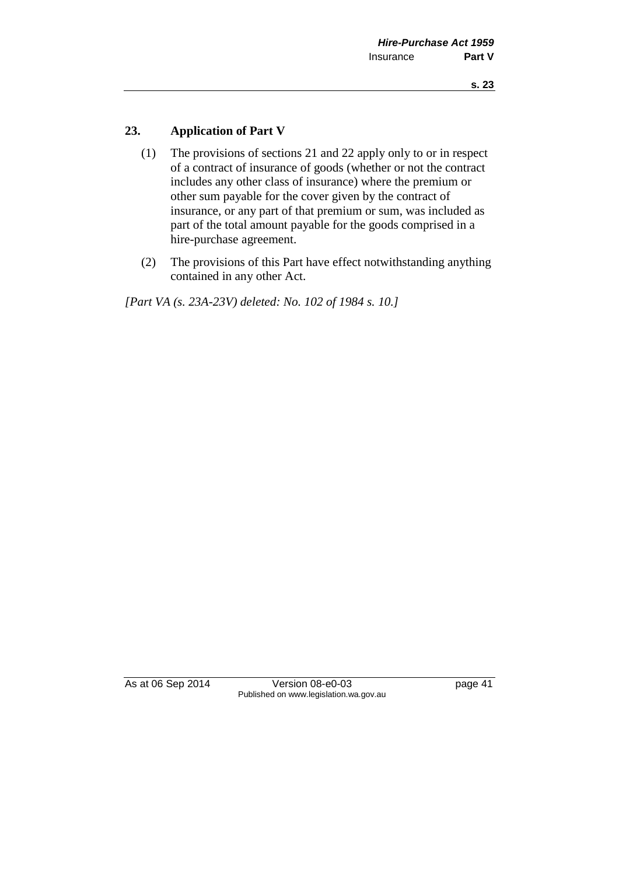## **23. Application of Part V**

- (1) The provisions of sections 21 and 22 apply only to or in respect of a contract of insurance of goods (whether or not the contract includes any other class of insurance) where the premium or other sum payable for the cover given by the contract of insurance, or any part of that premium or sum, was included as part of the total amount payable for the goods comprised in a hire-purchase agreement.
- (2) The provisions of this Part have effect notwithstanding anything contained in any other Act.

*[Part VA (s. 23A-23V) deleted: No. 102 of 1984 s. 10.]*

As at 06 Sep 2014 Version 08-e0-03 page 41 Published on www.legislation.wa.gov.au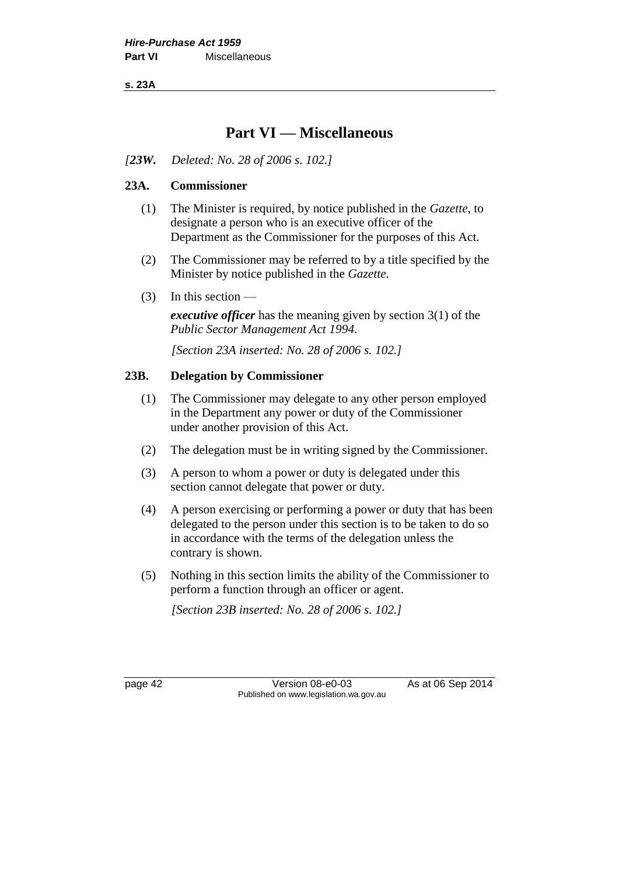**s. 23A**

# **Part VI — Miscellaneous**

*[23W. Deleted: No. 28 of 2006 s. 102.]*

# **23A. Commissioner**

- (1) The Minister is required, by notice published in the *Gazette*, to designate a person who is an executive officer of the Department as the Commissioner for the purposes of this Act.
- (2) The Commissioner may be referred to by a title specified by the Minister by notice published in the *Gazette*.
- (3) In this section —

*executive officer* has the meaning given by section 3(1) of the *Public Sector Management Act 1994*.

*[Section 23A inserted: No. 28 of 2006 s. 102.]*

#### **23B. Delegation by Commissioner**

- (1) The Commissioner may delegate to any other person employed in the Department any power or duty of the Commissioner under another provision of this Act.
- (2) The delegation must be in writing signed by the Commissioner.
- (3) A person to whom a power or duty is delegated under this section cannot delegate that power or duty.
- (4) A person exercising or performing a power or duty that has been delegated to the person under this section is to be taken to do so in accordance with the terms of the delegation unless the contrary is shown.
- (5) Nothing in this section limits the ability of the Commissioner to perform a function through an officer or agent.

*[Section 23B inserted: No. 28 of 2006 s. 102.]*

page 42 Version 08-e0-03 As at 06 Sep 2014 Published on www.legislation.wa.gov.au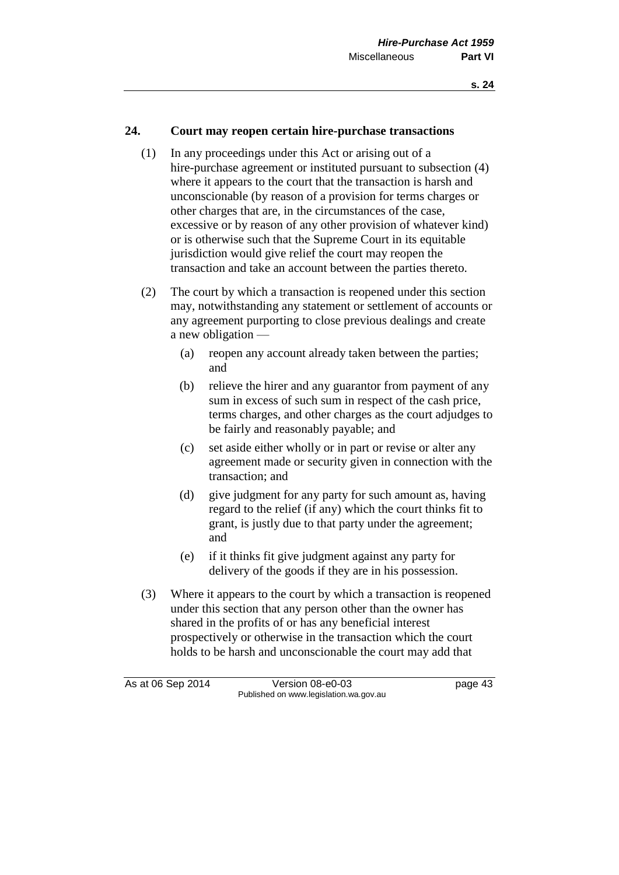### **24. Court may reopen certain hire-purchase transactions**

- (1) In any proceedings under this Act or arising out of a hire-purchase agreement or instituted pursuant to subsection (4) where it appears to the court that the transaction is harsh and unconscionable (by reason of a provision for terms charges or other charges that are, in the circumstances of the case, excessive or by reason of any other provision of whatever kind) or is otherwise such that the Supreme Court in its equitable jurisdiction would give relief the court may reopen the transaction and take an account between the parties thereto.
- (2) The court by which a transaction is reopened under this section may, notwithstanding any statement or settlement of accounts or any agreement purporting to close previous dealings and create a new obligation —
	- (a) reopen any account already taken between the parties; and
	- (b) relieve the hirer and any guarantor from payment of any sum in excess of such sum in respect of the cash price, terms charges, and other charges as the court adjudges to be fairly and reasonably payable; and
	- (c) set aside either wholly or in part or revise or alter any agreement made or security given in connection with the transaction; and
	- (d) give judgment for any party for such amount as, having regard to the relief (if any) which the court thinks fit to grant, is justly due to that party under the agreement; and
	- (e) if it thinks fit give judgment against any party for delivery of the goods if they are in his possession.
- (3) Where it appears to the court by which a transaction is reopened under this section that any person other than the owner has shared in the profits of or has any beneficial interest prospectively or otherwise in the transaction which the court holds to be harsh and unconscionable the court may add that

As at 06 Sep 2014 Version 08-e0-03 page 43 Published on www.legislation.wa.gov.au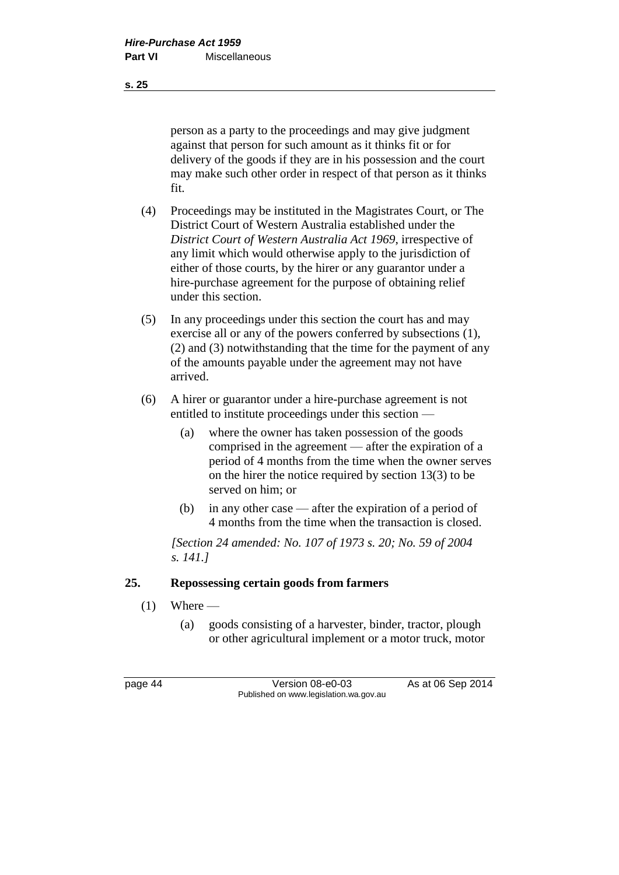person as a party to the proceedings and may give judgment against that person for such amount as it thinks fit or for delivery of the goods if they are in his possession and the court may make such other order in respect of that person as it thinks fit.

- (4) Proceedings may be instituted in the Magistrates Court, or The District Court of Western Australia established under the *District Court of Western Australia Act 1969*, irrespective of any limit which would otherwise apply to the jurisdiction of either of those courts, by the hirer or any guarantor under a hire-purchase agreement for the purpose of obtaining relief under this section.
- (5) In any proceedings under this section the court has and may exercise all or any of the powers conferred by subsections (1), (2) and (3) notwithstanding that the time for the payment of any of the amounts payable under the agreement may not have arrived.
- (6) A hirer or guarantor under a hire-purchase agreement is not entitled to institute proceedings under this section —
	- (a) where the owner has taken possession of the goods comprised in the agreement — after the expiration of a period of 4 months from the time when the owner serves on the hirer the notice required by section 13(3) to be served on him; or
	- (b) in any other case after the expiration of a period of 4 months from the time when the transaction is closed.

*[Section 24 amended: No. 107 of 1973 s. 20; No. 59 of 2004 s. 141.]*

# **25. Repossessing certain goods from farmers**

- $(1)$  Where
	- (a) goods consisting of a harvester, binder, tractor, plough or other agricultural implement or a motor truck, motor

page 44 Version 08-e0-03 As at 06 Sep 2014 Published on www.legislation.wa.gov.au

**s. 25**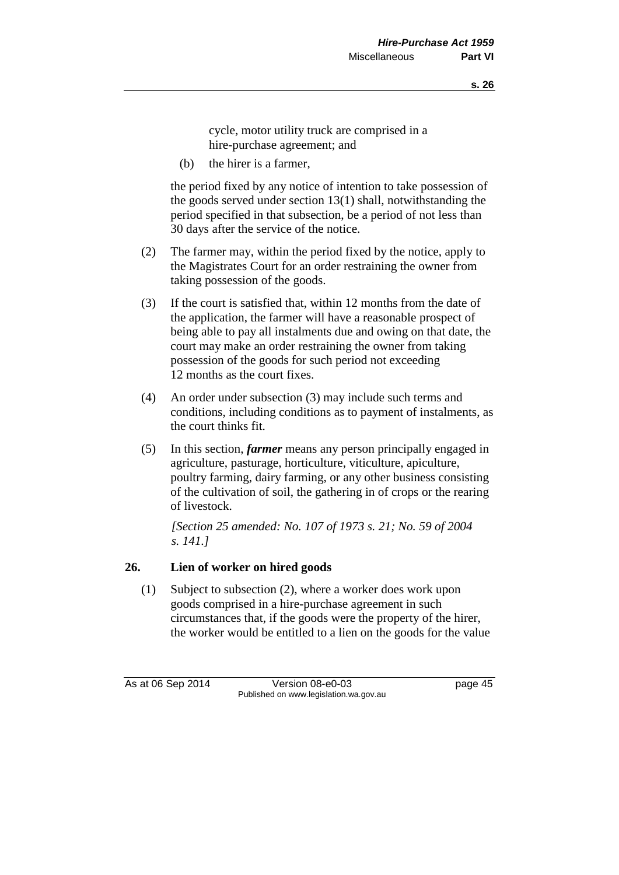cycle, motor utility truck are comprised in a hire-purchase agreement; and

(b) the hirer is a farmer,

the period fixed by any notice of intention to take possession of the goods served under section 13(1) shall, notwithstanding the period specified in that subsection, be a period of not less than 30 days after the service of the notice.

- (2) The farmer may, within the period fixed by the notice, apply to the Magistrates Court for an order restraining the owner from taking possession of the goods.
- (3) If the court is satisfied that, within 12 months from the date of the application, the farmer will have a reasonable prospect of being able to pay all instalments due and owing on that date, the court may make an order restraining the owner from taking possession of the goods for such period not exceeding 12 months as the court fixes.
- (4) An order under subsection (3) may include such terms and conditions, including conditions as to payment of instalments, as the court thinks fit.
- (5) In this section, *farmer* means any person principally engaged in agriculture, pasturage, horticulture, viticulture, apiculture, poultry farming, dairy farming, or any other business consisting of the cultivation of soil, the gathering in of crops or the rearing of livestock.

*[Section 25 amended: No. 107 of 1973 s. 21; No. 59 of 2004 s. 141.]*

# **26. Lien of worker on hired goods**

(1) Subject to subsection (2), where a worker does work upon goods comprised in a hire-purchase agreement in such circumstances that, if the goods were the property of the hirer, the worker would be entitled to a lien on the goods for the value

As at 06 Sep 2014 Version 08-e0-03 page 45 Published on www.legislation.wa.gov.au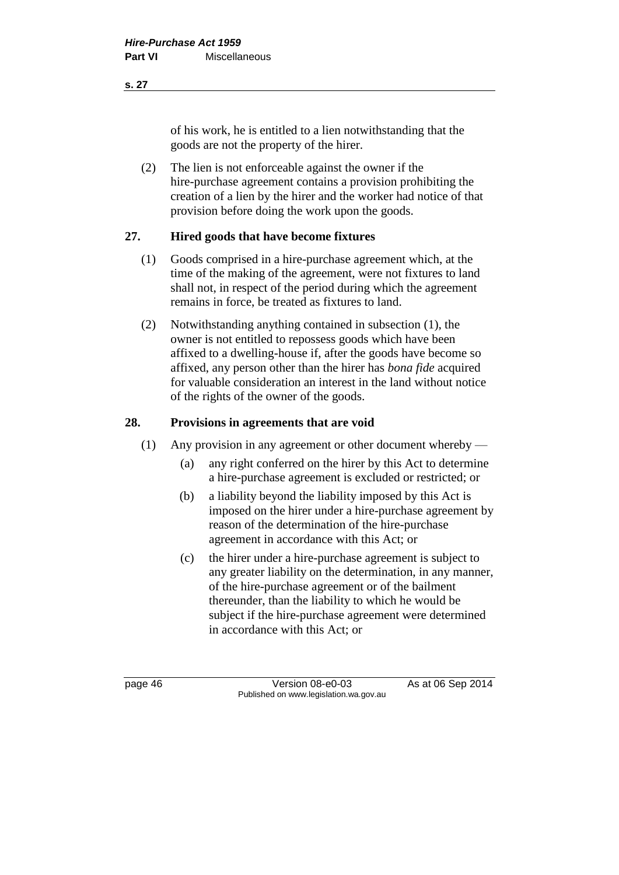#### **s. 27**

of his work, he is entitled to a lien notwithstanding that the goods are not the property of the hirer.

(2) The lien is not enforceable against the owner if the hire-purchase agreement contains a provision prohibiting the creation of a lien by the hirer and the worker had notice of that provision before doing the work upon the goods.

# **27. Hired goods that have become fixtures**

- (1) Goods comprised in a hire-purchase agreement which, at the time of the making of the agreement, were not fixtures to land shall not, in respect of the period during which the agreement remains in force, be treated as fixtures to land.
- (2) Notwithstanding anything contained in subsection (1), the owner is not entitled to repossess goods which have been affixed to a dwelling-house if, after the goods have become so affixed, any person other than the hirer has *bona fide* acquired for valuable consideration an interest in the land without notice of the rights of the owner of the goods.

# **28. Provisions in agreements that are void**

- (1) Any provision in any agreement or other document whereby
	- (a) any right conferred on the hirer by this Act to determine a hire-purchase agreement is excluded or restricted; or
	- (b) a liability beyond the liability imposed by this Act is imposed on the hirer under a hire-purchase agreement by reason of the determination of the hire-purchase agreement in accordance with this Act; or
	- (c) the hirer under a hire-purchase agreement is subject to any greater liability on the determination, in any manner, of the hire-purchase agreement or of the bailment thereunder, than the liability to which he would be subject if the hire-purchase agreement were determined in accordance with this Act; or

page 46 Version 08-e0-03 As at 06 Sep 2014 Published on www.legislation.wa.gov.au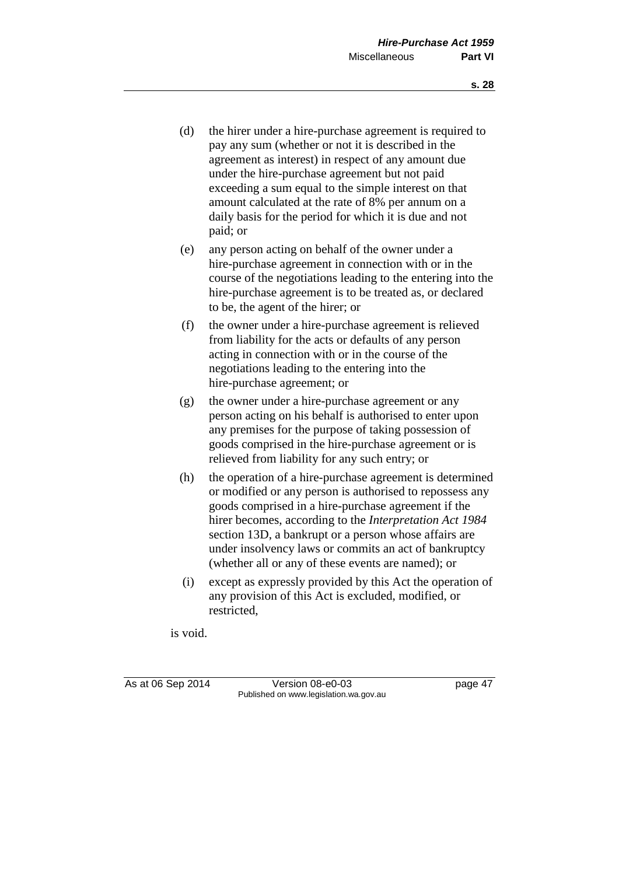- (d) the hirer under a hire-purchase agreement is required to pay any sum (whether or not it is described in the agreement as interest) in respect of any amount due under the hire-purchase agreement but not paid exceeding a sum equal to the simple interest on that amount calculated at the rate of 8% per annum on a daily basis for the period for which it is due and not paid; or
- (e) any person acting on behalf of the owner under a hire-purchase agreement in connection with or in the course of the negotiations leading to the entering into the hire-purchase agreement is to be treated as, or declared to be, the agent of the hirer; or
- (f) the owner under a hire-purchase agreement is relieved from liability for the acts or defaults of any person acting in connection with or in the course of the negotiations leading to the entering into the hire-purchase agreement; or
- (g) the owner under a hire-purchase agreement or any person acting on his behalf is authorised to enter upon any premises for the purpose of taking possession of goods comprised in the hire-purchase agreement or is relieved from liability for any such entry; or
- (h) the operation of a hire-purchase agreement is determined or modified or any person is authorised to repossess any goods comprised in a hire-purchase agreement if the hirer becomes, according to the *Interpretation Act 1984* section 13D, a bankrupt or a person whose affairs are under insolvency laws or commits an act of bankruptcy (whether all or any of these events are named); or
- (i) except as expressly provided by this Act the operation of any provision of this Act is excluded, modified, or restricted,

is void.

As at 06 Sep 2014 Version 08-e0-03 page 47 Published on www.legislation.wa.gov.au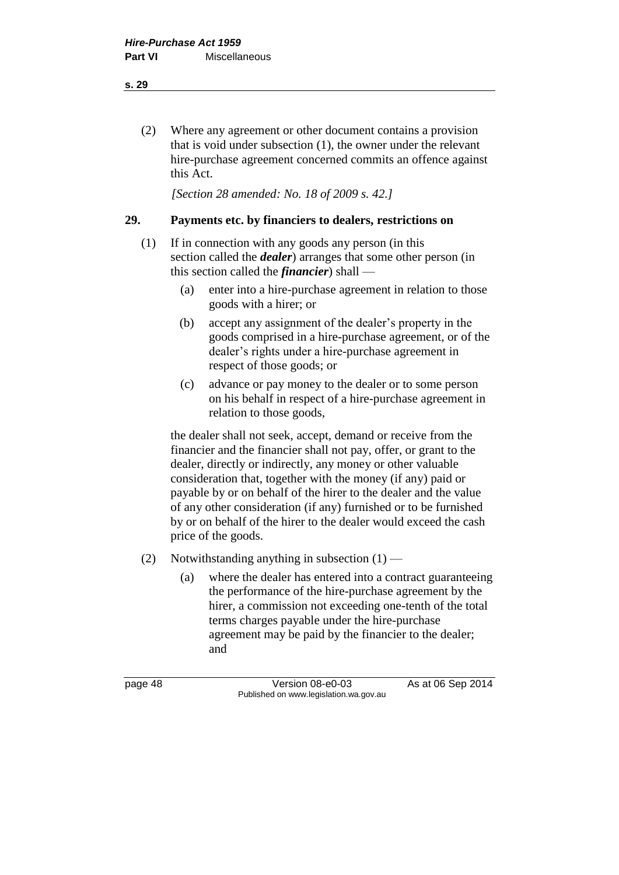(2) Where any agreement or other document contains a provision that is void under subsection (1), the owner under the relevant hire-purchase agreement concerned commits an offence against this Act.

*[Section 28 amended: No. 18 of 2009 s. 42.]*

#### **29. Payments etc. by financiers to dealers, restrictions on**

- (1) If in connection with any goods any person (in this section called the *dealer*) arranges that some other person (in this section called the *financier*) shall —
	- (a) enter into a hire-purchase agreement in relation to those goods with a hirer; or
	- (b) accept any assignment of the dealer's property in the goods comprised in a hire-purchase agreement, or of the dealer's rights under a hire-purchase agreement in respect of those goods; or
	- (c) advance or pay money to the dealer or to some person on his behalf in respect of a hire-purchase agreement in relation to those goods,

the dealer shall not seek, accept, demand or receive from the financier and the financier shall not pay, offer, or grant to the dealer, directly or indirectly, any money or other valuable consideration that, together with the money (if any) paid or payable by or on behalf of the hirer to the dealer and the value of any other consideration (if any) furnished or to be furnished by or on behalf of the hirer to the dealer would exceed the cash price of the goods.

- (2) Notwithstanding anything in subsection  $(1)$ 
	- (a) where the dealer has entered into a contract guaranteeing the performance of the hire-purchase agreement by the hirer, a commission not exceeding one-tenth of the total terms charges payable under the hire-purchase agreement may be paid by the financier to the dealer; and

page 48 Version 08-e0-03 As at 06 Sep 2014 Published on www.legislation.wa.gov.au

**s. 29**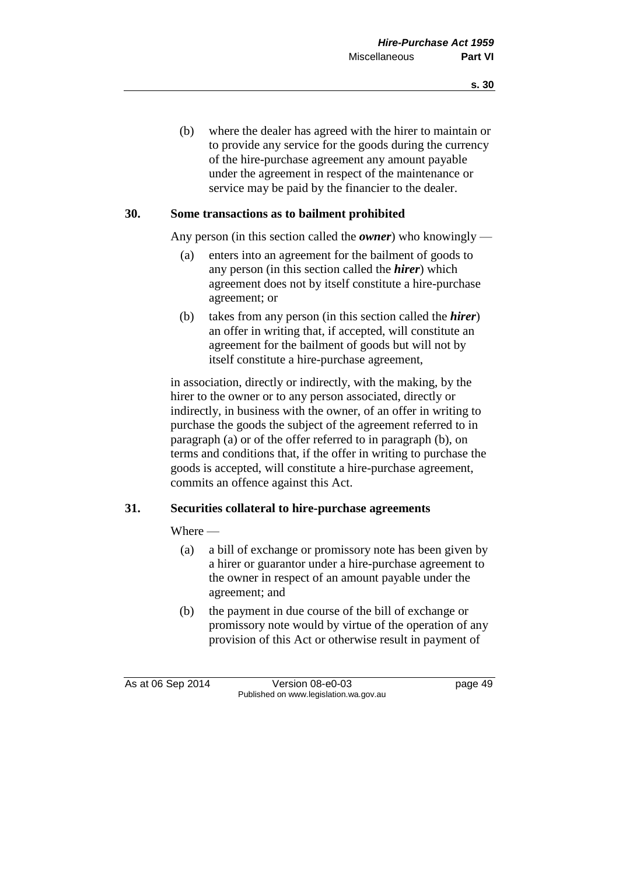(b) where the dealer has agreed with the hirer to maintain or to provide any service for the goods during the currency of the hire-purchase agreement any amount payable under the agreement in respect of the maintenance or service may be paid by the financier to the dealer.

#### **30. Some transactions as to bailment prohibited**

Any person (in this section called the *owner*) who knowingly —

- (a) enters into an agreement for the bailment of goods to any person (in this section called the *hirer*) which agreement does not by itself constitute a hire-purchase agreement; or
- (b) takes from any person (in this section called the *hirer*) an offer in writing that, if accepted, will constitute an agreement for the bailment of goods but will not by itself constitute a hire-purchase agreement,

in association, directly or indirectly, with the making, by the hirer to the owner or to any person associated, directly or indirectly, in business with the owner, of an offer in writing to purchase the goods the subject of the agreement referred to in paragraph (a) or of the offer referred to in paragraph (b), on terms and conditions that, if the offer in writing to purchase the goods is accepted, will constitute a hire-purchase agreement, commits an offence against this Act.

#### **31. Securities collateral to hire-purchase agreements**

Where —

- (a) a bill of exchange or promissory note has been given by a hirer or guarantor under a hire-purchase agreement to the owner in respect of an amount payable under the agreement; and
- (b) the payment in due course of the bill of exchange or promissory note would by virtue of the operation of any provision of this Act or otherwise result in payment of

As at 06 Sep 2014 Version 08-e0-03 page 49 Published on www.legislation.wa.gov.au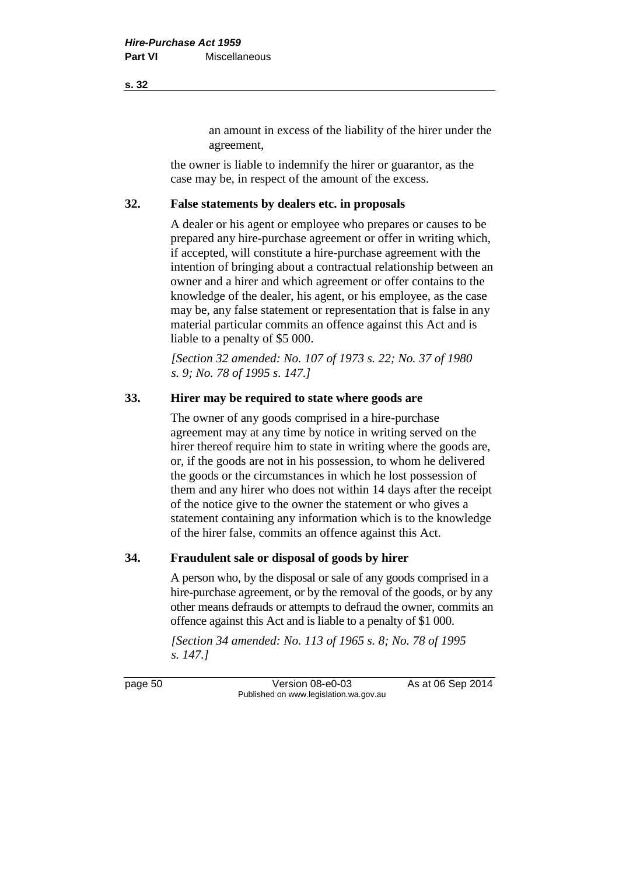an amount in excess of the liability of the hirer under the agreement,

the owner is liable to indemnify the hirer or guarantor, as the case may be, in respect of the amount of the excess.

### **32. False statements by dealers etc. in proposals**

A dealer or his agent or employee who prepares or causes to be prepared any hire-purchase agreement or offer in writing which, if accepted, will constitute a hire-purchase agreement with the intention of bringing about a contractual relationship between an owner and a hirer and which agreement or offer contains to the knowledge of the dealer, his agent, or his employee, as the case may be, any false statement or representation that is false in any material particular commits an offence against this Act and is liable to a penalty of \$5 000.

*[Section 32 amended: No. 107 of 1973 s. 22; No. 37 of 1980 s. 9; No. 78 of 1995 s. 147.]*

# **33. Hirer may be required to state where goods are**

The owner of any goods comprised in a hire-purchase agreement may at any time by notice in writing served on the hirer thereof require him to state in writing where the goods are, or, if the goods are not in his possession, to whom he delivered the goods or the circumstances in which he lost possession of them and any hirer who does not within 14 days after the receipt of the notice give to the owner the statement or who gives a statement containing any information which is to the knowledge of the hirer false, commits an offence against this Act.

#### **34. Fraudulent sale or disposal of goods by hirer**

A person who, by the disposal or sale of any goods comprised in a hire-purchase agreement, or by the removal of the goods, or by any other means defrauds or attempts to defraud the owner, commits an offence against this Act and is liable to a penalty of \$1 000.

*[Section 34 amended: No. 113 of 1965 s. 8; No. 78 of 1995 s. 147.]*

page 50 Version 08-e0-03 As at 06 Sep 2014 Published on www.legislation.wa.gov.au

**s. 32**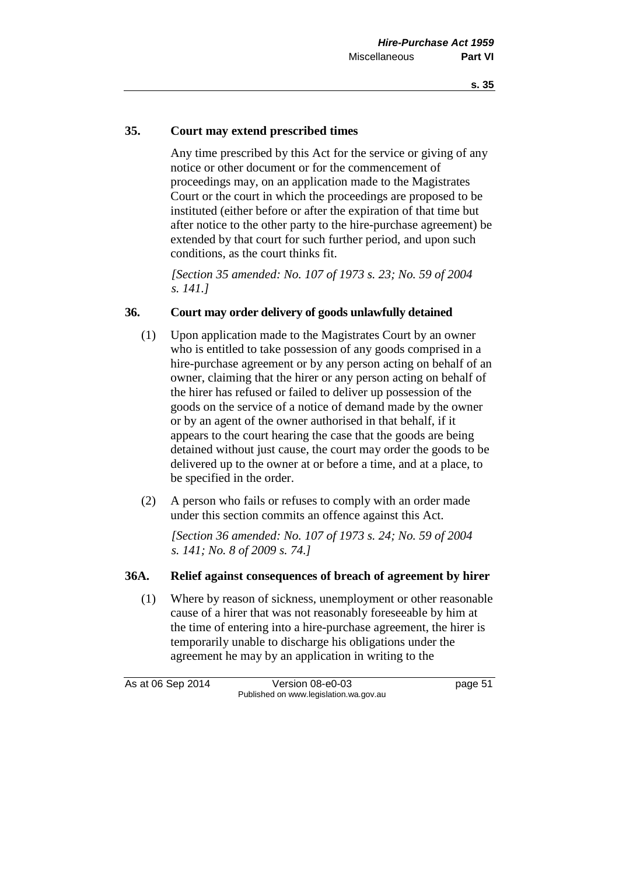#### **35. Court may extend prescribed times**

Any time prescribed by this Act for the service or giving of any notice or other document or for the commencement of proceedings may, on an application made to the Magistrates Court or the court in which the proceedings are proposed to be instituted (either before or after the expiration of that time but after notice to the other party to the hire-purchase agreement) be extended by that court for such further period, and upon such conditions, as the court thinks fit.

*[Section 35 amended: No. 107 of 1973 s. 23; No. 59 of 2004 s. 141.]*

#### **36. Court may order delivery of goods unlawfully detained**

- (1) Upon application made to the Magistrates Court by an owner who is entitled to take possession of any goods comprised in a hire-purchase agreement or by any person acting on behalf of an owner, claiming that the hirer or any person acting on behalf of the hirer has refused or failed to deliver up possession of the goods on the service of a notice of demand made by the owner or by an agent of the owner authorised in that behalf, if it appears to the court hearing the case that the goods are being detained without just cause, the court may order the goods to be delivered up to the owner at or before a time, and at a place, to be specified in the order.
- (2) A person who fails or refuses to comply with an order made under this section commits an offence against this Act.

*[Section 36 amended: No. 107 of 1973 s. 24; No. 59 of 2004 s. 141; No. 8 of 2009 s. 74.]*

#### **36A. Relief against consequences of breach of agreement by hirer**

(1) Where by reason of sickness, unemployment or other reasonable cause of a hirer that was not reasonably foreseeable by him at the time of entering into a hire-purchase agreement, the hirer is temporarily unable to discharge his obligations under the agreement he may by an application in writing to the

As at 06 Sep 2014 Version 08-e0-03 page 51 Published on www.legislation.wa.gov.au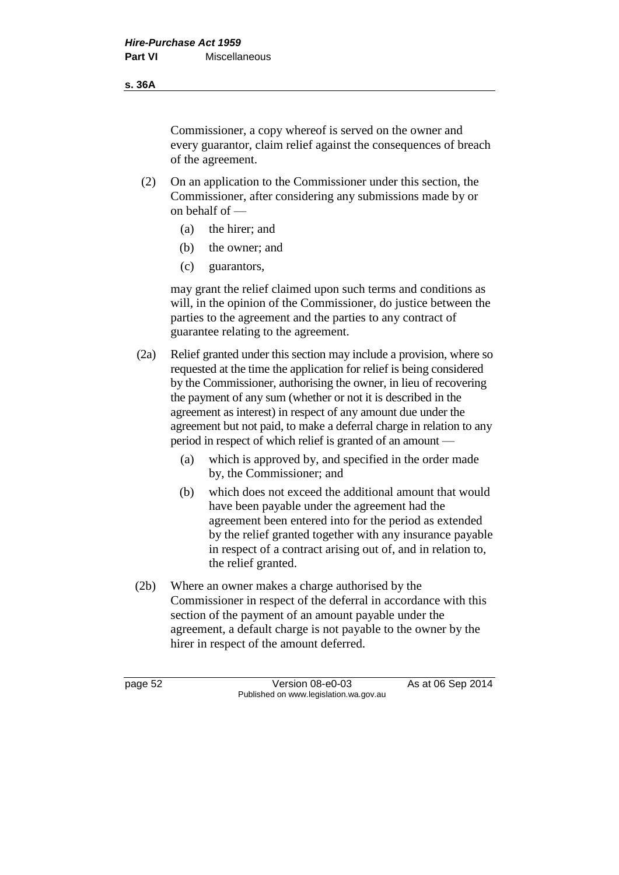#### **s. 36A**

Commissioner, a copy whereof is served on the owner and every guarantor, claim relief against the consequences of breach of the agreement.

- (2) On an application to the Commissioner under this section, the Commissioner, after considering any submissions made by or on behalf of —
	- (a) the hirer; and
	- (b) the owner; and
	- (c) guarantors,

may grant the relief claimed upon such terms and conditions as will, in the opinion of the Commissioner, do justice between the parties to the agreement and the parties to any contract of guarantee relating to the agreement.

- (2a) Relief granted under this section may include a provision, where so requested at the time the application for relief is being considered by the Commissioner, authorising the owner, in lieu of recovering the payment of any sum (whether or not it is described in the agreement as interest) in respect of any amount due under the agreement but not paid, to make a deferral charge in relation to any period in respect of which relief is granted of an amount —
	- (a) which is approved by, and specified in the order made by, the Commissioner; and
	- (b) which does not exceed the additional amount that would have been payable under the agreement had the agreement been entered into for the period as extended by the relief granted together with any insurance payable in respect of a contract arising out of, and in relation to, the relief granted.
- (2b) Where an owner makes a charge authorised by the Commissioner in respect of the deferral in accordance with this section of the payment of an amount payable under the agreement, a default charge is not payable to the owner by the hirer in respect of the amount deferred.

page 52 Version 08-e0-03 As at 06 Sep 2014 Published on www.legislation.wa.gov.au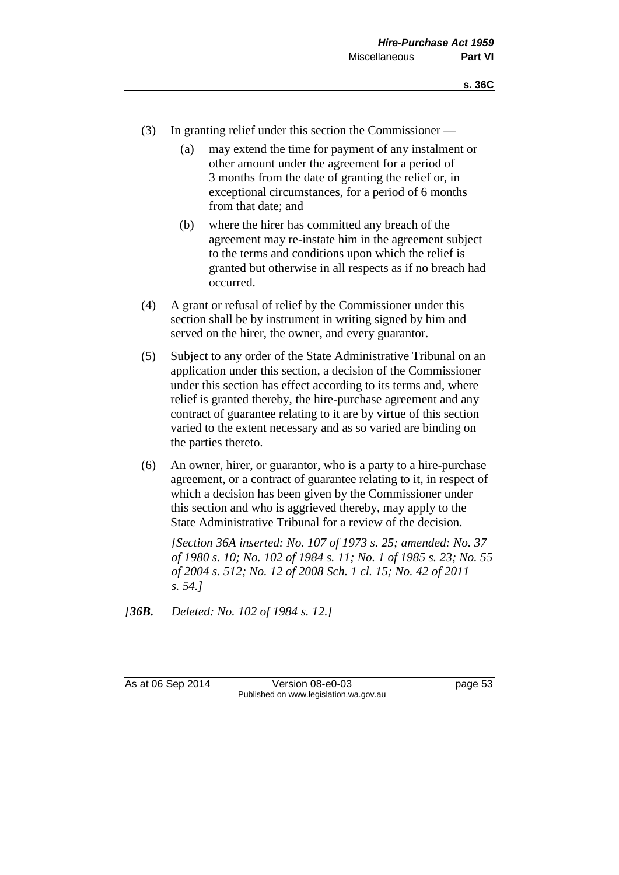- (3) In granting relief under this section the Commissioner
	- (a) may extend the time for payment of any instalment or other amount under the agreement for a period of 3 months from the date of granting the relief or, in exceptional circumstances, for a period of 6 months from that date; and
	- (b) where the hirer has committed any breach of the agreement may re-instate him in the agreement subject to the terms and conditions upon which the relief is granted but otherwise in all respects as if no breach had occurred.
- (4) A grant or refusal of relief by the Commissioner under this section shall be by instrument in writing signed by him and served on the hirer, the owner, and every guarantor.
- (5) Subject to any order of the State Administrative Tribunal on an application under this section, a decision of the Commissioner under this section has effect according to its terms and, where relief is granted thereby, the hire-purchase agreement and any contract of guarantee relating to it are by virtue of this section varied to the extent necessary and as so varied are binding on the parties thereto.
- (6) An owner, hirer, or guarantor, who is a party to a hire-purchase agreement, or a contract of guarantee relating to it, in respect of which a decision has been given by the Commissioner under this section and who is aggrieved thereby, may apply to the State Administrative Tribunal for a review of the decision.

*[Section 36A inserted: No. 107 of 1973 s. 25; amended: No. 37 of 1980 s. 10; No. 102 of 1984 s. 11; No. 1 of 1985 s. 23; No. 55 of 2004 s. 512; No. 12 of 2008 Sch. 1 cl. 15; No. 42 of 2011 s. 54.]*

*[36B. Deleted: No. 102 of 1984 s. 12.]*

As at 06 Sep 2014 Version 08-e0-03 page 53 Published on www.legislation.wa.gov.au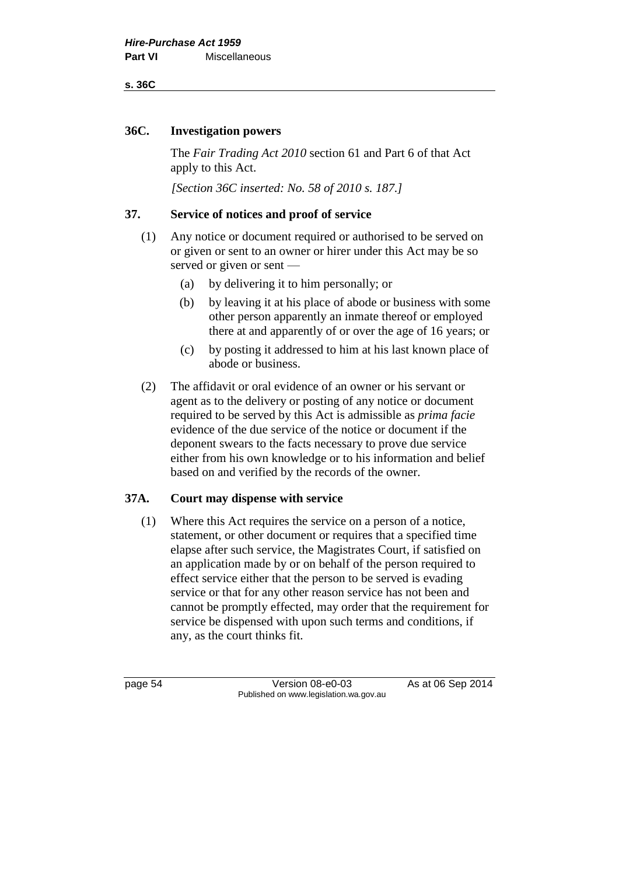#### **s. 36C**

#### **36C. Investigation powers**

The *Fair Trading Act 2010* section 61 and Part 6 of that Act apply to this Act.

*[Section 36C inserted: No. 58 of 2010 s. 187.]*

### **37. Service of notices and proof of service**

- (1) Any notice or document required or authorised to be served on or given or sent to an owner or hirer under this Act may be so served or given or sent —
	- (a) by delivering it to him personally; or
	- (b) by leaving it at his place of abode or business with some other person apparently an inmate thereof or employed there at and apparently of or over the age of 16 years; or
	- (c) by posting it addressed to him at his last known place of abode or business.
- (2) The affidavit or oral evidence of an owner or his servant or agent as to the delivery or posting of any notice or document required to be served by this Act is admissible as *prima facie* evidence of the due service of the notice or document if the deponent swears to the facts necessary to prove due service either from his own knowledge or to his information and belief based on and verified by the records of the owner.

# **37A. Court may dispense with service**

(1) Where this Act requires the service on a person of a notice, statement, or other document or requires that a specified time elapse after such service, the Magistrates Court, if satisfied on an application made by or on behalf of the person required to effect service either that the person to be served is evading service or that for any other reason service has not been and cannot be promptly effected, may order that the requirement for service be dispensed with upon such terms and conditions, if any, as the court thinks fit.

page 54 Version 08-e0-03 As at 06 Sep 2014 Published on www.legislation.wa.gov.au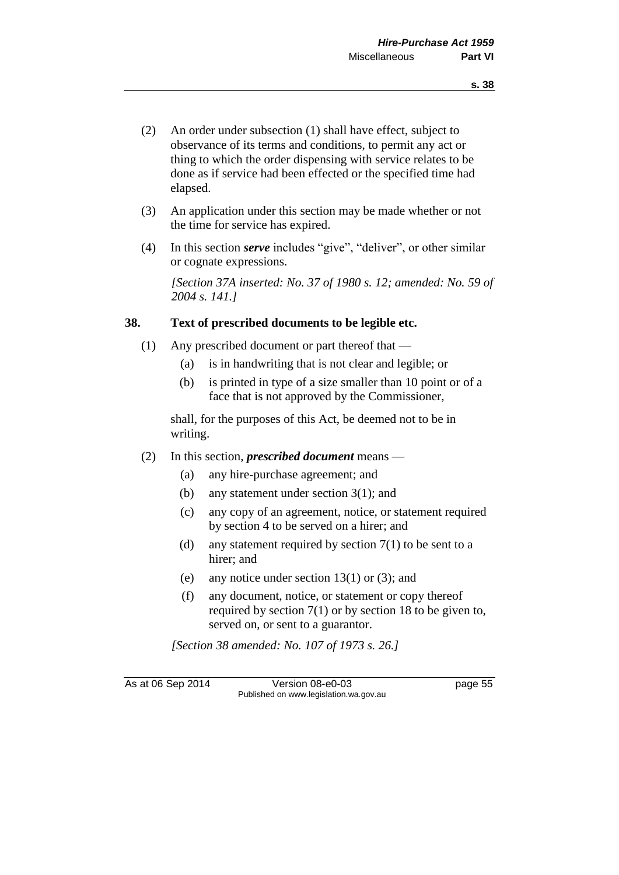- (2) An order under subsection (1) shall have effect, subject to observance of its terms and conditions, to permit any act or thing to which the order dispensing with service relates to be done as if service had been effected or the specified time had elapsed.
- (3) An application under this section may be made whether or not the time for service has expired.
- (4) In this section *serve* includes "give", "deliver", or other similar or cognate expressions.

*[Section 37A inserted: No. 37 of 1980 s. 12; amended: No. 59 of 2004 s. 141.]*

#### **38. Text of prescribed documents to be legible etc.**

- (1) Any prescribed document or part thereof that
	- (a) is in handwriting that is not clear and legible; or
	- (b) is printed in type of a size smaller than 10 point or of a face that is not approved by the Commissioner,

shall, for the purposes of this Act, be deemed not to be in writing.

- (2) In this section, *prescribed document* means
	- (a) any hire-purchase agreement; and
	- (b) any statement under section 3(1); and
	- (c) any copy of an agreement, notice, or statement required by section 4 to be served on a hirer; and
	- (d) any statement required by section  $7(1)$  to be sent to a hirer; and
	- (e) any notice under section 13(1) or (3); and
	- (f) any document, notice, or statement or copy thereof required by section 7(1) or by section 18 to be given to, served on, or sent to a guarantor.

*[Section 38 amended: No. 107 of 1973 s. 26.]*

As at 06 Sep 2014 Version 08-e0-03 page 55 Published on www.legislation.wa.gov.au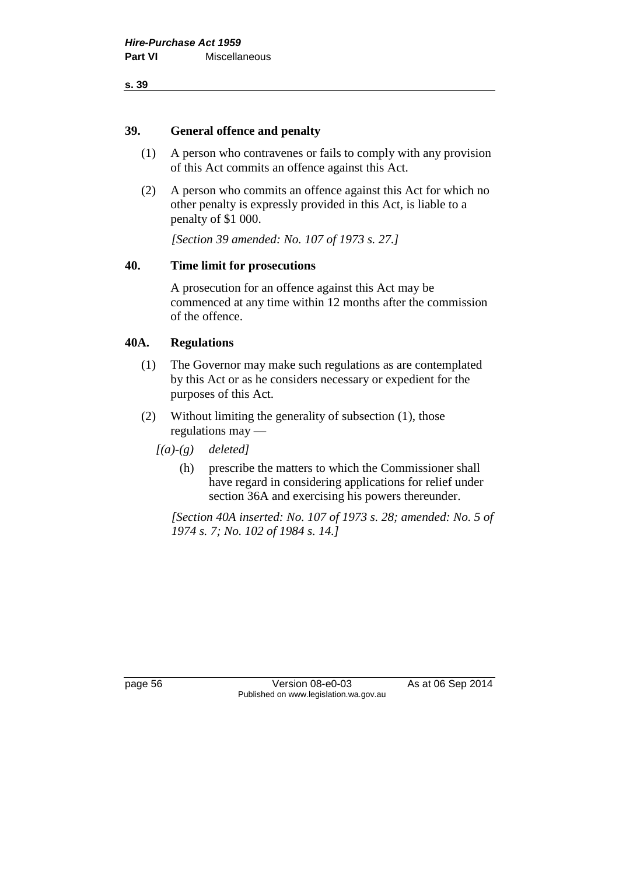**s. 39**

#### **39. General offence and penalty**

- (1) A person who contravenes or fails to comply with any provision of this Act commits an offence against this Act.
- (2) A person who commits an offence against this Act for which no other penalty is expressly provided in this Act, is liable to a penalty of \$1 000.

*[Section 39 amended: No. 107 of 1973 s. 27.]*

#### **40. Time limit for prosecutions**

A prosecution for an offence against this Act may be commenced at any time within 12 months after the commission of the offence.

#### **40A. Regulations**

- (1) The Governor may make such regulations as are contemplated by this Act or as he considers necessary or expedient for the purposes of this Act.
- (2) Without limiting the generality of subsection (1), those regulations may —
	- *[(a)-(g) deleted]*
		- (h) prescribe the matters to which the Commissioner shall have regard in considering applications for relief under section 36A and exercising his powers thereunder.

*[Section 40A inserted: No. 107 of 1973 s. 28; amended: No. 5 of 1974 s. 7; No. 102 of 1984 s. 14.]*

page 56 Version 08-e0-03 As at 06 Sep 2014 Published on www.legislation.wa.gov.au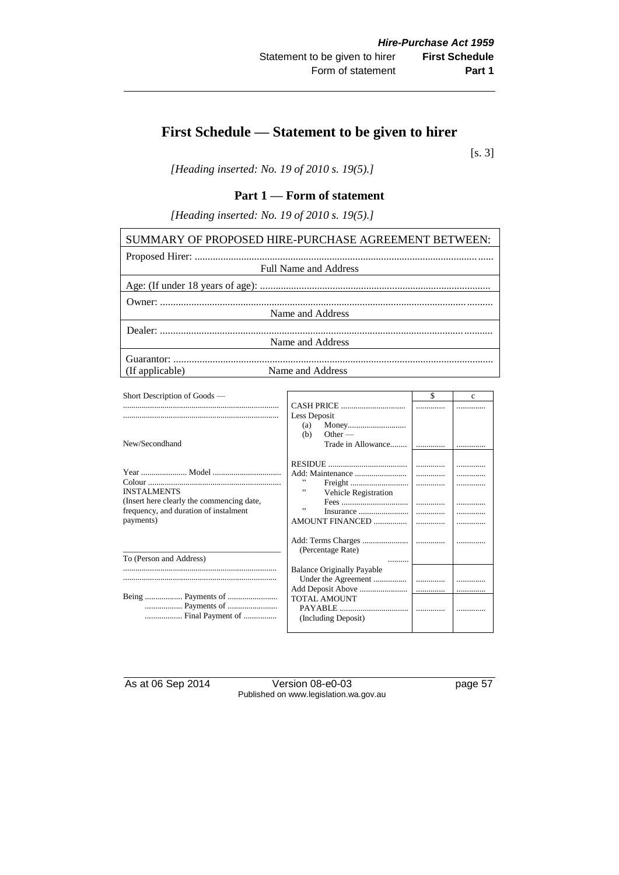# **First Schedule — Statement to be given to hirer**

[s. 3]

*[Heading inserted: No. 19 of 2010 s. 19(5).]*

### **Part 1 — Form of statement**

*[Heading inserted: No. 19 of 2010 s. 19(5).]*

| SUMMARY OF PROPOSED HIRE-PURCHASE AGREEMENT BETWEEN: |  |  |  |
|------------------------------------------------------|--|--|--|
|                                                      |  |  |  |
| <b>Full Name and Address</b>                         |  |  |  |
|                                                      |  |  |  |
|                                                      |  |  |  |
| Name and Address                                     |  |  |  |
|                                                      |  |  |  |
| Name and Address                                     |  |  |  |
|                                                      |  |  |  |
| Name and Address<br>(If applicable)                  |  |  |  |
|                                                      |  |  |  |

| Short Description of Goods —                                                       |                                            | \$     | c |
|------------------------------------------------------------------------------------|--------------------------------------------|--------|---|
|                                                                                    |                                            |        |   |
|                                                                                    | Less Deposit                               |        |   |
|                                                                                    | (a)                                        |        |   |
|                                                                                    | Other $-$<br>(b)                           |        |   |
| New/Secondhand                                                                     | Trade in Allowance                         |        |   |
|                                                                                    |                                            | .<br>. | . |
| <b>INSTALMENTS</b>                                                                 | ,,                                         | .      |   |
| (Insert here clearly the commencing date,<br>frequency, and duration of instalment | <b>Vehicle Registration</b><br>, 1         |        | . |
| payments)                                                                          |                                            | .      |   |
|                                                                                    |                                            |        |   |
| To (Person and Address)                                                            | (Percentage Rate)                          |        |   |
|                                                                                    | <b>Balance Originally Payable</b>          |        |   |
|                                                                                    |                                            |        |   |
|                                                                                    |                                            | .      |   |
| Final Payment of                                                                   | <b>TOTAL AMOUNT</b><br>(Including Deposit) |        |   |

As at 06 Sep 2014 Version 08-e0-03 page 57 Published on www.legislation.wa.gov.au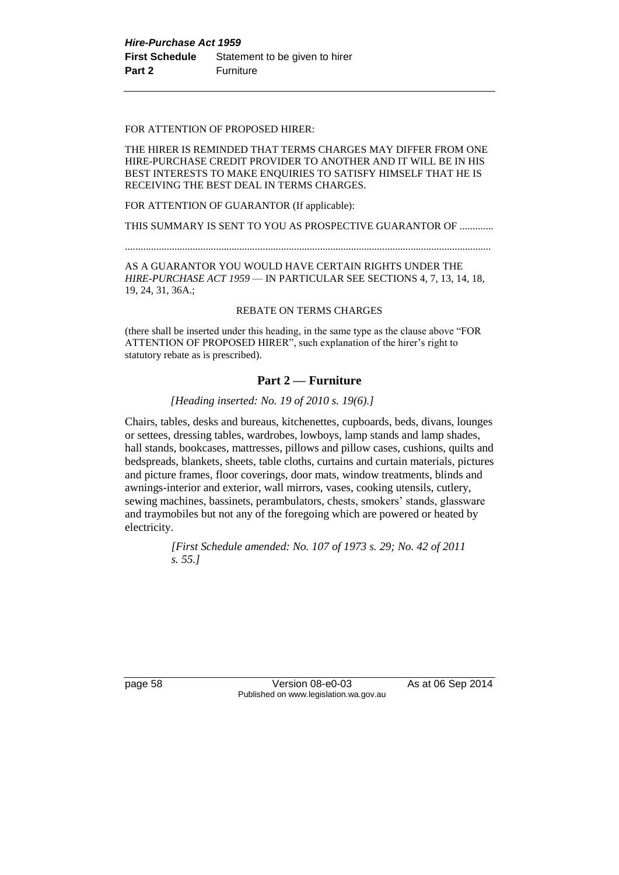#### FOR ATTENTION OF PROPOSED HIRER:

THE HIRER IS REMINDED THAT TERMS CHARGES MAY DIFFER FROM ONE HIRE-PURCHASE CREDIT PROVIDER TO ANOTHER AND IT WILL BE IN HIS BEST INTERESTS TO MAKE ENQUIRIES TO SATISFY HIMSELF THAT HE IS RECEIVING THE BEST DEAL IN TERMS CHARGES.

FOR ATTENTION OF GUARANTOR (If applicable):

THIS SUMMARY IS SENT TO YOU AS PROSPECTIVE GUARANTOR OF .............

.............................................................................................................................................

AS A GUARANTOR YOU WOULD HAVE CERTAIN RIGHTS UNDER THE *HIRE-PURCHASE ACT 1959* — IN PARTICULAR SEE SECTIONS 4, 7, 13, 14, 18, 19, 24, 31, 36A.;

#### REBATE ON TERMS CHARGES

(there shall be inserted under this heading, in the same type as the clause above "FOR ATTENTION OF PROPOSED HIRER", such explanation of the hirer's right to statutory rebate as is prescribed).

#### **Part 2 — Furniture**

#### *[Heading inserted: No. 19 of 2010 s. 19(6).]*

Chairs, tables, desks and bureaus, kitchenettes, cupboards, beds, divans, lounges or settees, dressing tables, wardrobes, lowboys, lamp stands and lamp shades, hall stands, bookcases, mattresses, pillows and pillow cases, cushions, quilts and bedspreads, blankets, sheets, table cloths, curtains and curtain materials, pictures and picture frames, floor coverings, door mats, window treatments, blinds and awnings-interior and exterior, wall mirrors, vases, cooking utensils, cutlery, sewing machines, bassinets, perambulators, chests, smokers' stands, glassware and traymobiles but not any of the foregoing which are powered or heated by electricity.

> *[First Schedule amended: No. 107 of 1973 s. 29; No. 42 of 2011 s. 55.]*

page 58 Version 08-e0-03 As at 06 Sep 2014 Published on www.legislation.wa.gov.au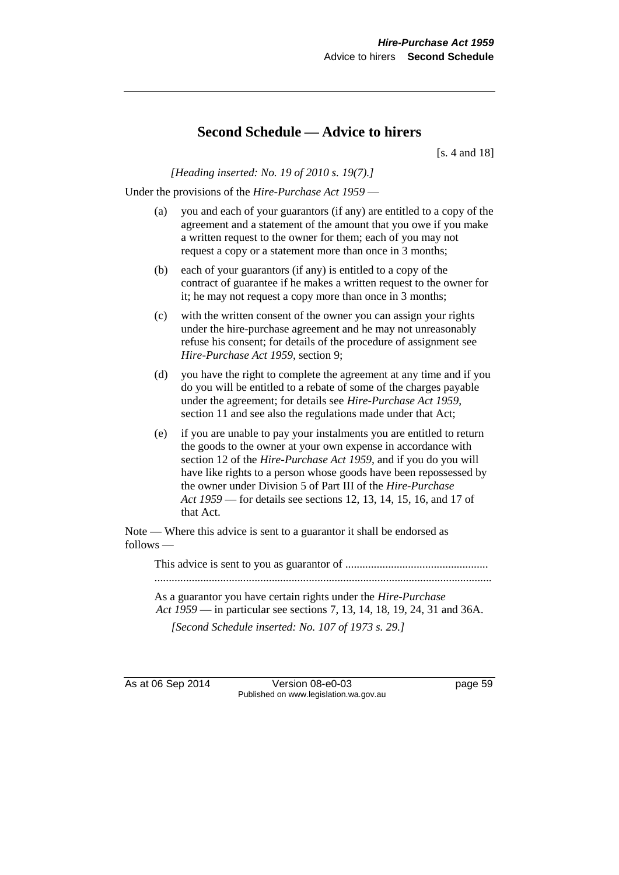# **Second Schedule — Advice to hirers**

[s. 4 and 18]

*[Heading inserted: No. 19 of 2010 s. 19(7).]*

Under the provisions of the *Hire-Purchase Act 1959* —

- (a) you and each of your guarantors (if any) are entitled to a copy of the agreement and a statement of the amount that you owe if you make a written request to the owner for them; each of you may not request a copy or a statement more than once in 3 months;
- (b) each of your guarantors (if any) is entitled to a copy of the contract of guarantee if he makes a written request to the owner for it; he may not request a copy more than once in 3 months;
- (c) with the written consent of the owner you can assign your rights under the hire-purchase agreement and he may not unreasonably refuse his consent; for details of the procedure of assignment see *Hire-Purchase Act 1959*, section 9;
- (d) you have the right to complete the agreement at any time and if you do you will be entitled to a rebate of some of the charges payable under the agreement; for details see *Hire-Purchase Act 1959*, section 11 and see also the regulations made under that Act;
- (e) if you are unable to pay your instalments you are entitled to return the goods to the owner at your own expense in accordance with section 12 of the *Hire-Purchase Act 1959*, and if you do you will have like rights to a person whose goods have been repossessed by the owner under Division 5 of Part III of the *Hire-Purchase Act 1959* — for details see sections 12, 13, 14, 15, 16, and 17 of that Act.

Note — Where this advice is sent to a guarantor it shall be endorsed as follows —

This advice is sent to you as guarantor of .................................................. ......................................................................................................................

As a guarantor you have certain rights under the *Hire-Purchase Act 1959* — in particular see sections 7, 13, 14, 18, 19, 24, 31 and 36A.

*[Second Schedule inserted: No. 107 of 1973 s. 29.]*

As at 06 Sep 2014 Version 08-e0-03 page 59 Published on www.legislation.wa.gov.au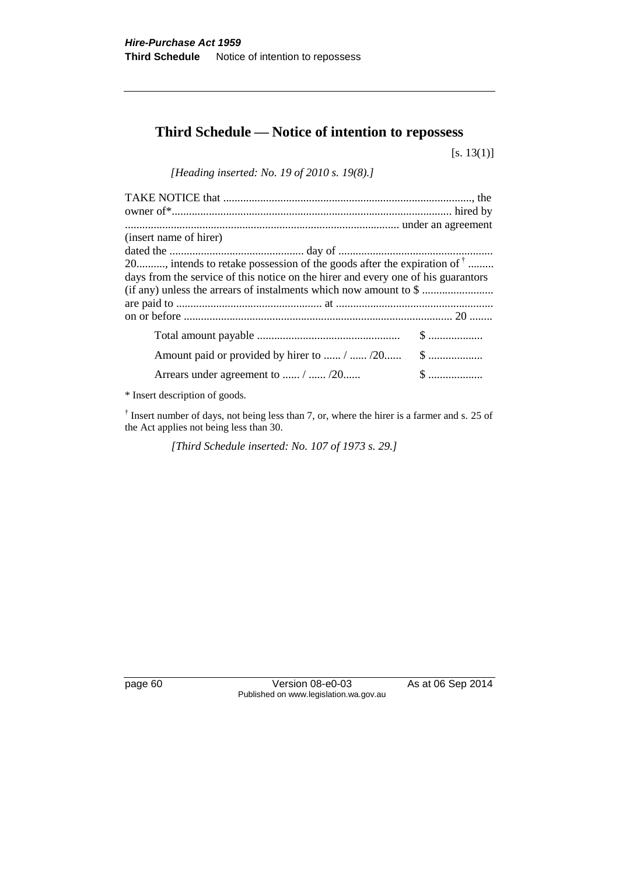# **Third Schedule — Notice of intention to repossess**

[s. 13(1)]

*[Heading inserted: No. 19 of 2010 s. 19(8).]*

| (insert name of hirer)                                                            |              |
|-----------------------------------------------------------------------------------|--------------|
|                                                                                   |              |
| 20, intends to retake possession of the goods after the expiration of $\bar{ }$   |              |
| days from the service of this notice on the hirer and every one of his guarantors |              |
|                                                                                   |              |
|                                                                                   |              |
|                                                                                   |              |
|                                                                                   |              |
|                                                                                   |              |
| Arrears under agreement to  /  / 20                                               | $\mathbb{S}$ |

\* Insert description of goods.

<sup>†</sup> Insert number of days, not being less than 7, or, where the hirer is a farmer and s. 25 of the Act applies not being less than 30.

*[Third Schedule inserted: No. 107 of 1973 s. 29.]*

page 60 Version 08-e0-03 As at 06 Sep 2014 Published on www.legislation.wa.gov.au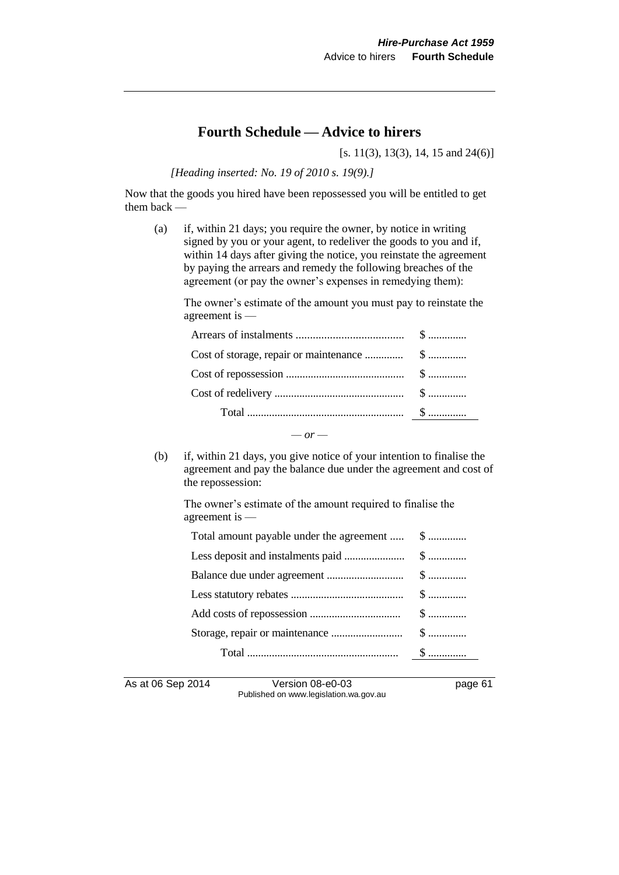# **Fourth Schedule — Advice to hirers**

[s. 11(3), 13(3), 14, 15 and 24(6)]

*[Heading inserted: No. 19 of 2010 s. 19(9).]*

Now that the goods you hired have been repossessed you will be entitled to get them back —

(a) if, within 21 days; you require the owner, by notice in writing signed by you or your agent, to redeliver the goods to you and if, within 14 days after giving the notice, you reinstate the agreement by paying the arrears and remedy the following breaches of the agreement (or pay the owner's expenses in remedying them):

The owner's estimate of the amount you must pay to reinstate the agreement is —

(b) if, within 21 days, you give notice of your intention to finalise the agreement and pay the balance due under the agreement and cost of the repossession:

 $-$  *or*  $-$ 

The owner's estimate of the amount required to finalise the agreement is —

| Total amount payable under the agreement  \$ |  |
|----------------------------------------------|--|
|                                              |  |
|                                              |  |
|                                              |  |
|                                              |  |
|                                              |  |
|                                              |  |

As at 06 Sep 2014 Version 08-e0-03 page 61 Published on www.legislation.wa.gov.au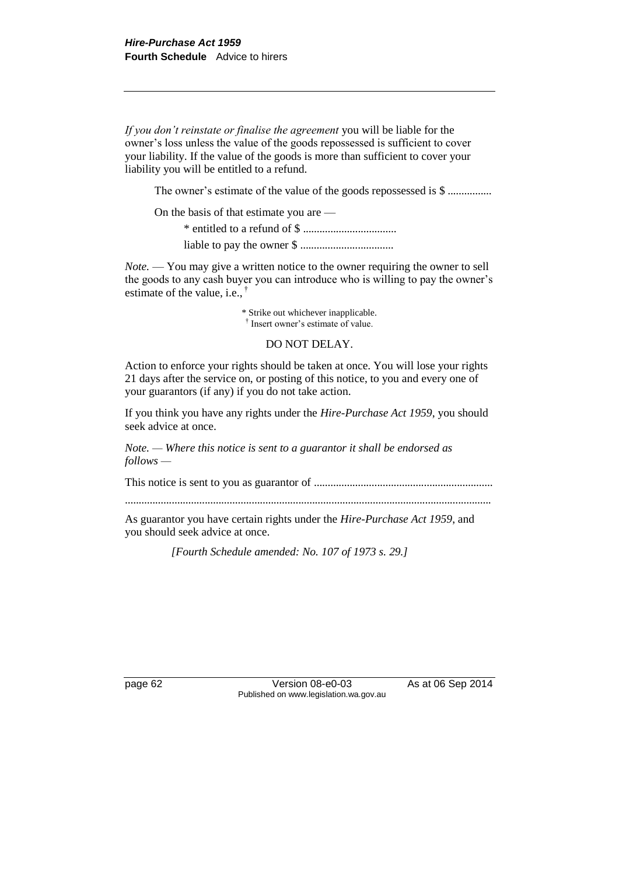*If you don't reinstate or finalise the agreement* you will be liable for the owner's loss unless the value of the goods repossessed is sufficient to cover your liability. If the value of the goods is more than sufficient to cover your liability you will be entitled to a refund.

The owner's estimate of the value of the goods repossessed is \$ ................

On the basis of that estimate you are — \* entitled to a refund of \$ ..................................

liable to pay the owner \$ ..................................

*Note.* — You may give a written notice to the owner requiring the owner to sell the goods to any cash buyer you can introduce who is willing to pay the owner's estimate of the value, i.e., †

> \* Strike out whichever inapplicable. † Insert owner's estimate of value.

#### DO NOT DELAY.

Action to enforce your rights should be taken at once. You will lose your rights 21 days after the service on, or posting of this notice, to you and every one of your guarantors (if any) if you do not take action.

If you think you have any rights under the *Hire-Purchase Act 1959*, you should seek advice at once.

*Note. — Where this notice is sent to a guarantor it shall be endorsed as follows —*

This notice is sent to you as guarantor of .................................................................

.....................................................................................................................................

As guarantor you have certain rights under the *Hire-Purchase Act 1959*, and you should seek advice at once.

*[Fourth Schedule amended: No. 107 of 1973 s. 29.]*

page 62 Version 08-e0-03 As at 06 Sep 2014 Published on www.legislation.wa.gov.au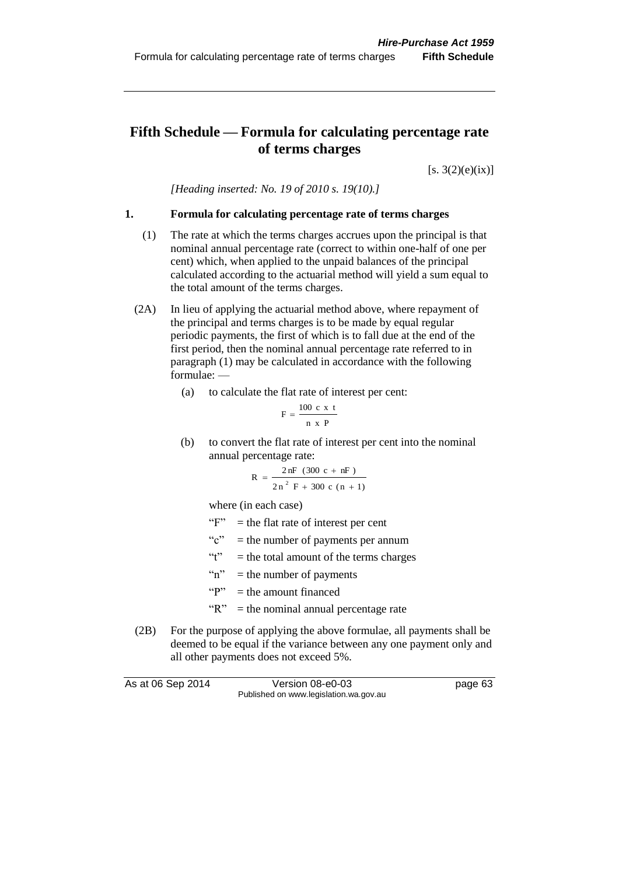# **Fifth Schedule — Formula for calculating percentage rate of terms charges**

 $[s. 3(2)(e)(ix)]$ 

*[Heading inserted: No. 19 of 2010 s. 19(10).]*

#### **1. Formula for calculating percentage rate of terms charges**

- (1) The rate at which the terms charges accrues upon the principal is that nominal annual percentage rate (correct to within one-half of one per cent) which, when applied to the unpaid balances of the principal calculated according to the actuarial method will yield a sum equal to the total amount of the terms charges.
- (2A) In lieu of applying the actuarial method above, where repayment of the principal and terms charges is to be made by equal regular periodic payments, the first of which is to fall due at the end of the first period, then the nominal annual percentage rate referred to in paragraph (1) may be calculated in accordance with the following formulae: —
	- (a) to calculate the flat rate of interest per cent:

$$
F = \frac{100 \text{ c x t}}{n \text{ x P}}
$$

(b) to convert the flat rate of interest per cent into the nominal annual percentage rate:

$$
R = \frac{2 nF (300 c + nF)}{2 n^2 F + 300 c (n + 1)}
$$

where (in each case)

- " $F$ " = the flat rate of interest per cent
- " $c$ " = the number of payments per annum
- "t" = the total amount of the terms charges
- " $n$ " = the number of payments
- " $P$ " = the amount financed
- " $R$ " = the nominal annual percentage rate
- (2B) For the purpose of applying the above formulae, all payments shall be deemed to be equal if the variance between any one payment only and all other payments does not exceed 5%.

As at 06 Sep 2014 Version 08-e0-03 page 63 Published on www.legislation.wa.gov.au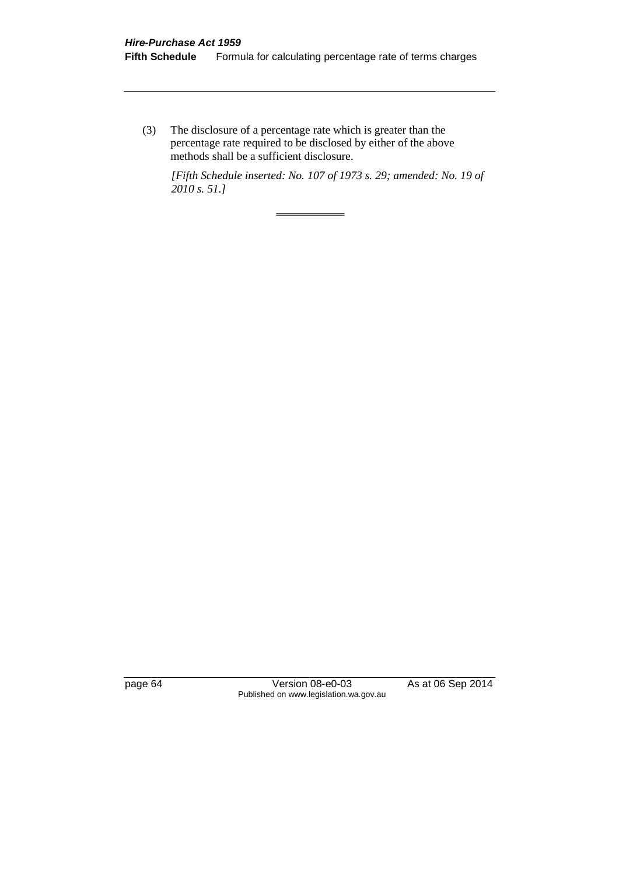(3) The disclosure of a percentage rate which is greater than the percentage rate required to be disclosed by either of the above methods shall be a sufficient disclosure.

*[Fifth Schedule inserted: No. 107 of 1973 s. 29; amended: No. 19 of 2010 s. 51.]*

page 64 Version 08-e0-03 As at 06 Sep 2014 Published on www.legislation.wa.gov.au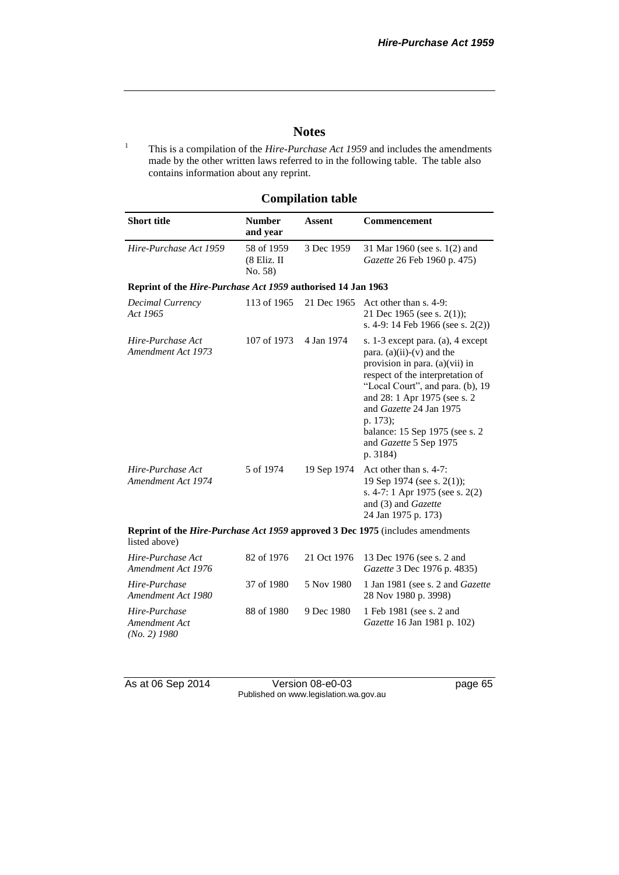### **Notes**

<sup>1</sup> This is a compilation of the *Hire-Purchase Act 1959* and includes the amendments made by the other written laws referred to in the following table. The table also contains information about any reprint.

# **Compilation table**

| <b>Short title</b>     | <b>Number</b><br>and vear              | Assent     | <b>Commencement</b>                                                |
|------------------------|----------------------------------------|------------|--------------------------------------------------------------------|
| Hire-Purchase Act 1959 | 58 of 1959<br>$(8$ Eliz. II<br>No. 58) | 3 Dec 1959 | 31 Mar 1960 (see s. 1(2) and<br><i>Gazette</i> 26 Feb 1960 p. 475) |

#### **Reprint of the** *Hire-Purchase Act 1959* **authorised 14 Jan 1963**

| Decimal Currency<br>Act 1965            | 113 of 1965 | 21 Dec 1965 | Act other than s. 4-9:<br>21 Dec 1965 (see s. 2(1));<br>s. 4-9: 14 Feb 1966 (see s. $2(2)$ )                                                                                                                                                                                                                                        |
|-----------------------------------------|-------------|-------------|-------------------------------------------------------------------------------------------------------------------------------------------------------------------------------------------------------------------------------------------------------------------------------------------------------------------------------------|
| Hire-Purchase Act<br>Amendment Act 1973 | 107 of 1973 | 4 Jan 1974  | s. 1-3 except para. (a), 4 except<br>para. $(a)(ii)-(v)$ and the<br>provision in para. $(a)(vii)$ in<br>respect of the interpretation of<br>"Local Court", and para. (b), 19<br>and 28: 1 Apr 1975 (see s. 2<br>and Gazette 24 Jan 1975<br>p. 173);<br>balance: 15 Sep 1975 (see s. 2)<br>and <i>Gazette</i> 5 Sep 1975<br>p. 3184) |
| Hire-Purchase Act<br>Amendment Act 1974 | 5 of 1974   | 19 Sep 1974 | Act other than s. 4-7:<br>19 Sep 1974 (see s. 2(1));<br>s. 4-7: 1 Apr 1975 (see s. 2(2)<br>and (3) and Gazette<br>24 Jan 1975 p. 173)                                                                                                                                                                                               |
| listed above)                           |             |             | Reprint of the <i>Hire-Purchase Act 1959</i> approved 3 Dec 1975 (includes amendments                                                                                                                                                                                                                                               |
| Hire-Purchase Act<br>Amendment Act 1976 | 82 of 1976  | 21 Oct 1976 | 13 Dec 1976 (see s. 2 and<br>Gazette 3 Dec 1976 p. 4835)                                                                                                                                                                                                                                                                            |
| Hire-Purchase<br>Amendment Act 1980     | 37 of 1980  | 5 Nov 1980  | 1 Jan 1981 (see s. 2 and <i>Gazette</i><br>28 Nov 1980 p. 3998)                                                                                                                                                                                                                                                                     |
| Hire-Purchase<br>Amendment Act          | 88 of 1980  | 9 Dec 1980  | 1 Feb 1981 (see s. 2 and<br><i>Gazette</i> 16 Jan 1981 p. 102)                                                                                                                                                                                                                                                                      |

*Amendment Act (No. 2) 1980*

As at 06 Sep 2014 Version 08-e0-03 page 65 Published on www.legislation.wa.gov.au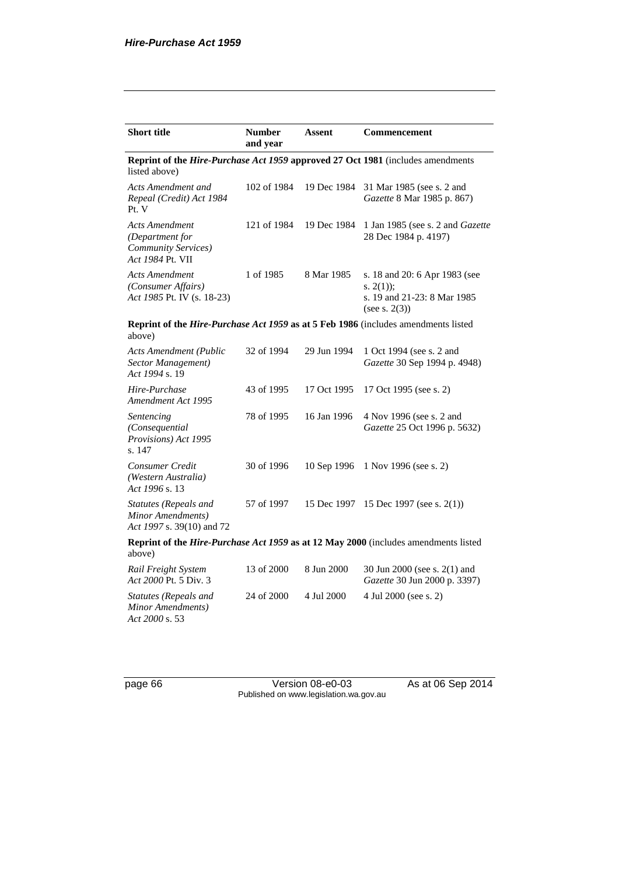| <b>Short title</b>                                                                                      | <b>Number</b><br>and year | Assent      | <b>Commencement</b>                                                                             |  |
|---------------------------------------------------------------------------------------------------------|---------------------------|-------------|-------------------------------------------------------------------------------------------------|--|
| <b>Reprint of the Hire-Purchase Act 1959 approved 27 Oct 1981</b> (includes amendments<br>listed above) |                           |             |                                                                                                 |  |
| Acts Amendment and<br>Repeal (Credit) Act 1984<br>Pt. V                                                 | 102 of 1984               | 19 Dec 1984 | 31 Mar 1985 (see s. 2 and<br>Gazette 8 Mar 1985 p. 867)                                         |  |
| Acts Amendment<br>(Department for<br><b>Community Services</b> )<br>Act 1984 Pt. VII                    | 121 of 1984               | 19 Dec 1984 | 1 Jan 1985 (see s. 2 and <i>Gazette</i><br>28 Dec 1984 p. 4197)                                 |  |
| Acts Amendment<br>(Consumer Affairs)<br>Act 1985 Pt. IV (s. 18-23)                                      | 1 of 1985                 | 8 Mar 1985  | s. 18 and 20: 6 Apr 1983 (see<br>s. $2(1)$ ;<br>s. 19 and 21-23: 8 Mar 1985<br>(see s. $2(3)$ ) |  |
| above)                                                                                                  |                           |             | Reprint of the Hire-Purchase Act 1959 as at 5 Feb 1986 (includes amendments listed              |  |
| <b>Acts Amendment (Public</b><br>Sector Management)<br>Act 1994 s. 19                                   | 32 of 1994                | 29 Jun 1994 | 1 Oct 1994 (see s. 2 and<br>Gazette 30 Sep 1994 p. 4948)                                        |  |
| Hire-Purchase<br>Amendment Act 1995                                                                     | 43 of 1995                | 17 Oct 1995 | 17 Oct 1995 (see s. 2)                                                                          |  |
| Sentencing<br>(Consequential<br>Provisions) Act 1995<br>s. 147                                          | 78 of 1995                | 16 Jan 1996 | 4 Nov 1996 (see s. 2 and<br>Gazette 25 Oct 1996 p. 5632)                                        |  |
| Consumer Credit<br>(Western Australia)<br>Act 1996 s. 13                                                | 30 of 1996                | 10 Sep 1996 | 1 Nov 1996 (see s. 2)                                                                           |  |
| <b>Statutes (Repeals and</b><br>Minor Amendments)<br>Act 1997 s. 39(10) and 72                          | 57 of 1997                | 15 Dec 1997 | 15 Dec 1997 (see s. $2(1)$ )                                                                    |  |
| above)                                                                                                  |                           |             | Reprint of the Hire-Purchase Act 1959 as at 12 May 2000 (includes amendments listed             |  |
| Rail Freight System<br>Act 2000 Pt. 5 Div. 3                                                            | 13 of 2000                | 8 Jun 2000  | 30 Jun 2000 (see s. 2(1) and<br>Gazette 30 Jun 2000 p. 3397)                                    |  |
| Statutes (Repeals and<br>Minor Amendments)<br>Act 2000 s. 53                                            | 24 of 2000                | 4 Jul 2000  | 4 Jul 2000 (see s. 2)                                                                           |  |

page 66 Version 08-e0-03 As at 06 Sep 2014 Published on www.legislation.wa.gov.au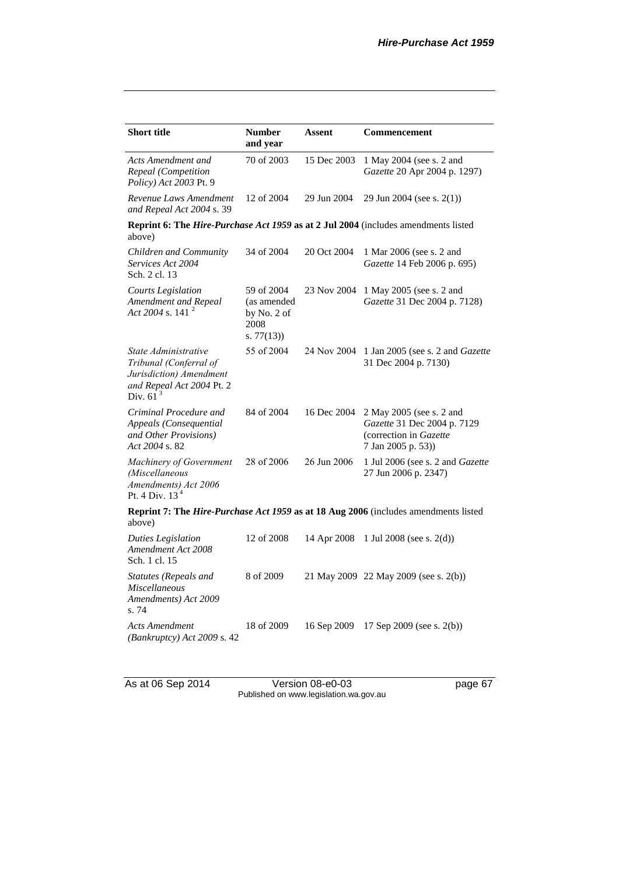| <b>Short title</b>                                                                                                    | <b>Number</b><br>and year                                       | <b>Assent</b> | Commencement                                                                                           |  |  |
|-----------------------------------------------------------------------------------------------------------------------|-----------------------------------------------------------------|---------------|--------------------------------------------------------------------------------------------------------|--|--|
| Acts Amendment and<br>Repeal (Competition<br>Policy) Act 2003 Pt. 9                                                   | 70 of 2003                                                      | 15 Dec 2003   | 1 May 2004 (see s. 2 and<br>Gazette 20 Apr 2004 p. 1297)                                               |  |  |
| Revenue Laws Amendment<br>and Repeal Act 2004 s. 39                                                                   | 12 of 2004                                                      | 29 Jun 2004   | 29 Jun 2004 (see s. 2(1))                                                                              |  |  |
| Reprint 6: The <i>Hire-Purchase Act 1959</i> as at 2 Jul 2004 (includes amendments listed<br>above)                   |                                                                 |               |                                                                                                        |  |  |
| Children and Community<br>Services Act 2004<br>Sch. 2 cl. 13                                                          | 34 of 2004                                                      | 20 Oct 2004   | 1 Mar 2006 (see s. 2 and<br>Gazette 14 Feb 2006 p. 695)                                                |  |  |
| <b>Courts Legislation</b><br>Amendment and Repeal<br>Act 2004 s. 141 $^2$                                             | 59 of 2004<br>(as amended<br>by No. 2 of<br>2008<br>s. $77(13)$ | 23 Nov 2004   | 1 May 2005 (see s. 2 and<br>Gazette 31 Dec 2004 p. 7128)                                               |  |  |
| State Administrative<br>Tribunal (Conferral of<br>Jurisdiction) Amendment<br>and Repeal Act 2004 Pt. 2<br>Div. $61^3$ | 55 of 2004                                                      | 24 Nov 2004   | 1 Jan 2005 (see s. 2 and Gazette<br>31 Dec 2004 p. 7130)                                               |  |  |
| Criminal Procedure and<br>Appeals (Consequential<br>and Other Provisions)<br>Act 2004 s. 82                           | 84 of 2004                                                      | 16 Dec 2004   | 2 May 2005 (see s. 2 and<br>Gazette 31 Dec 2004 p. 7129<br>(correction in Gazette<br>7 Jan 2005 p. 53) |  |  |
| Machinery of Government<br>(Miscellaneous<br>Amendments) Act 2006<br>Pt. 4 Div. $13^4$                                | 28 of 2006                                                      | 26 Jun 2006   | 1 Jul 2006 (see s. 2 and Gazette<br>27 Jun 2006 p. 2347)                                               |  |  |
| above)                                                                                                                |                                                                 |               | Reprint 7: The Hire-Purchase Act 1959 as at 18 Aug 2006 (includes amendments listed                    |  |  |
| <b>Duties Legislation</b><br>Amendment Act 2008<br>Sch. 1 cl. 15                                                      | 12 of 2008                                                      | 14 Apr 2008   | 1 Jul 2008 (see s. $2(d)$ )                                                                            |  |  |
| Statutes (Repeals and<br><b>Miscellaneous</b><br>Amendments) Act 2009<br>s. 74                                        | 8 of 2009                                                       |               | 21 May 2009 22 May 2009 (see s. 2(b))                                                                  |  |  |
| Acts Amendment<br>(Bankruptcy) Act 2009 s. 42                                                                         | 18 of 2009                                                      | 16 Sep 2009   | 17 Sep 2009 (see s. 2(b))                                                                              |  |  |

As at 06 Sep 2014 Version 08-e0-03 page 67 Published on www.legislation.wa.gov.au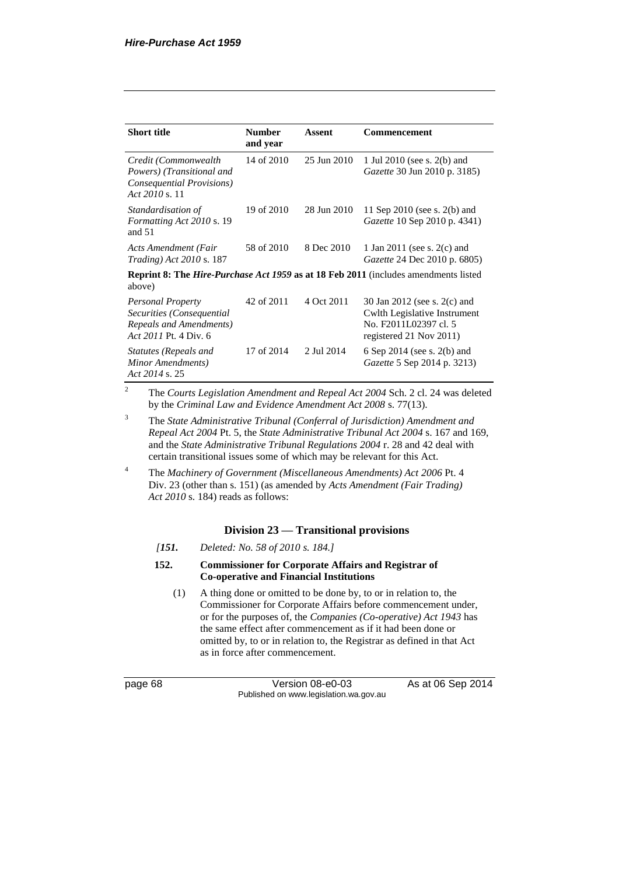| <b>Short title</b>                                                                                          | <b>Number</b><br>and year | Assent      | Commencement                                                                                                     |  |
|-------------------------------------------------------------------------------------------------------------|---------------------------|-------------|------------------------------------------------------------------------------------------------------------------|--|
| Credit (Commonwealth<br>Powers) (Transitional and<br>Consequential Provisions)<br>Act 2010 s. 11            | 14 of 2010                | 25 Jun 2010 | 1 Jul 2010 (see s. 2(b) and<br>Gazette 30 Jun 2010 p. 3185)                                                      |  |
| Standardisation of<br>Formatting Act 2010 s. 19<br>and $51$                                                 | 19 of 2010                | 28 Jun 2010 | 11 Sep 2010 (see s. 2(b) and<br>Gazette 10 Sep 2010 p. 4341)                                                     |  |
| Acts Amendment (Fair<br><i>Trading</i> ) <i>Act</i> 2010 s. 187                                             | 58 of 2010                | 8 Dec 2010  | 1 Jan 2011 (see s. $2(c)$ and<br><i>Gazette</i> 24 Dec 2010 p. 6805)                                             |  |
| <b>Reprint 8: The <i>Hire-Purchase Act 1959</i> as at 18 Feb 2011</b> (includes amendments listed<br>above) |                           |             |                                                                                                                  |  |
| <b>Personal Property</b><br>Securities (Consequential<br>Repeals and Amendments)<br>Act 2011 Pt. 4 Div. 6   | 42 of 2011                | 4 Oct 2011  | 30 Jan 2012 (see s. 2(c) and<br>Cwlth Legislative Instrument<br>No. F2011L02397 cl. 5<br>registered 21 Nov 2011) |  |
| <b>Statutes (Repeals and</b><br>Minor Amendments)<br>Act 2014 s. 25                                         | 17 of 2014                | 2 Jul 2014  | 6 Sep 2014 (see s. $2(b)$ and<br><i>Gazette</i> 5 Sep 2014 p. 3213)                                              |  |

<sup>2</sup> The *Courts Legislation Amendment and Repeal Act 2004* Sch. 2 cl. 24 was deleted by the *Criminal Law and Evidence Amendment Act 2008* s. 77(13).

<sup>3</sup> The *State Administrative Tribunal (Conferral of Jurisdiction) Amendment and Repeal Act 2004* Pt. 5, the *State Administrative Tribunal Act 2004* s. 167 and 169, and the *State Administrative Tribunal Regulations 2004* r. 28 and 42 deal with certain transitional issues some of which may be relevant for this Act.

<sup>4</sup> The *Machinery of Government (Miscellaneous Amendments) Act 2006* Pt. 4 Div. 23 (other than s. 151) (as amended by *Acts Amendment (Fair Trading) Act 2010* s. 184) reads as follows:

# **Division 23 — Transitional provisions**

- *[151. Deleted: No. 58 of 2010 s. 184.]*
- **152. Commissioner for Corporate Affairs and Registrar of Co-operative and Financial Institutions**
	- (1) A thing done or omitted to be done by, to or in relation to, the Commissioner for Corporate Affairs before commencement under, or for the purposes of, the *Companies (Co-operative) Act 1943* has the same effect after commencement as if it had been done or omitted by, to or in relation to, the Registrar as defined in that Act as in force after commencement.

page 68 Version 08-e0-03 As at 06 Sep 2014 Published on www.legislation.wa.gov.au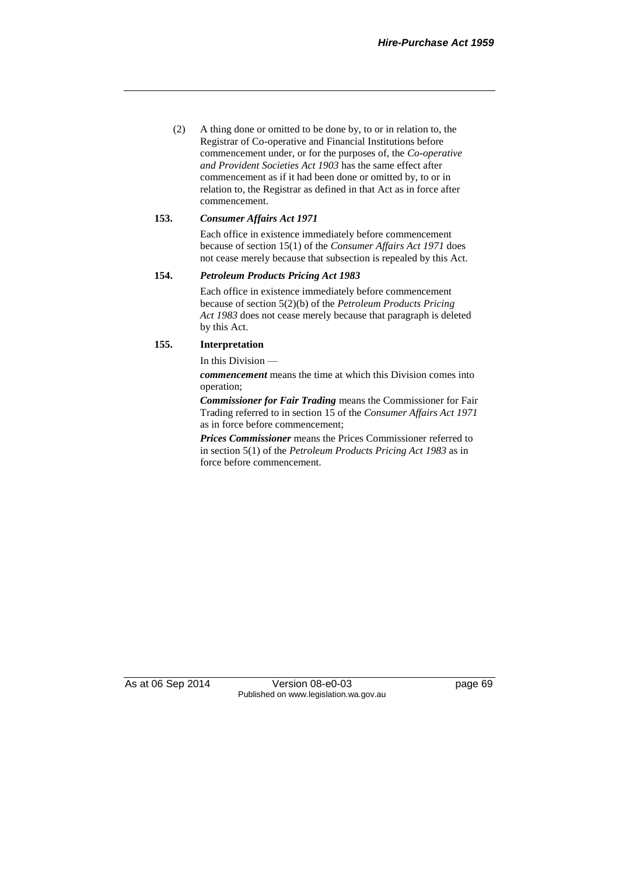(2) A thing done or omitted to be done by, to or in relation to, the Registrar of Co-operative and Financial Institutions before commencement under, or for the purposes of, the *Co-operative and Provident Societies Act 1903* has the same effect after commencement as if it had been done or omitted by, to or in relation to, the Registrar as defined in that Act as in force after commencement.

#### **153.** *Consumer Affairs Act 1971*

Each office in existence immediately before commencement because of section 15(1) of the *Consumer Affairs Act 1971* does not cease merely because that subsection is repealed by this Act.

### **154.** *Petroleum Products Pricing Act 1983*

Each office in existence immediately before commencement because of section 5(2)(b) of the *Petroleum Products Pricing Act 1983* does not cease merely because that paragraph is deleted by this Act.

## **155. Interpretation**

In this Division —

*commencement* means the time at which this Division comes into operation;

*Commissioner for Fair Trading* means the Commissioner for Fair Trading referred to in section 15 of the *Consumer Affairs Act 1971* as in force before commencement;

*Prices Commissioner* means the Prices Commissioner referred to in section 5(1) of the *Petroleum Products Pricing Act 1983* as in force before commencement.

As at 06 Sep 2014 Version 08-e0-03 page 69 Published on www.legislation.wa.gov.au